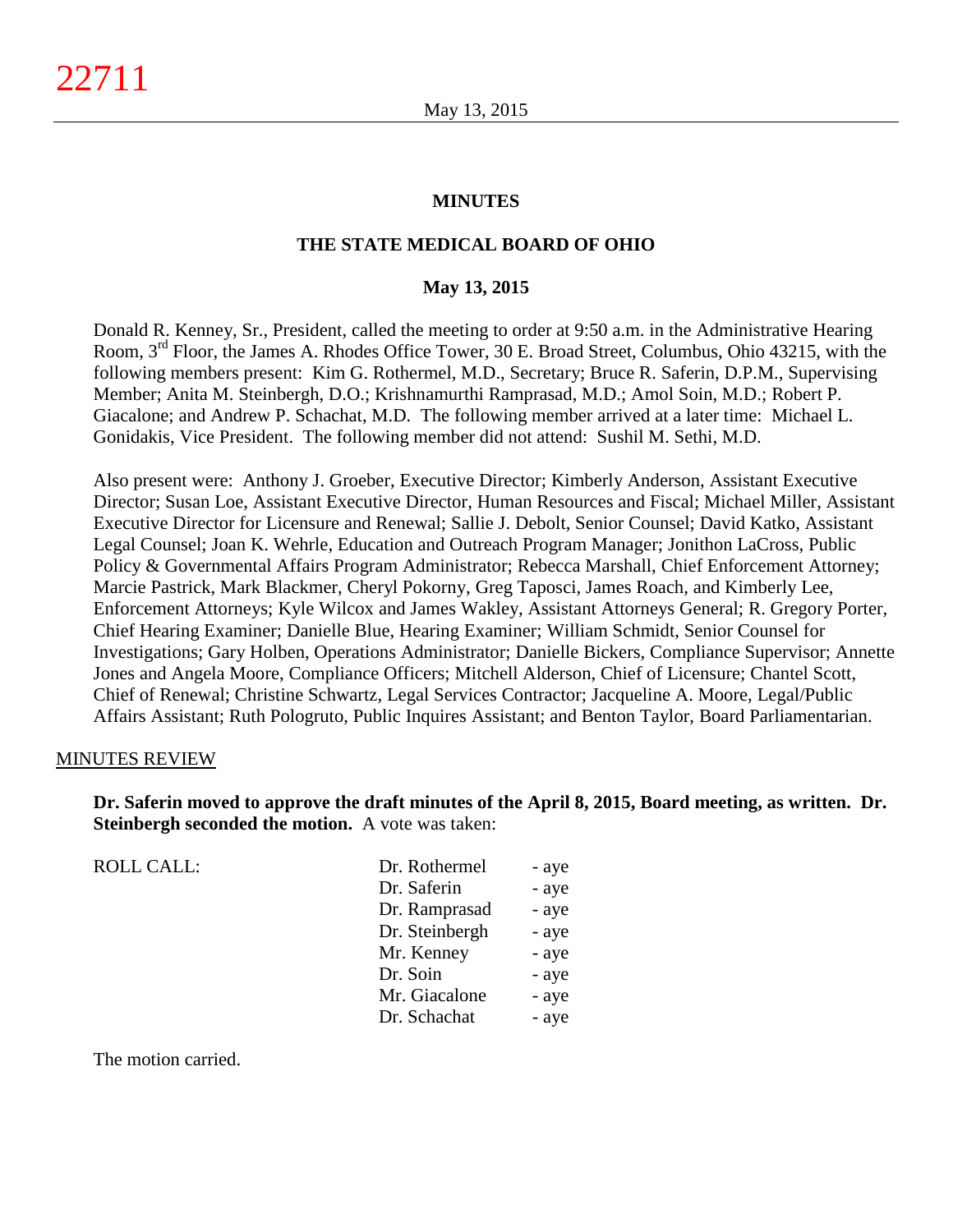#### **MINUTES**

## **THE STATE MEDICAL BOARD OF OHIO**

#### **May 13, 2015**

Donald R. Kenney, Sr., President, called the meeting to order at 9:50 a.m. in the Administrative Hearing Room, 3rd Floor, the James A. Rhodes Office Tower, 30 E. Broad Street, Columbus, Ohio 43215, with the following members present: Kim G. Rothermel, M.D., Secretary; Bruce R. Saferin, D.P.M., Supervising Member; Anita M. Steinbergh, D.O.; Krishnamurthi Ramprasad, M.D.; Amol Soin, M.D.; Robert P. Giacalone; and Andrew P. Schachat, M.D. The following member arrived at a later time: Michael L. Gonidakis, Vice President. The following member did not attend: Sushil M. Sethi, M.D.

Also present were: Anthony J. Groeber, Executive Director; Kimberly Anderson, Assistant Executive Director; Susan Loe, Assistant Executive Director, Human Resources and Fiscal; Michael Miller, Assistant Executive Director for Licensure and Renewal; Sallie J. Debolt, Senior Counsel; David Katko, Assistant Legal Counsel; Joan K. Wehrle, Education and Outreach Program Manager; Jonithon LaCross, Public Policy & Governmental Affairs Program Administrator; Rebecca Marshall, Chief Enforcement Attorney; Marcie Pastrick, Mark Blackmer, Cheryl Pokorny, Greg Taposci, James Roach, and Kimberly Lee, Enforcement Attorneys; Kyle Wilcox and James Wakley, Assistant Attorneys General; R. Gregory Porter, Chief Hearing Examiner; Danielle Blue, Hearing Examiner; William Schmidt, Senior Counsel for Investigations; Gary Holben, Operations Administrator; Danielle Bickers, Compliance Supervisor; Annette Jones and Angela Moore, Compliance Officers; Mitchell Alderson, Chief of Licensure; Chantel Scott, Chief of Renewal; Christine Schwartz, Legal Services Contractor; Jacqueline A. Moore, Legal/Public Affairs Assistant; Ruth Pologruto, Public Inquires Assistant; and Benton Taylor, Board Parliamentarian.

#### MINUTES REVIEW

**Dr. Saferin moved to approve the draft minutes of the April 8, 2015, Board meeting, as written. Dr. Steinbergh seconded the motion.** A vote was taken:

| <b>ROLL CALL:</b> | Dr. Rothermel  | - aye |
|-------------------|----------------|-------|
|                   | Dr. Saferin    | - aye |
|                   | Dr. Ramprasad  | - aye |
|                   | Dr. Steinbergh | - aye |
|                   | Mr. Kenney     | - aye |
|                   | Dr. Soin       | - aye |
|                   | Mr. Giacalone  | - aye |
|                   | Dr. Schachat   | - aye |
|                   |                |       |

The motion carried.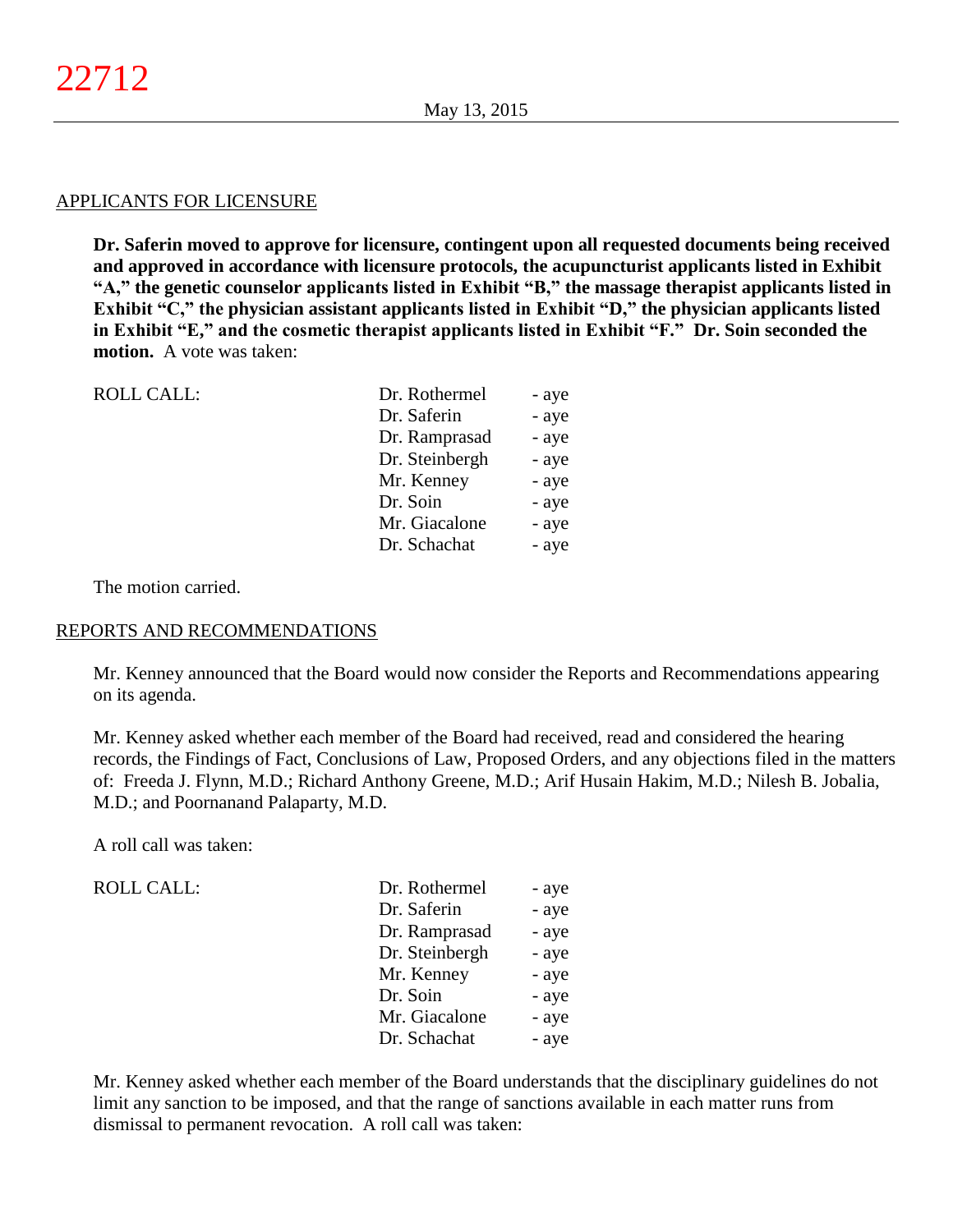#### APPLICANTS FOR LICENSURE

**Dr. Saferin moved to approve for licensure, contingent upon all requested documents being received and approved in accordance with licensure protocols, the acupuncturist applicants listed in Exhibit "A," the genetic counselor applicants listed in Exhibit "B," the massage therapist applicants listed in Exhibit "C," the physician assistant applicants listed in Exhibit "D," the physician applicants listed in Exhibit "E," and the cosmetic therapist applicants listed in Exhibit "F." Dr. Soin seconded the motion.** A vote was taken:

| <b>ROLL CALL:</b> | Dr. Rothermel  | - aye |
|-------------------|----------------|-------|
|                   | Dr. Saferin    | - aye |
|                   | Dr. Ramprasad  | - aye |
|                   | Dr. Steinbergh | - aye |
|                   | Mr. Kenney     | - aye |
|                   | Dr. Soin       | - aye |
|                   | Mr. Giacalone  | - aye |
|                   | Dr. Schachat   | - aye |

The motion carried.

#### REPORTS AND RECOMMENDATIONS

Mr. Kenney announced that the Board would now consider the Reports and Recommendations appearing on its agenda.

Mr. Kenney asked whether each member of the Board had received, read and considered the hearing records, the Findings of Fact, Conclusions of Law, Proposed Orders, and any objections filed in the matters of: Freeda J. Flynn, M.D.; Richard Anthony Greene, M.D.; Arif Husain Hakim, M.D.; Nilesh B. Jobalia, M.D.; and Poornanand Palaparty, M.D.

A roll call was taken:

ROLL CALL:

| Dr. Rothermel  | - aye |
|----------------|-------|
| Dr. Saferin    | - aye |
| Dr. Ramprasad  | - aye |
| Dr. Steinbergh | - aye |
| Mr. Kenney     | - aye |
| Dr. Soin       | - aye |
| Mr. Giacalone  | - aye |
| Dr. Schachat   | - aye |

Mr. Kenney asked whether each member of the Board understands that the disciplinary guidelines do not limit any sanction to be imposed, and that the range of sanctions available in each matter runs from dismissal to permanent revocation. A roll call was taken: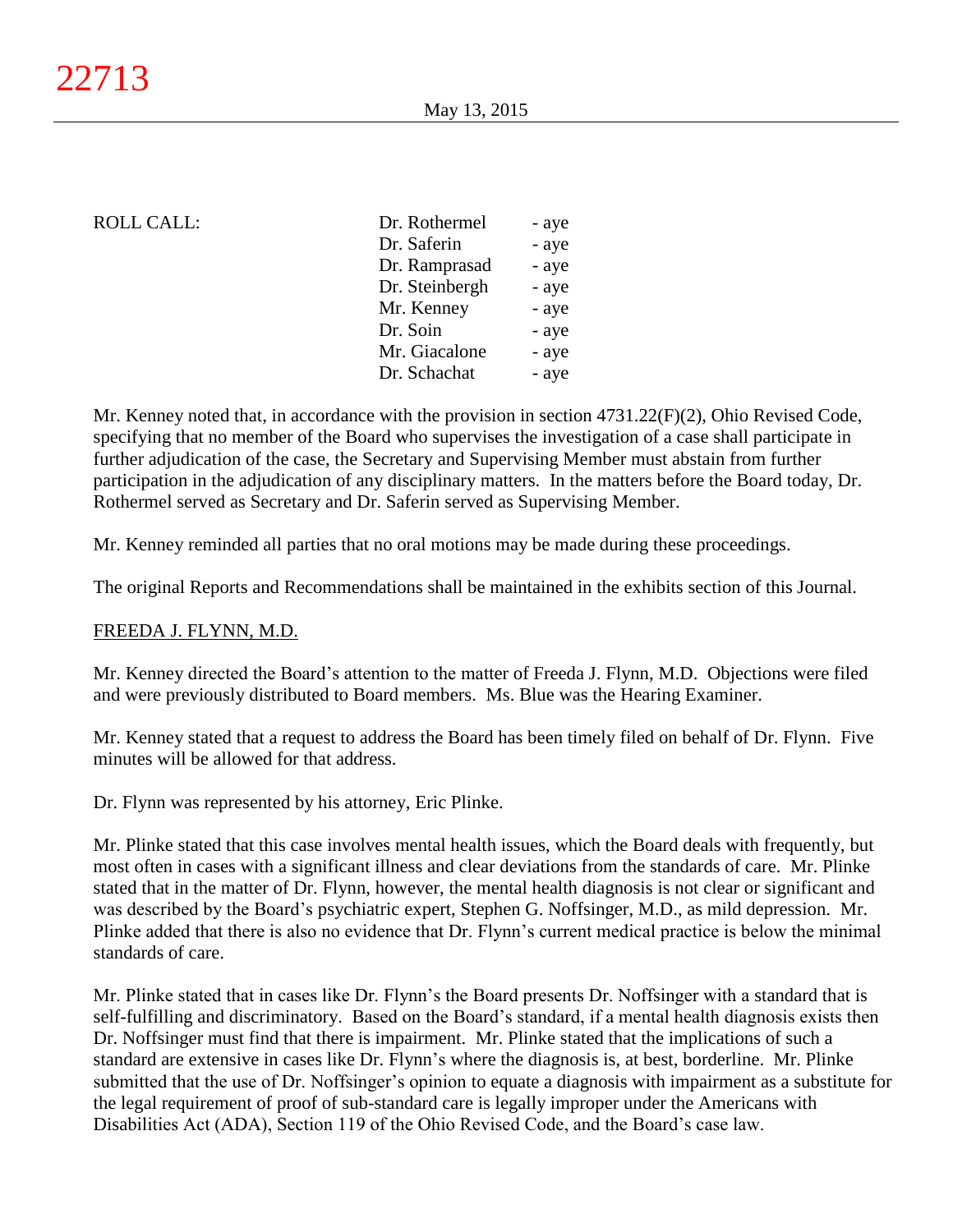## ROLL CALL:

| Dr. Rothermel  | - aye |
|----------------|-------|
| Dr. Saferin    | - aye |
| Dr. Ramprasad  | - aye |
| Dr. Steinbergh | - aye |
| Mr. Kenney     | - aye |
| Dr. Soin       | - aye |
| Mr. Giacalone  | - aye |
| Dr. Schachat   | - aye |
|                |       |

Mr. Kenney noted that, in accordance with the provision in section 4731.22(F)(2), Ohio Revised Code, specifying that no member of the Board who supervises the investigation of a case shall participate in further adjudication of the case, the Secretary and Supervising Member must abstain from further participation in the adjudication of any disciplinary matters. In the matters before the Board today, Dr. Rothermel served as Secretary and Dr. Saferin served as Supervising Member.

Mr. Kenney reminded all parties that no oral motions may be made during these proceedings.

The original Reports and Recommendations shall be maintained in the exhibits section of this Journal.

#### FREEDA J. FLYNN, M.D.

Mr. Kenney directed the Board's attention to the matter of Freeda J. Flynn, M.D. Objections were filed and were previously distributed to Board members. Ms. Blue was the Hearing Examiner.

Mr. Kenney stated that a request to address the Board has been timely filed on behalf of Dr. Flynn. Five minutes will be allowed for that address.

Dr. Flynn was represented by his attorney, Eric Plinke.

Mr. Plinke stated that this case involves mental health issues, which the Board deals with frequently, but most often in cases with a significant illness and clear deviations from the standards of care. Mr. Plinke stated that in the matter of Dr. Flynn, however, the mental health diagnosis is not clear or significant and was described by the Board's psychiatric expert, Stephen G. Noffsinger, M.D., as mild depression. Mr. Plinke added that there is also no evidence that Dr. Flynn's current medical practice is below the minimal standards of care.

Mr. Plinke stated that in cases like Dr. Flynn's the Board presents Dr. Noffsinger with a standard that is self-fulfilling and discriminatory. Based on the Board's standard, if a mental health diagnosis exists then Dr. Noffsinger must find that there is impairment. Mr. Plinke stated that the implications of such a standard are extensive in cases like Dr. Flynn's where the diagnosis is, at best, borderline. Mr. Plinke submitted that the use of Dr. Noffsinger's opinion to equate a diagnosis with impairment as a substitute for the legal requirement of proof of sub-standard care is legally improper under the Americans with Disabilities Act (ADA), Section 119 of the Ohio Revised Code, and the Board's case law.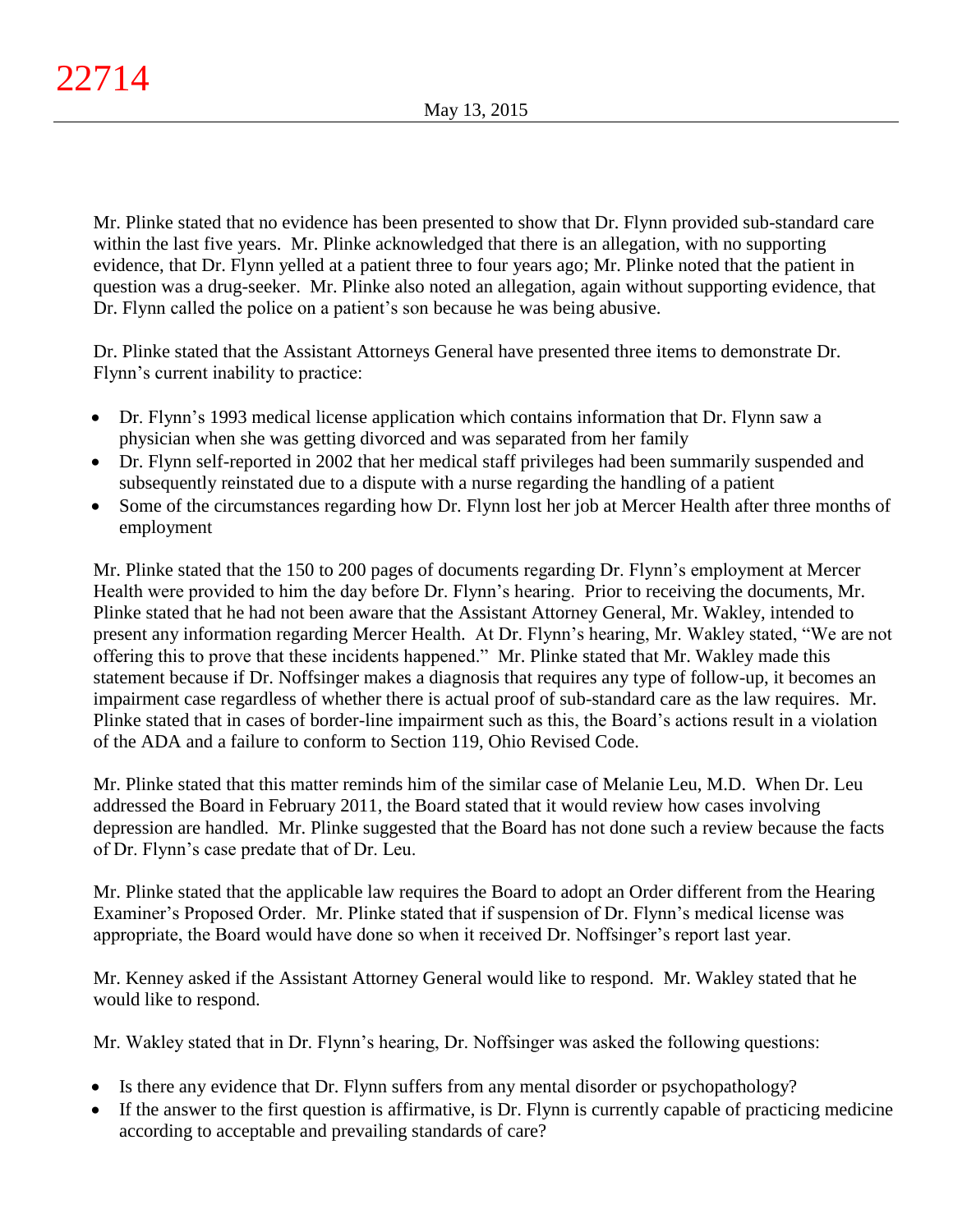Mr. Plinke stated that no evidence has been presented to show that Dr. Flynn provided sub-standard care within the last five years. Mr. Plinke acknowledged that there is an allegation, with no supporting evidence, that Dr. Flynn yelled at a patient three to four years ago; Mr. Plinke noted that the patient in question was a drug-seeker. Mr. Plinke also noted an allegation, again without supporting evidence, that Dr. Flynn called the police on a patient's son because he was being abusive.

Dr. Plinke stated that the Assistant Attorneys General have presented three items to demonstrate Dr. Flynn's current inability to practice:

- Dr. Flynn's 1993 medical license application which contains information that Dr. Flynn saw a physician when she was getting divorced and was separated from her family
- Dr. Flynn self-reported in 2002 that her medical staff privileges had been summarily suspended and subsequently reinstated due to a dispute with a nurse regarding the handling of a patient
- Some of the circumstances regarding how Dr. Flynn lost her job at Mercer Health after three months of employment

Mr. Plinke stated that the 150 to 200 pages of documents regarding Dr. Flynn's employment at Mercer Health were provided to him the day before Dr. Flynn's hearing. Prior to receiving the documents, Mr. Plinke stated that he had not been aware that the Assistant Attorney General, Mr. Wakley, intended to present any information regarding Mercer Health. At Dr. Flynn's hearing, Mr. Wakley stated, "We are not offering this to prove that these incidents happened." Mr. Plinke stated that Mr. Wakley made this statement because if Dr. Noffsinger makes a diagnosis that requires any type of follow-up, it becomes an impairment case regardless of whether there is actual proof of sub-standard care as the law requires. Mr. Plinke stated that in cases of border-line impairment such as this, the Board's actions result in a violation of the ADA and a failure to conform to Section 119, Ohio Revised Code.

Mr. Plinke stated that this matter reminds him of the similar case of Melanie Leu, M.D. When Dr. Leu addressed the Board in February 2011, the Board stated that it would review how cases involving depression are handled. Mr. Plinke suggested that the Board has not done such a review because the facts of Dr. Flynn's case predate that of Dr. Leu.

Mr. Plinke stated that the applicable law requires the Board to adopt an Order different from the Hearing Examiner's Proposed Order. Mr. Plinke stated that if suspension of Dr. Flynn's medical license was appropriate, the Board would have done so when it received Dr. Noffsinger's report last year.

Mr. Kenney asked if the Assistant Attorney General would like to respond. Mr. Wakley stated that he would like to respond.

Mr. Wakley stated that in Dr. Flynn's hearing, Dr. Noffsinger was asked the following questions:

- Is there any evidence that Dr. Flynn suffers from any mental disorder or psychopathology?
- If the answer to the first question is affirmative, is Dr. Flynn is currently capable of practicing medicine according to acceptable and prevailing standards of care?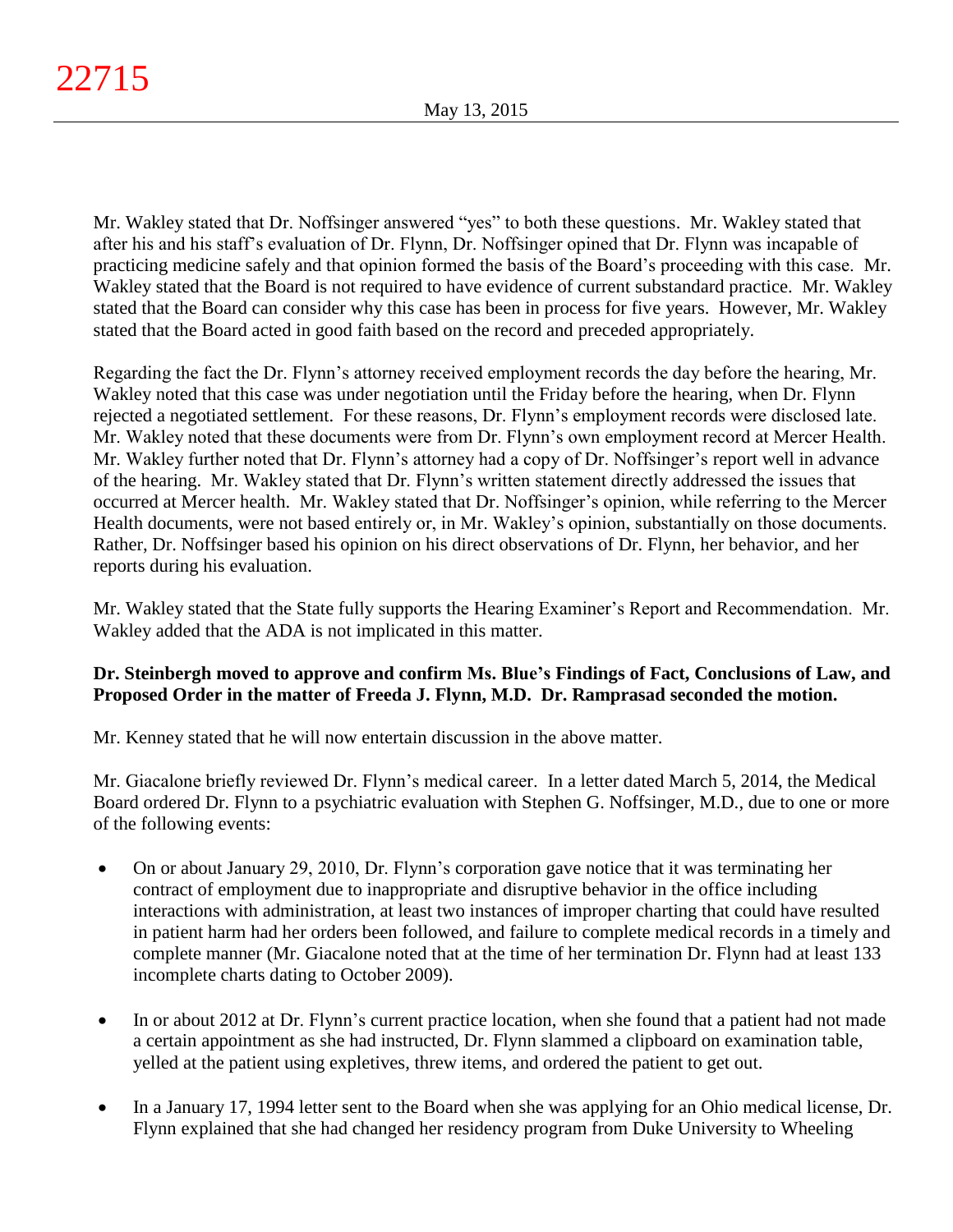Mr. Wakley stated that Dr. Noffsinger answered "yes" to both these questions. Mr. Wakley stated that after his and his staff's evaluation of Dr. Flynn, Dr. Noffsinger opined that Dr. Flynn was incapable of practicing medicine safely and that opinion formed the basis of the Board's proceeding with this case. Mr. Wakley stated that the Board is not required to have evidence of current substandard practice. Mr. Wakley stated that the Board can consider why this case has been in process for five years. However, Mr. Wakley stated that the Board acted in good faith based on the record and preceded appropriately.

Regarding the fact the Dr. Flynn's attorney received employment records the day before the hearing, Mr. Wakley noted that this case was under negotiation until the Friday before the hearing, when Dr. Flynn rejected a negotiated settlement. For these reasons, Dr. Flynn's employment records were disclosed late. Mr. Wakley noted that these documents were from Dr. Flynn's own employment record at Mercer Health. Mr. Wakley further noted that Dr. Flynn's attorney had a copy of Dr. Noffsinger's report well in advance of the hearing. Mr. Wakley stated that Dr. Flynn's written statement directly addressed the issues that occurred at Mercer health. Mr. Wakley stated that Dr. Noffsinger's opinion, while referring to the Mercer Health documents, were not based entirely or, in Mr. Wakley's opinion, substantially on those documents. Rather, Dr. Noffsinger based his opinion on his direct observations of Dr. Flynn, her behavior, and her reports during his evaluation.

Mr. Wakley stated that the State fully supports the Hearing Examiner's Report and Recommendation. Mr. Wakley added that the ADA is not implicated in this matter.

# **Dr. Steinbergh moved to approve and confirm Ms. Blue's Findings of Fact, Conclusions of Law, and Proposed Order in the matter of Freeda J. Flynn, M.D. Dr. Ramprasad seconded the motion.**

Mr. Kenney stated that he will now entertain discussion in the above matter.

Mr. Giacalone briefly reviewed Dr. Flynn's medical career. In a letter dated March 5, 2014, the Medical Board ordered Dr. Flynn to a psychiatric evaluation with Stephen G. Noffsinger, M.D., due to one or more of the following events:

- On or about January 29, 2010, Dr. Flynn's corporation gave notice that it was terminating her contract of employment due to inappropriate and disruptive behavior in the office including interactions with administration, at least two instances of improper charting that could have resulted in patient harm had her orders been followed, and failure to complete medical records in a timely and complete manner (Mr. Giacalone noted that at the time of her termination Dr. Flynn had at least 133 incomplete charts dating to October 2009).
- In or about 2012 at Dr. Flynn's current practice location, when she found that a patient had not made a certain appointment as she had instructed, Dr. Flynn slammed a clipboard on examination table, yelled at the patient using expletives, threw items, and ordered the patient to get out.
- In a January 17, 1994 letter sent to the Board when she was applying for an Ohio medical license, Dr. Flynn explained that she had changed her residency program from Duke University to Wheeling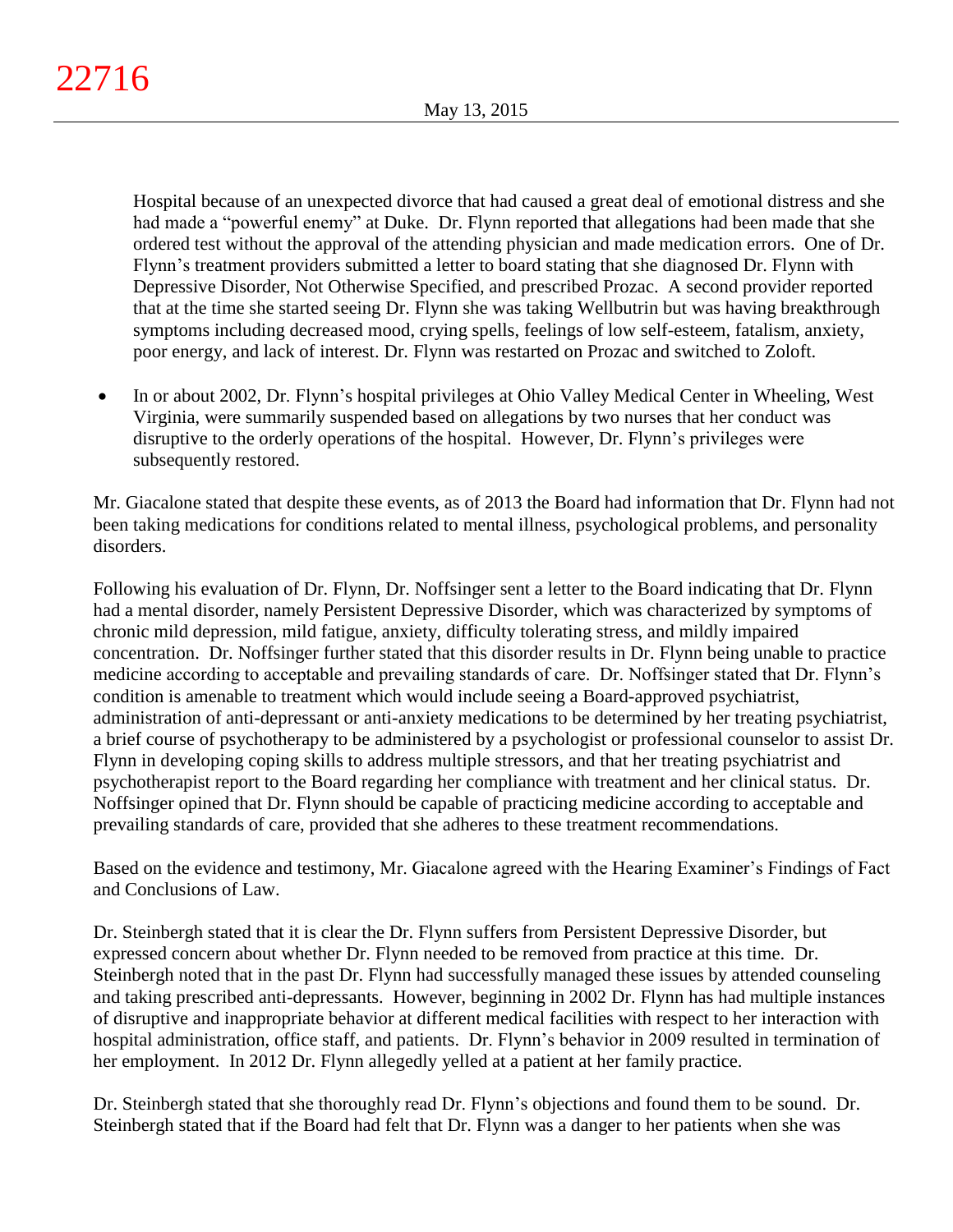Hospital because of an unexpected divorce that had caused a great deal of emotional distress and she had made a "powerful enemy" at Duke. Dr. Flynn reported that allegations had been made that she ordered test without the approval of the attending physician and made medication errors. One of Dr. Flynn's treatment providers submitted a letter to board stating that she diagnosed Dr. Flynn with Depressive Disorder, Not Otherwise Specified, and prescribed Prozac. A second provider reported that at the time she started seeing Dr. Flynn she was taking Wellbutrin but was having breakthrough symptoms including decreased mood, crying spells, feelings of low self-esteem, fatalism, anxiety, poor energy, and lack of interest. Dr. Flynn was restarted on Prozac and switched to Zoloft.

• In or about 2002, Dr. Flynn's hospital privileges at Ohio Valley Medical Center in Wheeling, West Virginia, were summarily suspended based on allegations by two nurses that her conduct was disruptive to the orderly operations of the hospital. However, Dr. Flynn's privileges were subsequently restored.

Mr. Giacalone stated that despite these events, as of 2013 the Board had information that Dr. Flynn had not been taking medications for conditions related to mental illness, psychological problems, and personality disorders.

Following his evaluation of Dr. Flynn, Dr. Noffsinger sent a letter to the Board indicating that Dr. Flynn had a mental disorder, namely Persistent Depressive Disorder, which was characterized by symptoms of chronic mild depression, mild fatigue, anxiety, difficulty tolerating stress, and mildly impaired concentration. Dr. Noffsinger further stated that this disorder results in Dr. Flynn being unable to practice medicine according to acceptable and prevailing standards of care. Dr. Noffsinger stated that Dr. Flynn's condition is amenable to treatment which would include seeing a Board-approved psychiatrist, administration of anti-depressant or anti-anxiety medications to be determined by her treating psychiatrist, a brief course of psychotherapy to be administered by a psychologist or professional counselor to assist Dr. Flynn in developing coping skills to address multiple stressors, and that her treating psychiatrist and psychotherapist report to the Board regarding her compliance with treatment and her clinical status. Dr. Noffsinger opined that Dr. Flynn should be capable of practicing medicine according to acceptable and prevailing standards of care, provided that she adheres to these treatment recommendations.

Based on the evidence and testimony, Mr. Giacalone agreed with the Hearing Examiner's Findings of Fact and Conclusions of Law.

Dr. Steinbergh stated that it is clear the Dr. Flynn suffers from Persistent Depressive Disorder, but expressed concern about whether Dr. Flynn needed to be removed from practice at this time. Dr. Steinbergh noted that in the past Dr. Flynn had successfully managed these issues by attended counseling and taking prescribed anti-depressants. However, beginning in 2002 Dr. Flynn has had multiple instances of disruptive and inappropriate behavior at different medical facilities with respect to her interaction with hospital administration, office staff, and patients. Dr. Flynn's behavior in 2009 resulted in termination of her employment. In 2012 Dr. Flynn allegedly yelled at a patient at her family practice.

Dr. Steinbergh stated that she thoroughly read Dr. Flynn's objections and found them to be sound. Dr. Steinbergh stated that if the Board had felt that Dr. Flynn was a danger to her patients when she was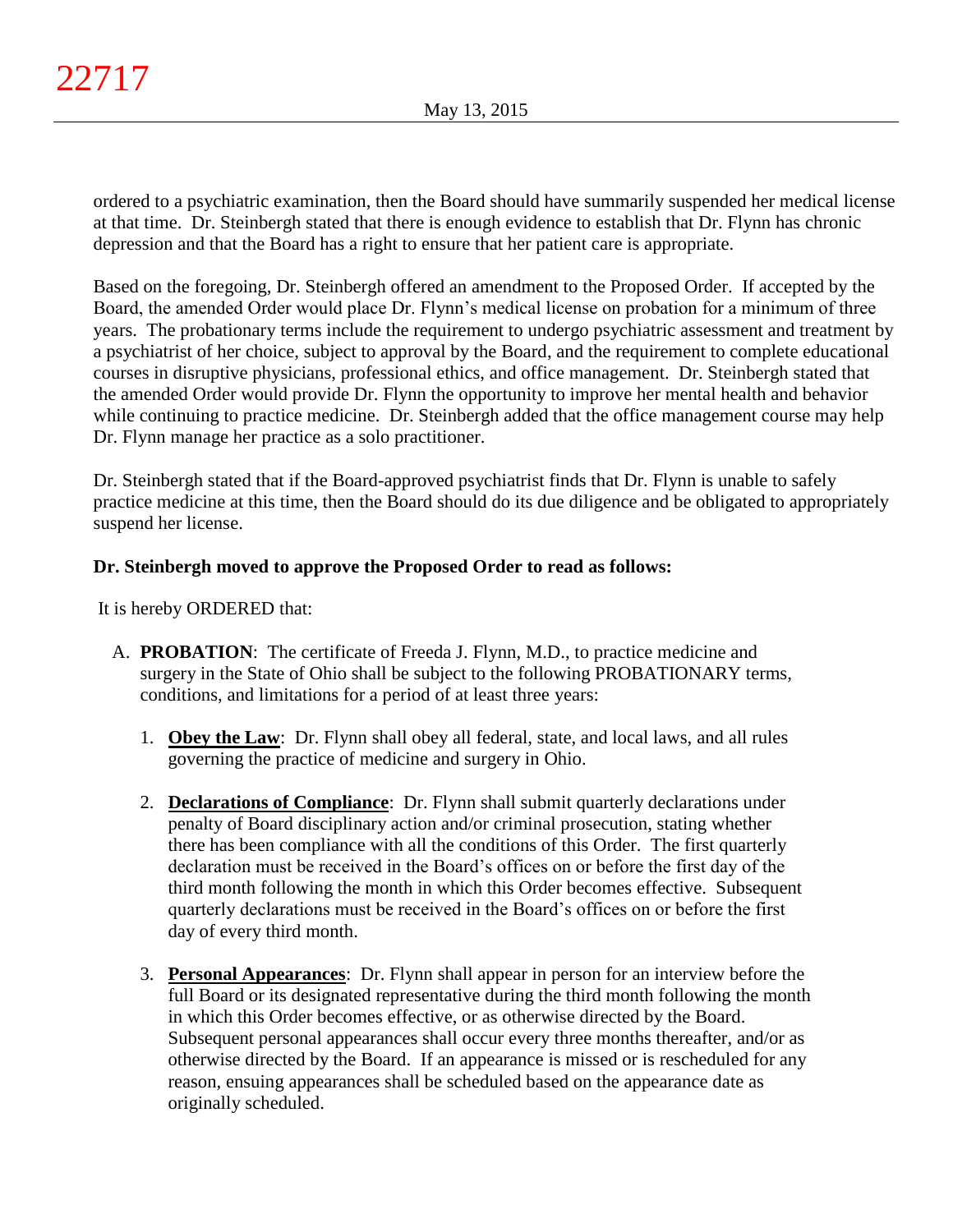ordered to a psychiatric examination, then the Board should have summarily suspended her medical license at that time. Dr. Steinbergh stated that there is enough evidence to establish that Dr. Flynn has chronic depression and that the Board has a right to ensure that her patient care is appropriate.

Based on the foregoing, Dr. Steinbergh offered an amendment to the Proposed Order. If accepted by the Board, the amended Order would place Dr. Flynn's medical license on probation for a minimum of three years. The probationary terms include the requirement to undergo psychiatric assessment and treatment by a psychiatrist of her choice, subject to approval by the Board, and the requirement to complete educational courses in disruptive physicians, professional ethics, and office management. Dr. Steinbergh stated that the amended Order would provide Dr. Flynn the opportunity to improve her mental health and behavior while continuing to practice medicine. Dr. Steinbergh added that the office management course may help Dr. Flynn manage her practice as a solo practitioner.

Dr. Steinbergh stated that if the Board-approved psychiatrist finds that Dr. Flynn is unable to safely practice medicine at this time, then the Board should do its due diligence and be obligated to appropriately suspend her license.

# **Dr. Steinbergh moved to approve the Proposed Order to read as follows:**

It is hereby ORDERED that:

- A. **PROBATION**: The certificate of Freeda J. Flynn, M.D., to practice medicine and surgery in the State of Ohio shall be subject to the following PROBATIONARY terms, conditions, and limitations for a period of at least three years:
	- 1. **Obey the Law**: Dr. Flynn shall obey all federal, state, and local laws, and all rules governing the practice of medicine and surgery in Ohio.
	- 2. **Declarations of Compliance**: Dr. Flynn shall submit quarterly declarations under penalty of Board disciplinary action and/or criminal prosecution, stating whether there has been compliance with all the conditions of this Order. The first quarterly declaration must be received in the Board's offices on or before the first day of the third month following the month in which this Order becomes effective. Subsequent quarterly declarations must be received in the Board's offices on or before the first day of every third month.
	- 3. **Personal Appearances**: Dr. Flynn shall appear in person for an interview before the full Board or its designated representative during the third month following the month in which this Order becomes effective, or as otherwise directed by the Board. Subsequent personal appearances shall occur every three months thereafter, and/or as otherwise directed by the Board. If an appearance is missed or is rescheduled for any reason, ensuing appearances shall be scheduled based on the appearance date as originally scheduled.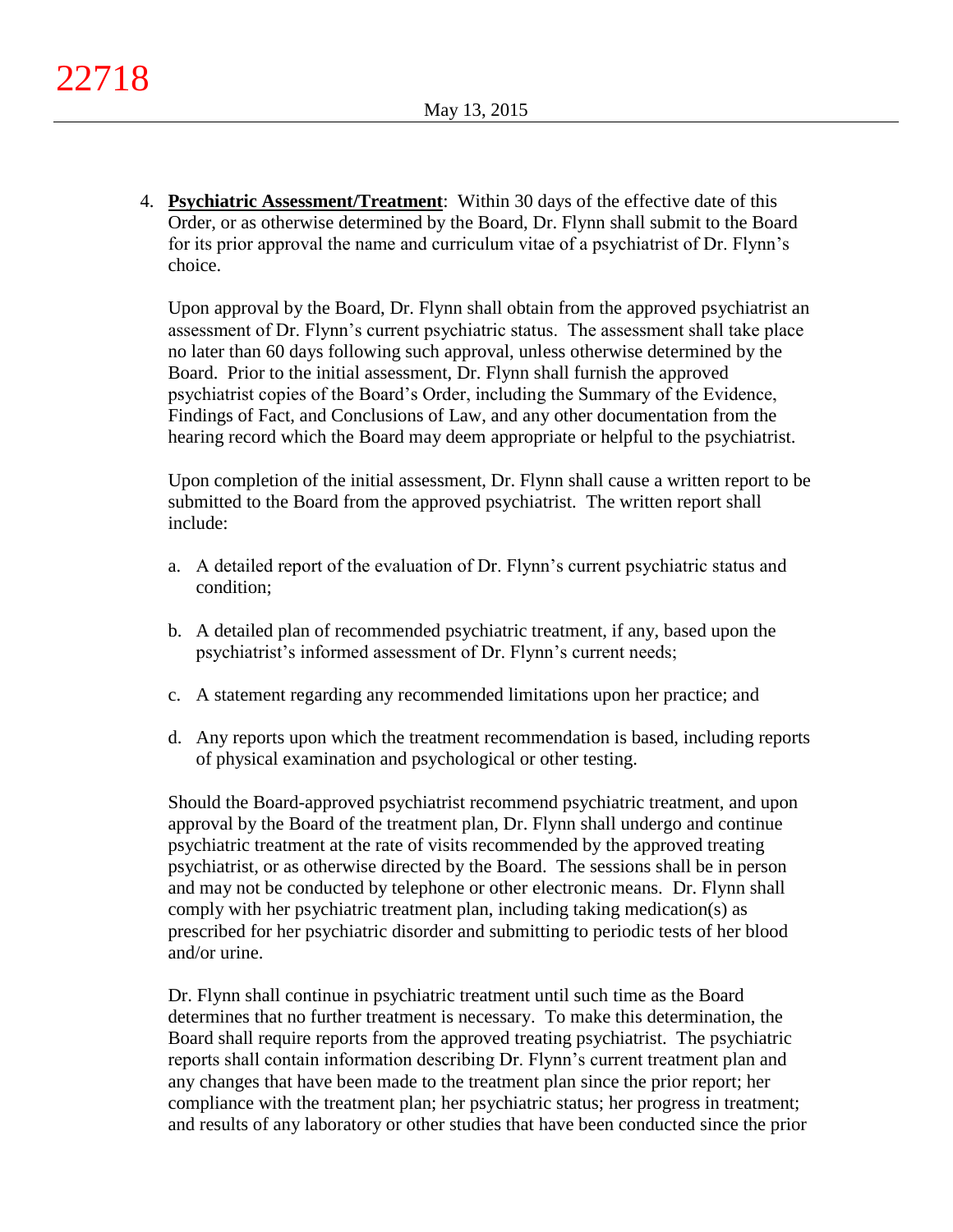4. **Psychiatric Assessment/Treatment**: Within 30 days of the effective date of this Order, or as otherwise determined by the Board, Dr. Flynn shall submit to the Board for its prior approval the name and curriculum vitae of a psychiatrist of Dr. Flynn's choice.

Upon approval by the Board, Dr. Flynn shall obtain from the approved psychiatrist an assessment of Dr. Flynn's current psychiatric status. The assessment shall take place no later than 60 days following such approval, unless otherwise determined by the Board. Prior to the initial assessment, Dr. Flynn shall furnish the approved psychiatrist copies of the Board's Order, including the Summary of the Evidence, Findings of Fact, and Conclusions of Law, and any other documentation from the hearing record which the Board may deem appropriate or helpful to the psychiatrist.

Upon completion of the initial assessment, Dr. Flynn shall cause a written report to be submitted to the Board from the approved psychiatrist. The written report shall include:

- a. A detailed report of the evaluation of Dr. Flynn's current psychiatric status and condition;
- b. A detailed plan of recommended psychiatric treatment, if any, based upon the psychiatrist's informed assessment of Dr. Flynn's current needs;
- c. A statement regarding any recommended limitations upon her practice; and
- d. Any reports upon which the treatment recommendation is based, including reports of physical examination and psychological or other testing.

Should the Board-approved psychiatrist recommend psychiatric treatment, and upon approval by the Board of the treatment plan, Dr. Flynn shall undergo and continue psychiatric treatment at the rate of visits recommended by the approved treating psychiatrist, or as otherwise directed by the Board. The sessions shall be in person and may not be conducted by telephone or other electronic means. Dr. Flynn shall comply with her psychiatric treatment plan, including taking medication(s) as prescribed for her psychiatric disorder and submitting to periodic tests of her blood and/or urine.

Dr. Flynn shall continue in psychiatric treatment until such time as the Board determines that no further treatment is necessary. To make this determination, the Board shall require reports from the approved treating psychiatrist. The psychiatric reports shall contain information describing Dr. Flynn's current treatment plan and any changes that have been made to the treatment plan since the prior report; her compliance with the treatment plan; her psychiatric status; her progress in treatment; and results of any laboratory or other studies that have been conducted since the prior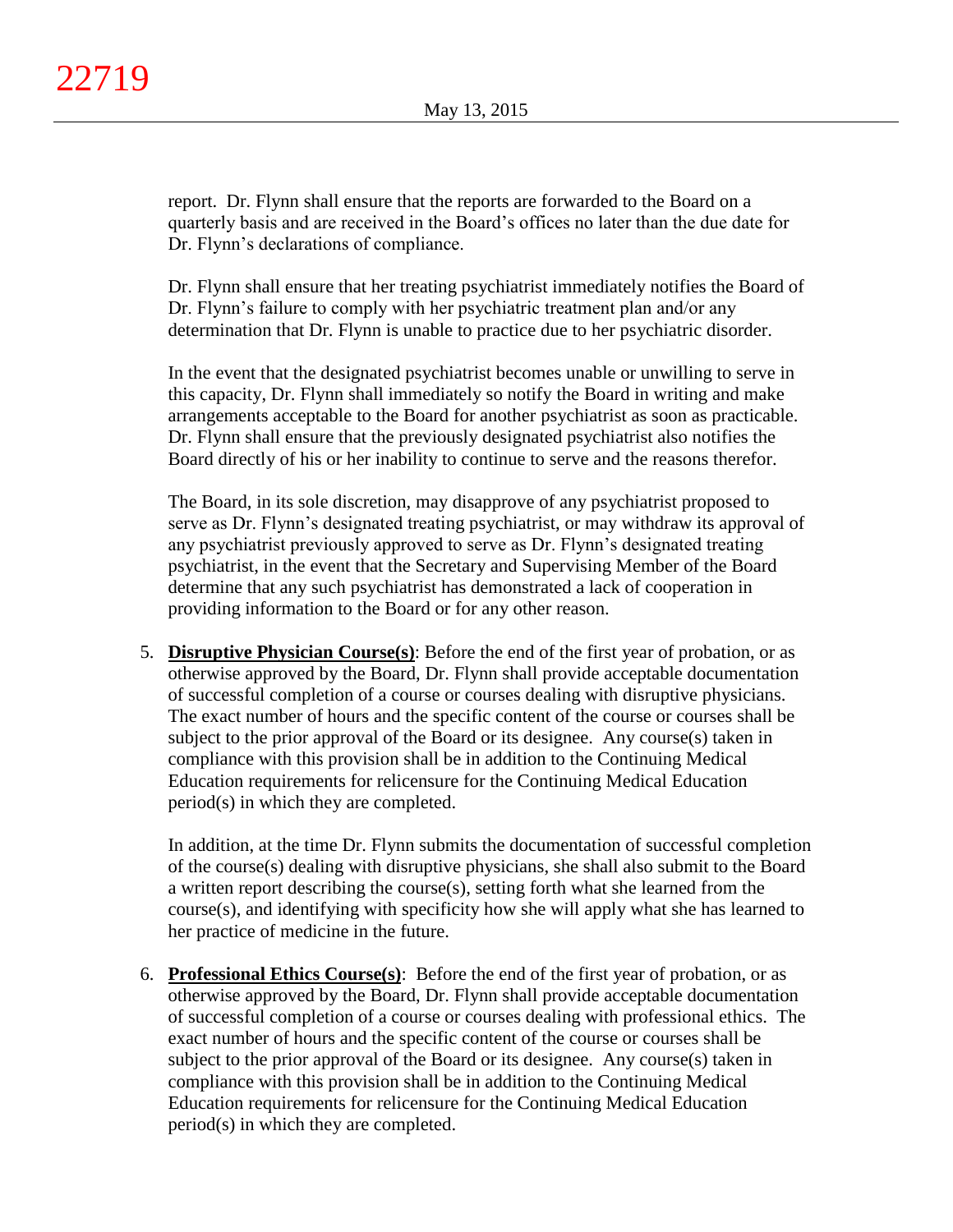report. Dr. Flynn shall ensure that the reports are forwarded to the Board on a quarterly basis and are received in the Board's offices no later than the due date for Dr. Flynn's declarations of compliance.

Dr. Flynn shall ensure that her treating psychiatrist immediately notifies the Board of Dr. Flynn's failure to comply with her psychiatric treatment plan and/or any determination that Dr. Flynn is unable to practice due to her psychiatric disorder.

In the event that the designated psychiatrist becomes unable or unwilling to serve in this capacity, Dr. Flynn shall immediately so notify the Board in writing and make arrangements acceptable to the Board for another psychiatrist as soon as practicable. Dr. Flynn shall ensure that the previously designated psychiatrist also notifies the Board directly of his or her inability to continue to serve and the reasons therefor.

The Board, in its sole discretion, may disapprove of any psychiatrist proposed to serve as Dr. Flynn's designated treating psychiatrist, or may withdraw its approval of any psychiatrist previously approved to serve as Dr. Flynn's designated treating psychiatrist, in the event that the Secretary and Supervising Member of the Board determine that any such psychiatrist has demonstrated a lack of cooperation in providing information to the Board or for any other reason.

5. **Disruptive Physician Course(s)**: Before the end of the first year of probation, or as otherwise approved by the Board, Dr. Flynn shall provide acceptable documentation of successful completion of a course or courses dealing with disruptive physicians. The exact number of hours and the specific content of the course or courses shall be subject to the prior approval of the Board or its designee. Any course(s) taken in compliance with this provision shall be in addition to the Continuing Medical Education requirements for relicensure for the Continuing Medical Education period(s) in which they are completed.

In addition, at the time Dr. Flynn submits the documentation of successful completion of the course(s) dealing with disruptive physicians, she shall also submit to the Board a written report describing the course(s), setting forth what she learned from the course(s), and identifying with specificity how she will apply what she has learned to her practice of medicine in the future.

6. **Professional Ethics Course(s)**: Before the end of the first year of probation, or as otherwise approved by the Board, Dr. Flynn shall provide acceptable documentation of successful completion of a course or courses dealing with professional ethics. The exact number of hours and the specific content of the course or courses shall be subject to the prior approval of the Board or its designee. Any course(s) taken in compliance with this provision shall be in addition to the Continuing Medical Education requirements for relicensure for the Continuing Medical Education period(s) in which they are completed.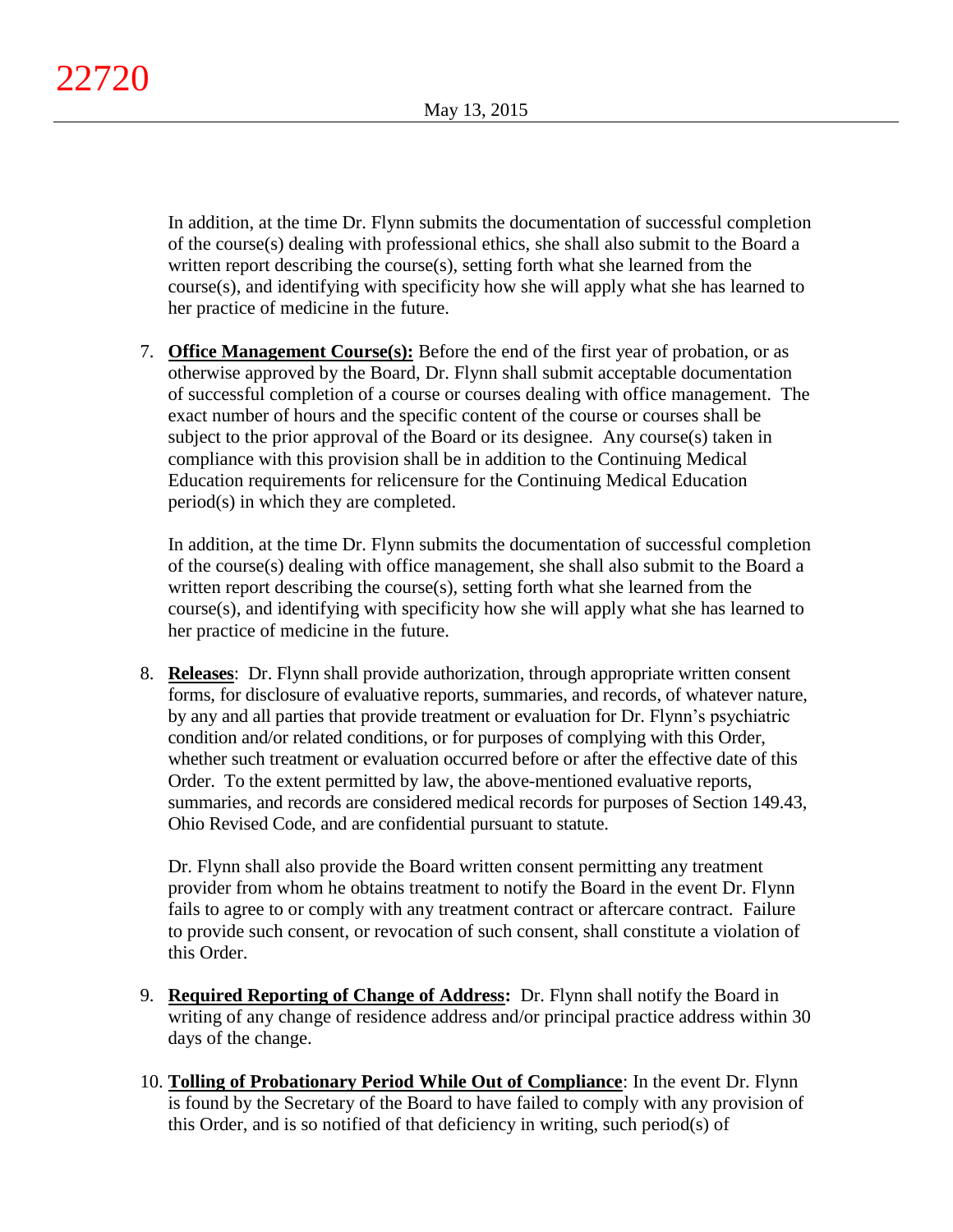In addition, at the time Dr. Flynn submits the documentation of successful completion of the course(s) dealing with professional ethics, she shall also submit to the Board a written report describing the course(s), setting forth what she learned from the course(s), and identifying with specificity how she will apply what she has learned to her practice of medicine in the future.

7. **Office Management Course(s):** Before the end of the first year of probation, or as otherwise approved by the Board, Dr. Flynn shall submit acceptable documentation of successful completion of a course or courses dealing with office management. The exact number of hours and the specific content of the course or courses shall be subject to the prior approval of the Board or its designee. Any course(s) taken in compliance with this provision shall be in addition to the Continuing Medical Education requirements for relicensure for the Continuing Medical Education period(s) in which they are completed.

In addition, at the time Dr. Flynn submits the documentation of successful completion of the course(s) dealing with office management, she shall also submit to the Board a written report describing the course(s), setting forth what she learned from the course(s), and identifying with specificity how she will apply what she has learned to her practice of medicine in the future.

8. **Releases**: Dr. Flynn shall provide authorization, through appropriate written consent forms, for disclosure of evaluative reports, summaries, and records, of whatever nature, by any and all parties that provide treatment or evaluation for Dr. Flynn's psychiatric condition and/or related conditions, or for purposes of complying with this Order, whether such treatment or evaluation occurred before or after the effective date of this Order. To the extent permitted by law, the above-mentioned evaluative reports, summaries, and records are considered medical records for purposes of Section 149.43, Ohio Revised Code, and are confidential pursuant to statute.

Dr. Flynn shall also provide the Board written consent permitting any treatment provider from whom he obtains treatment to notify the Board in the event Dr. Flynn fails to agree to or comply with any treatment contract or aftercare contract. Failure to provide such consent, or revocation of such consent, shall constitute a violation of this Order.

- 9. **Required Reporting of Change of Address:** Dr. Flynn shall notify the Board in writing of any change of residence address and/or principal practice address within 30 days of the change.
- 10. **Tolling of Probationary Period While Out of Compliance**: In the event Dr. Flynn is found by the Secretary of the Board to have failed to comply with any provision of this Order, and is so notified of that deficiency in writing, such period(s) of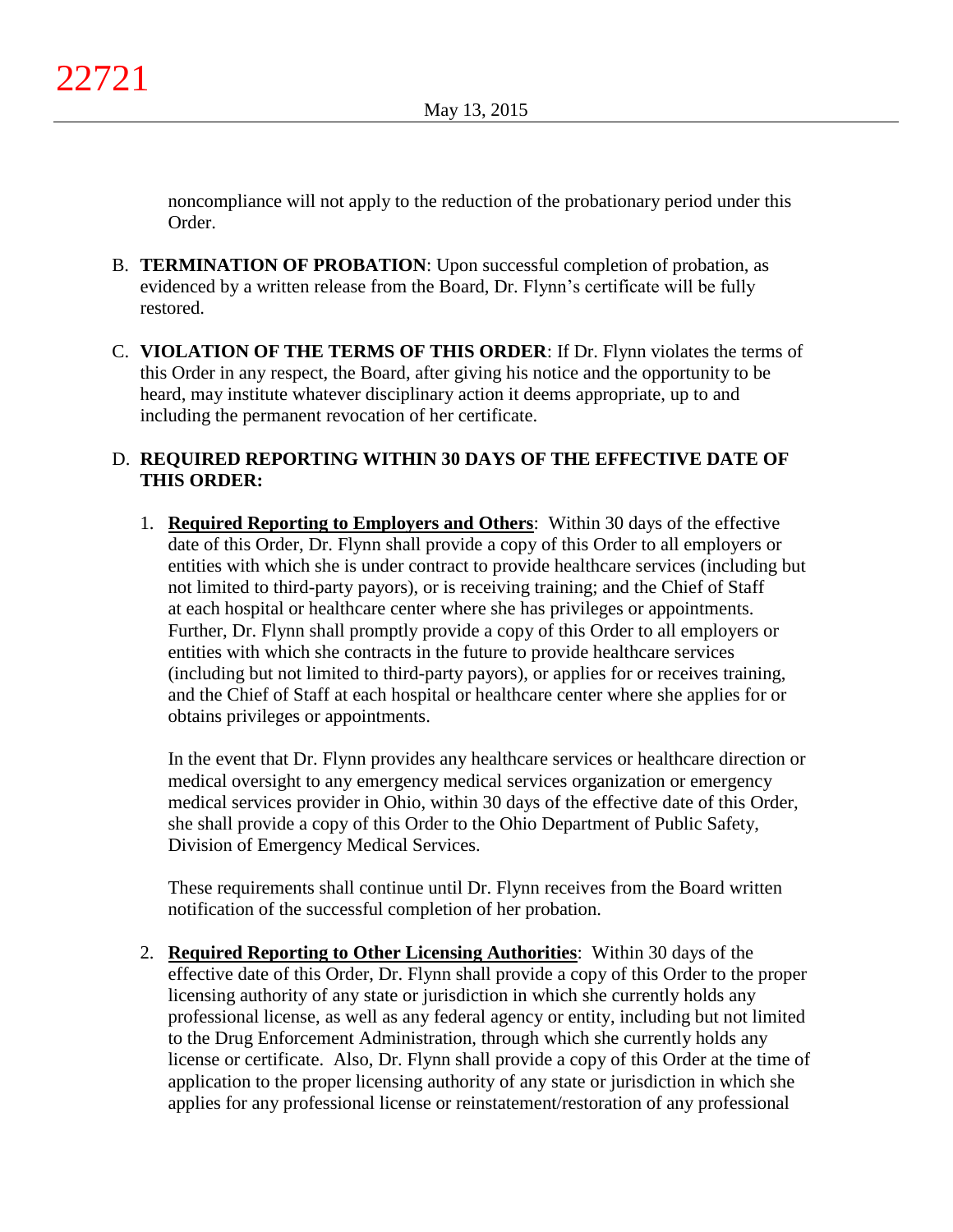noncompliance will not apply to the reduction of the probationary period under this Order.

- B. **TERMINATION OF PROBATION**: Upon successful completion of probation, as evidenced by a written release from the Board, Dr. Flynn's certificate will be fully restored.
- C. **VIOLATION OF THE TERMS OF THIS ORDER**: If Dr. Flynn violates the terms of this Order in any respect, the Board, after giving his notice and the opportunity to be heard, may institute whatever disciplinary action it deems appropriate, up to and including the permanent revocation of her certificate.

# D. **REQUIRED REPORTING WITHIN 30 DAYS OF THE EFFECTIVE DATE OF THIS ORDER:**

1. **Required Reporting to Employers and Others**: Within 30 days of the effective date of this Order, Dr. Flynn shall provide a copy of this Order to all employers or entities with which she is under contract to provide healthcare services (including but not limited to third-party payors), or is receiving training; and the Chief of Staff at each hospital or healthcare center where she has privileges or appointments. Further, Dr. Flynn shall promptly provide a copy of this Order to all employers or entities with which she contracts in the future to provide healthcare services (including but not limited to third-party payors), or applies for or receives training, and the Chief of Staff at each hospital or healthcare center where she applies for or obtains privileges or appointments.

In the event that Dr. Flynn provides any healthcare services or healthcare direction or medical oversight to any emergency medical services organization or emergency medical services provider in Ohio, within 30 days of the effective date of this Order, she shall provide a copy of this Order to the Ohio Department of Public Safety, Division of Emergency Medical Services.

These requirements shall continue until Dr. Flynn receives from the Board written notification of the successful completion of her probation.

2. **Required Reporting to Other Licensing Authorities**: Within 30 days of the effective date of this Order, Dr. Flynn shall provide a copy of this Order to the proper licensing authority of any state or jurisdiction in which she currently holds any professional license, as well as any federal agency or entity, including but not limited to the Drug Enforcement Administration, through which she currently holds any license or certificate. Also, Dr. Flynn shall provide a copy of this Order at the time of application to the proper licensing authority of any state or jurisdiction in which she applies for any professional license or reinstatement/restoration of any professional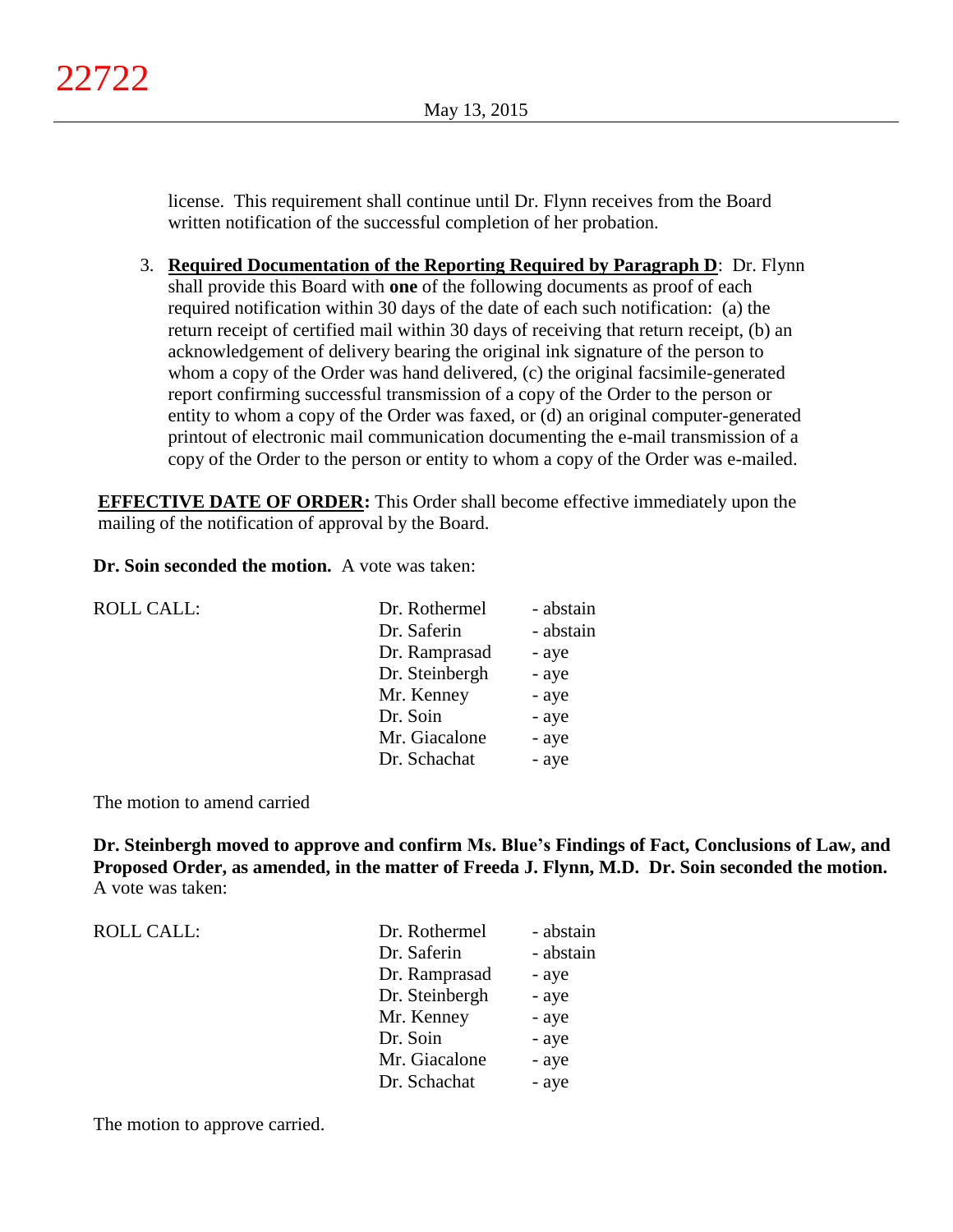license. This requirement shall continue until Dr. Flynn receives from the Board written notification of the successful completion of her probation.

3. **Required Documentation of the Reporting Required by Paragraph D**: Dr. Flynn shall provide this Board with **one** of the following documents as proof of each required notification within 30 days of the date of each such notification: (a) the return receipt of certified mail within 30 days of receiving that return receipt, (b) an acknowledgement of delivery bearing the original ink signature of the person to whom a copy of the Order was hand delivered, (c) the original facsimile-generated report confirming successful transmission of a copy of the Order to the person or entity to whom a copy of the Order was faxed, or (d) an original computer-generated printout of electronic mail communication documenting the e-mail transmission of a copy of the Order to the person or entity to whom a copy of the Order was e-mailed.

**EFFECTIVE DATE OF ORDER:** This Order shall become effective immediately upon the mailing of the notification of approval by the Board.

**Dr. Soin seconded the motion.** A vote was taken:

| <b>ROLL CALL:</b> | Dr. Rothermel  | - abstain |
|-------------------|----------------|-----------|
|                   | Dr. Saferin    | - abstain |
|                   | Dr. Ramprasad  | - aye     |
|                   | Dr. Steinbergh | - aye     |
|                   | Mr. Kenney     | - aye     |
|                   | Dr. Soin       | - aye     |
|                   | Mr. Giacalone  | - aye     |
|                   | Dr. Schachat   | - aye     |

The motion to amend carried

**Dr. Steinbergh moved to approve and confirm Ms. Blue's Findings of Fact, Conclusions of Law, and Proposed Order, as amended, in the matter of Freeda J. Flynn, M.D. Dr. Soin seconded the motion.** A vote was taken:

| ROLL CALL: | Dr. Rothermel  | - abstain |
|------------|----------------|-----------|
|            | Dr. Saferin    | - abstain |
|            | Dr. Ramprasad  | - aye     |
|            | Dr. Steinbergh | - aye     |
|            | Mr. Kenney     | - aye     |
|            | Dr. Soin       | - aye     |
|            | Mr. Giacalone  | - aye     |
|            | Dr. Schachat   | - aye     |
|            |                |           |

The motion to approve carried.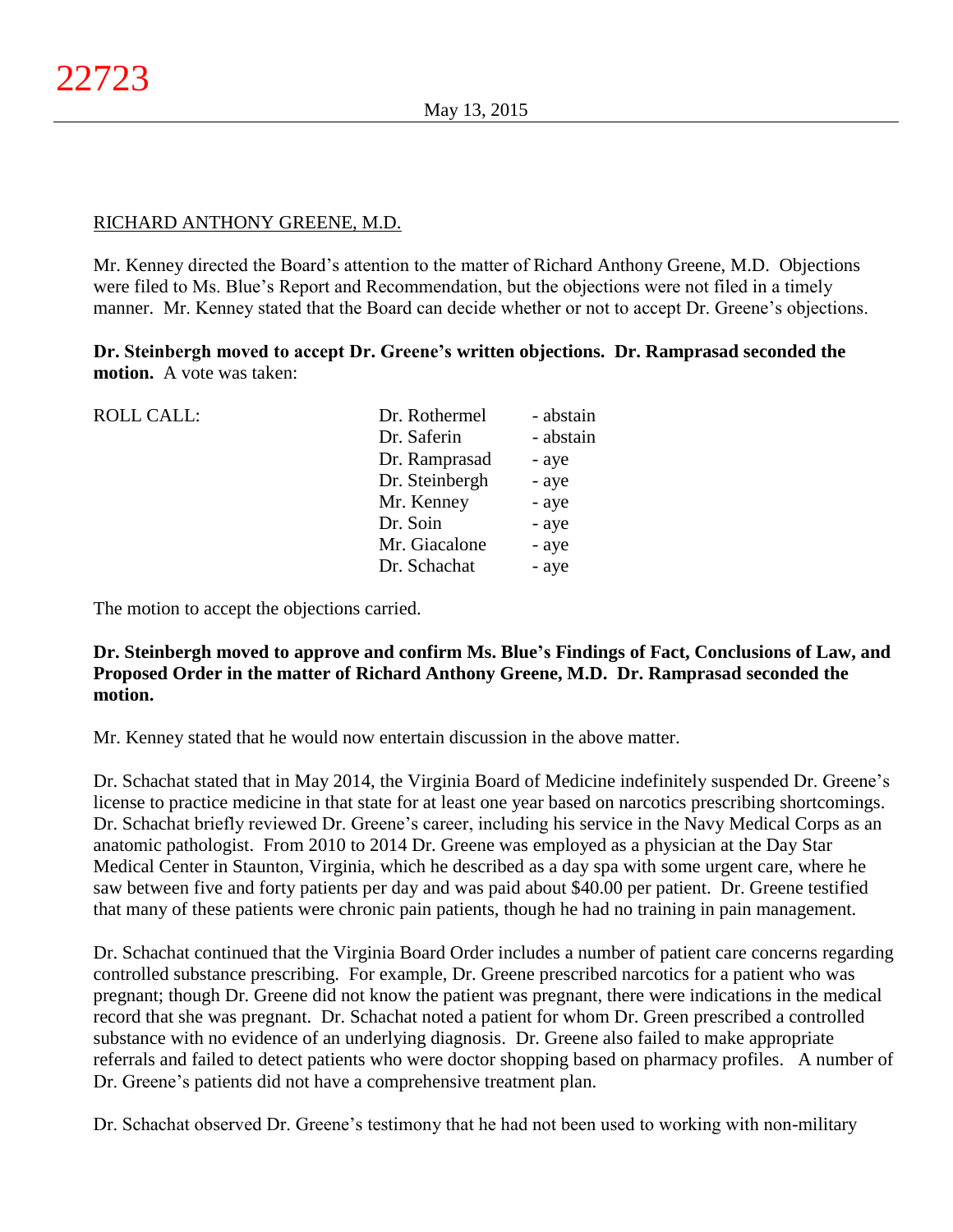# RICHARD ANTHONY GREENE, M.D.

Mr. Kenney directed the Board's attention to the matter of Richard Anthony Greene, M.D. Objections were filed to Ms. Blue's Report and Recommendation, but the objections were not filed in a timely manner. Mr. Kenney stated that the Board can decide whether or not to accept Dr. Greene's objections.

**Dr. Steinbergh moved to accept Dr. Greene's written objections. Dr. Ramprasad seconded the motion.** A vote was taken:

| <b>ROLL CALL:</b> | Dr. Rothermel  | - abstain |
|-------------------|----------------|-----------|
|                   | Dr. Saferin    | - abstain |
|                   | Dr. Ramprasad  | - aye     |
|                   | Dr. Steinbergh | - aye     |
|                   | Mr. Kenney     | - aye     |
|                   | Dr. Soin       | - aye     |
|                   | Mr. Giacalone  | - aye     |
|                   | Dr. Schachat   | - aye     |
|                   |                |           |

The motion to accept the objections carried.

# **Dr. Steinbergh moved to approve and confirm Ms. Blue's Findings of Fact, Conclusions of Law, and Proposed Order in the matter of Richard Anthony Greene, M.D. Dr. Ramprasad seconded the motion.**

Mr. Kenney stated that he would now entertain discussion in the above matter.

Dr. Schachat stated that in May 2014, the Virginia Board of Medicine indefinitely suspended Dr. Greene's license to practice medicine in that state for at least one year based on narcotics prescribing shortcomings. Dr. Schachat briefly reviewed Dr. Greene's career, including his service in the Navy Medical Corps as an anatomic pathologist. From 2010 to 2014 Dr. Greene was employed as a physician at the Day Star Medical Center in Staunton, Virginia, which he described as a day spa with some urgent care, where he saw between five and forty patients per day and was paid about \$40.00 per patient. Dr. Greene testified that many of these patients were chronic pain patients, though he had no training in pain management.

Dr. Schachat continued that the Virginia Board Order includes a number of patient care concerns regarding controlled substance prescribing. For example, Dr. Greene prescribed narcotics for a patient who was pregnant; though Dr. Greene did not know the patient was pregnant, there were indications in the medical record that she was pregnant. Dr. Schachat noted a patient for whom Dr. Green prescribed a controlled substance with no evidence of an underlying diagnosis. Dr. Greene also failed to make appropriate referrals and failed to detect patients who were doctor shopping based on pharmacy profiles. A number of Dr. Greene's patients did not have a comprehensive treatment plan.

Dr. Schachat observed Dr. Greene's testimony that he had not been used to working with non-military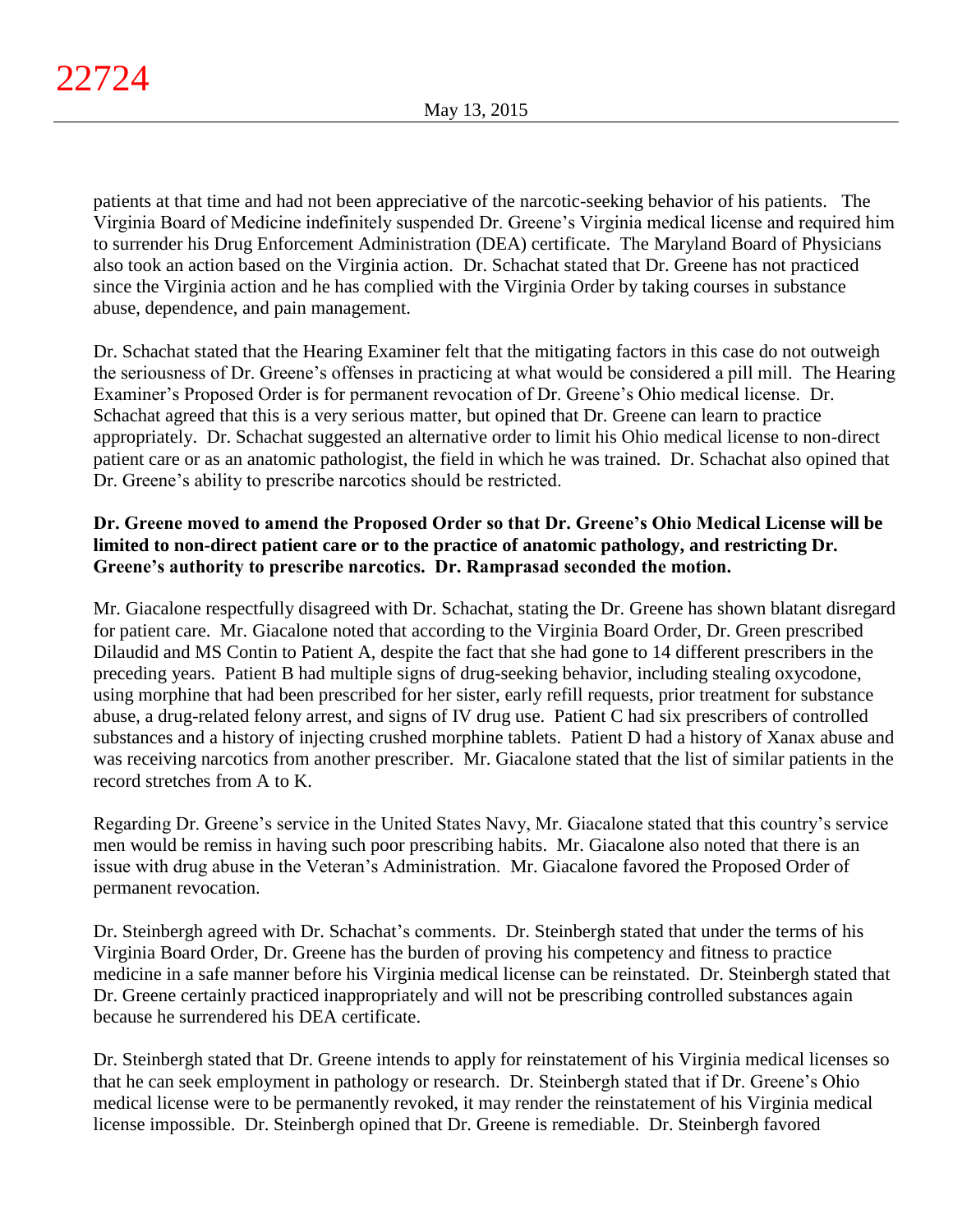patients at that time and had not been appreciative of the narcotic-seeking behavior of his patients. The Virginia Board of Medicine indefinitely suspended Dr. Greene's Virginia medical license and required him to surrender his Drug Enforcement Administration (DEA) certificate. The Maryland Board of Physicians also took an action based on the Virginia action. Dr. Schachat stated that Dr. Greene has not practiced since the Virginia action and he has complied with the Virginia Order by taking courses in substance abuse, dependence, and pain management.

Dr. Schachat stated that the Hearing Examiner felt that the mitigating factors in this case do not outweigh the seriousness of Dr. Greene's offenses in practicing at what would be considered a pill mill. The Hearing Examiner's Proposed Order is for permanent revocation of Dr. Greene's Ohio medical license. Dr. Schachat agreed that this is a very serious matter, but opined that Dr. Greene can learn to practice appropriately. Dr. Schachat suggested an alternative order to limit his Ohio medical license to non-direct patient care or as an anatomic pathologist, the field in which he was trained. Dr. Schachat also opined that Dr. Greene's ability to prescribe narcotics should be restricted.

# **Dr. Greene moved to amend the Proposed Order so that Dr. Greene's Ohio Medical License will be limited to non-direct patient care or to the practice of anatomic pathology, and restricting Dr. Greene's authority to prescribe narcotics. Dr. Ramprasad seconded the motion.**

Mr. Giacalone respectfully disagreed with Dr. Schachat, stating the Dr. Greene has shown blatant disregard for patient care. Mr. Giacalone noted that according to the Virginia Board Order, Dr. Green prescribed Dilaudid and MS Contin to Patient A, despite the fact that she had gone to 14 different prescribers in the preceding years. Patient B had multiple signs of drug-seeking behavior, including stealing oxycodone, using morphine that had been prescribed for her sister, early refill requests, prior treatment for substance abuse, a drug-related felony arrest, and signs of IV drug use. Patient C had six prescribers of controlled substances and a history of injecting crushed morphine tablets. Patient D had a history of Xanax abuse and was receiving narcotics from another prescriber. Mr. Giacalone stated that the list of similar patients in the record stretches from A to K.

Regarding Dr. Greene's service in the United States Navy, Mr. Giacalone stated that this country's service men would be remiss in having such poor prescribing habits. Mr. Giacalone also noted that there is an issue with drug abuse in the Veteran's Administration. Mr. Giacalone favored the Proposed Order of permanent revocation.

Dr. Steinbergh agreed with Dr. Schachat's comments. Dr. Steinbergh stated that under the terms of his Virginia Board Order, Dr. Greene has the burden of proving his competency and fitness to practice medicine in a safe manner before his Virginia medical license can be reinstated. Dr. Steinbergh stated that Dr. Greene certainly practiced inappropriately and will not be prescribing controlled substances again because he surrendered his DEA certificate.

Dr. Steinbergh stated that Dr. Greene intends to apply for reinstatement of his Virginia medical licenses so that he can seek employment in pathology or research. Dr. Steinbergh stated that if Dr. Greene's Ohio medical license were to be permanently revoked, it may render the reinstatement of his Virginia medical license impossible. Dr. Steinbergh opined that Dr. Greene is remediable. Dr. Steinbergh favored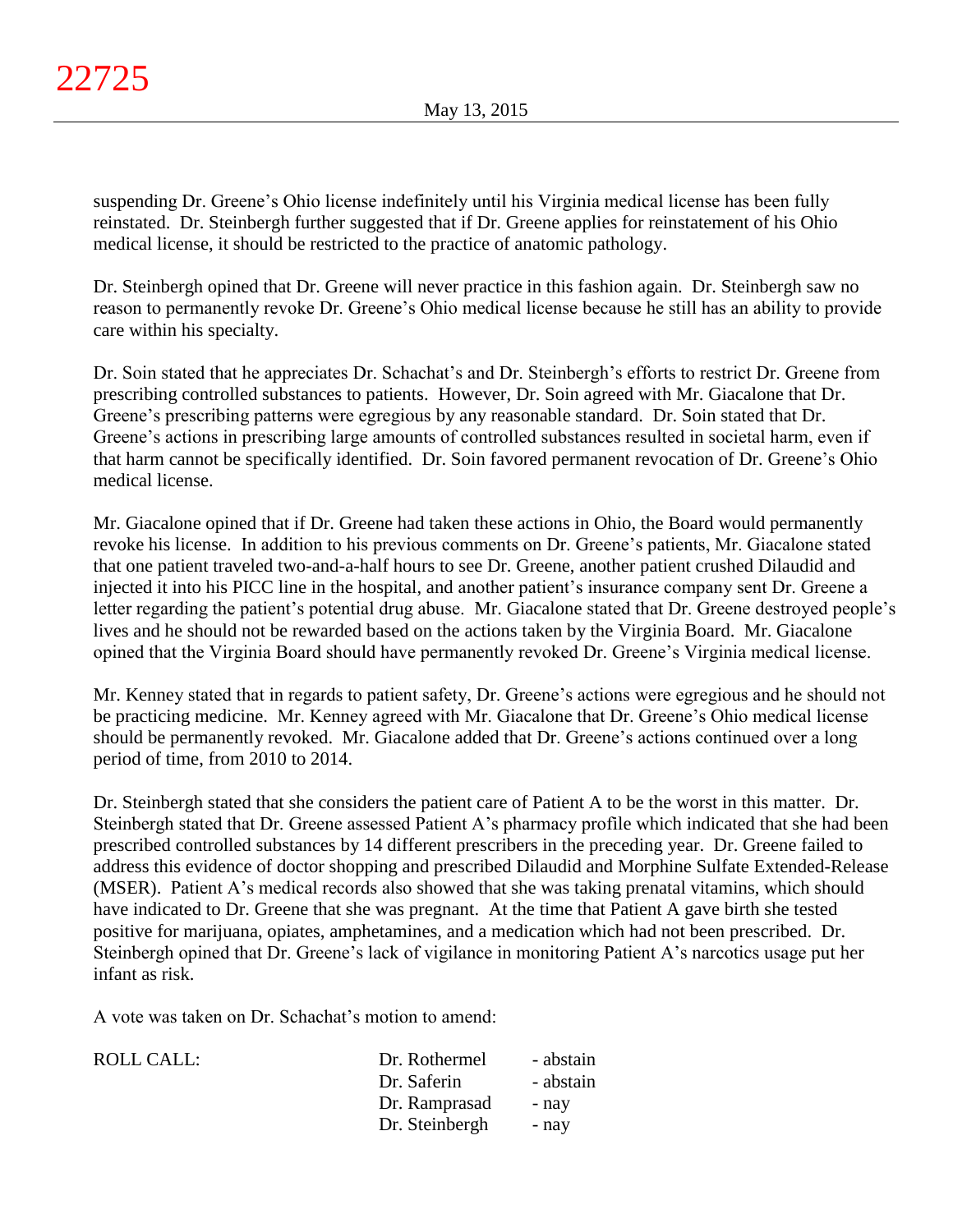suspending Dr. Greene's Ohio license indefinitely until his Virginia medical license has been fully reinstated. Dr. Steinbergh further suggested that if Dr. Greene applies for reinstatement of his Ohio medical license, it should be restricted to the practice of anatomic pathology.

Dr. Steinbergh opined that Dr. Greene will never practice in this fashion again. Dr. Steinbergh saw no reason to permanently revoke Dr. Greene's Ohio medical license because he still has an ability to provide care within his specialty.

Dr. Soin stated that he appreciates Dr. Schachat's and Dr. Steinbergh's efforts to restrict Dr. Greene from prescribing controlled substances to patients. However, Dr. Soin agreed with Mr. Giacalone that Dr. Greene's prescribing patterns were egregious by any reasonable standard. Dr. Soin stated that Dr. Greene's actions in prescribing large amounts of controlled substances resulted in societal harm, even if that harm cannot be specifically identified. Dr. Soin favored permanent revocation of Dr. Greene's Ohio medical license.

Mr. Giacalone opined that if Dr. Greene had taken these actions in Ohio, the Board would permanently revoke his license. In addition to his previous comments on Dr. Greene's patients, Mr. Giacalone stated that one patient traveled two-and-a-half hours to see Dr. Greene, another patient crushed Dilaudid and injected it into his PICC line in the hospital, and another patient's insurance company sent Dr. Greene a letter regarding the patient's potential drug abuse. Mr. Giacalone stated that Dr. Greene destroyed people's lives and he should not be rewarded based on the actions taken by the Virginia Board. Mr. Giacalone opined that the Virginia Board should have permanently revoked Dr. Greene's Virginia medical license.

Mr. Kenney stated that in regards to patient safety, Dr. Greene's actions were egregious and he should not be practicing medicine. Mr. Kenney agreed with Mr. Giacalone that Dr. Greene's Ohio medical license should be permanently revoked. Mr. Giacalone added that Dr. Greene's actions continued over a long period of time, from 2010 to 2014.

Dr. Steinbergh stated that she considers the patient care of Patient A to be the worst in this matter. Dr. Steinbergh stated that Dr. Greene assessed Patient A's pharmacy profile which indicated that she had been prescribed controlled substances by 14 different prescribers in the preceding year. Dr. Greene failed to address this evidence of doctor shopping and prescribed Dilaudid and Morphine Sulfate Extended-Release (MSER). Patient A's medical records also showed that she was taking prenatal vitamins, which should have indicated to Dr. Greene that she was pregnant. At the time that Patient A gave birth she tested positive for marijuana, opiates, amphetamines, and a medication which had not been prescribed. Dr. Steinbergh opined that Dr. Greene's lack of vigilance in monitoring Patient A's narcotics usage put her infant as risk.

A vote was taken on Dr. Schachat's motion to amend:

| Dr. Saferin    | - abstain |
|----------------|-----------|
| Dr. Ramprasad  | - nav     |
| Dr. Steinbergh | - nav     |
|                |           |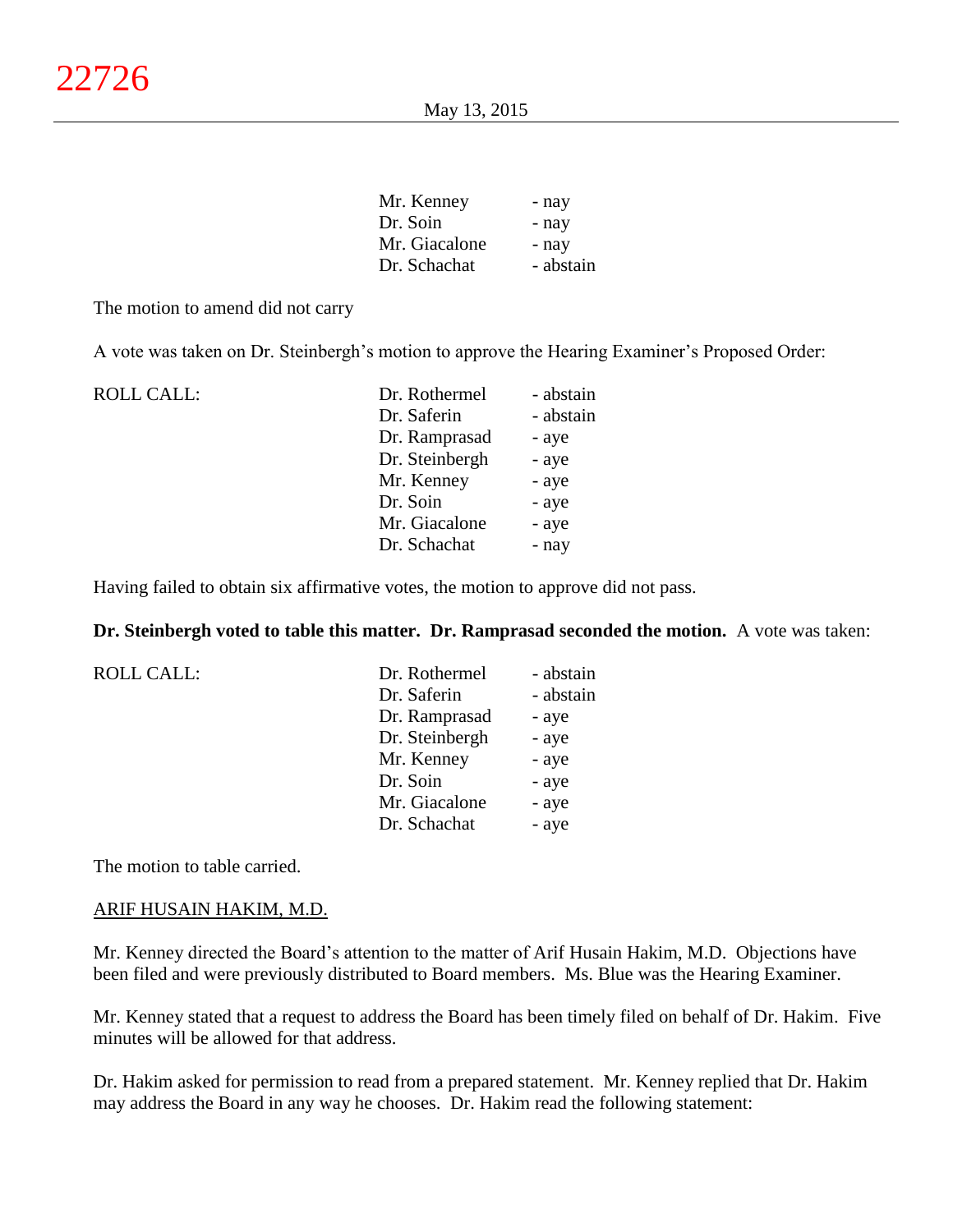| Mr. Kenney    | - nay     |
|---------------|-----------|
| Dr. Soin      | - nay     |
| Mr. Giacalone | - nay     |
| Dr. Schachat  | - abstain |

The motion to amend did not carry

A vote was taken on Dr. Steinbergh's motion to approve the Hearing Examiner's Proposed Order:

| <b>ROLL CALL:</b> | Dr. Rothermel  | - abstain |
|-------------------|----------------|-----------|
|                   | Dr. Saferin    | - abstain |
|                   | Dr. Ramprasad  | - aye     |
|                   | Dr. Steinbergh | - aye     |
|                   | Mr. Kenney     | - aye     |
|                   | Dr. Soin       | - aye     |
|                   | Mr. Giacalone  | - aye     |
|                   | Dr. Schachat   | - nay     |

Having failed to obtain six affirmative votes, the motion to approve did not pass.

**Dr. Steinbergh voted to table this matter. Dr. Ramprasad seconded the motion.** A vote was taken:

| ROLL CALL: | Dr. Rothermel  | - abstain |
|------------|----------------|-----------|
|            | Dr. Saferin    | - abstain |
|            | Dr. Ramprasad  | - aye     |
|            | Dr. Steinbergh | - aye     |
|            | Mr. Kenney     | - aye     |
|            | Dr. Soin       | - aye     |
|            | Mr. Giacalone  | - aye     |
|            | Dr. Schachat   | - aye     |

The motion to table carried.

### ARIF HUSAIN HAKIM, M.D.

Mr. Kenney directed the Board's attention to the matter of Arif Husain Hakim, M.D. Objections have been filed and were previously distributed to Board members. Ms. Blue was the Hearing Examiner.

Mr. Kenney stated that a request to address the Board has been timely filed on behalf of Dr. Hakim. Five minutes will be allowed for that address.

Dr. Hakim asked for permission to read from a prepared statement. Mr. Kenney replied that Dr. Hakim may address the Board in any way he chooses. Dr. Hakim read the following statement: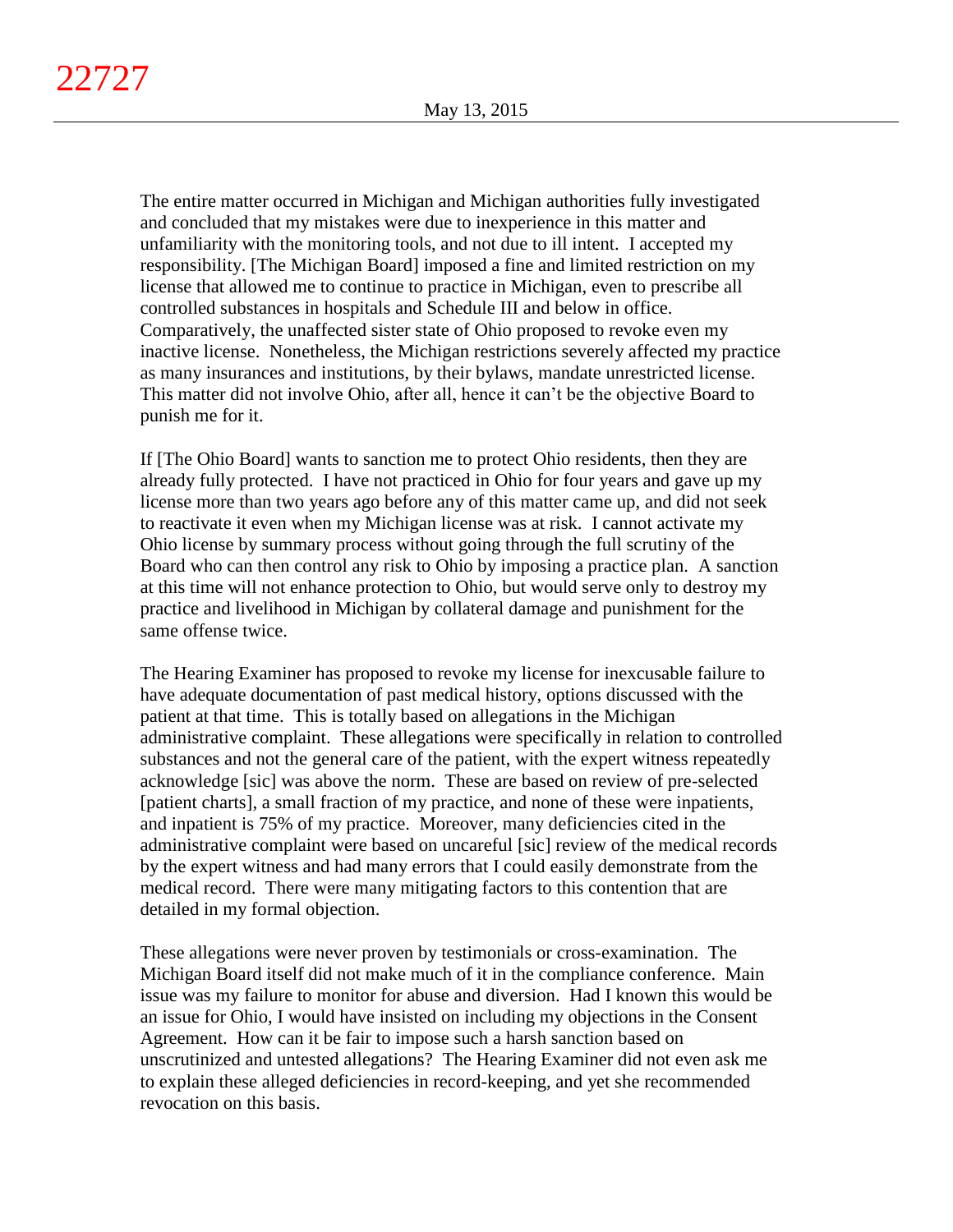The entire matter occurred in Michigan and Michigan authorities fully investigated and concluded that my mistakes were due to inexperience in this matter and unfamiliarity with the monitoring tools, and not due to ill intent. I accepted my responsibility. [The Michigan Board] imposed a fine and limited restriction on my license that allowed me to continue to practice in Michigan, even to prescribe all controlled substances in hospitals and Schedule III and below in office. Comparatively, the unaffected sister state of Ohio proposed to revoke even my inactive license. Nonetheless, the Michigan restrictions severely affected my practice as many insurances and institutions, by their bylaws, mandate unrestricted license. This matter did not involve Ohio, after all, hence it can't be the objective Board to punish me for it.

If [The Ohio Board] wants to sanction me to protect Ohio residents, then they are already fully protected. I have not practiced in Ohio for four years and gave up my license more than two years ago before any of this matter came up, and did not seek to reactivate it even when my Michigan license was at risk. I cannot activate my Ohio license by summary process without going through the full scrutiny of the Board who can then control any risk to Ohio by imposing a practice plan. A sanction at this time will not enhance protection to Ohio, but would serve only to destroy my practice and livelihood in Michigan by collateral damage and punishment for the same offense twice.

The Hearing Examiner has proposed to revoke my license for inexcusable failure to have adequate documentation of past medical history, options discussed with the patient at that time. This is totally based on allegations in the Michigan administrative complaint. These allegations were specifically in relation to controlled substances and not the general care of the patient, with the expert witness repeatedly acknowledge [sic] was above the norm. These are based on review of pre-selected [patient charts], a small fraction of my practice, and none of these were inpatients, and inpatient is 75% of my practice. Moreover, many deficiencies cited in the administrative complaint were based on uncareful [sic] review of the medical records by the expert witness and had many errors that I could easily demonstrate from the medical record. There were many mitigating factors to this contention that are detailed in my formal objection.

These allegations were never proven by testimonials or cross-examination. The Michigan Board itself did not make much of it in the compliance conference. Main issue was my failure to monitor for abuse and diversion. Had I known this would be an issue for Ohio, I would have insisted on including my objections in the Consent Agreement. How can it be fair to impose such a harsh sanction based on unscrutinized and untested allegations? The Hearing Examiner did not even ask me to explain these alleged deficiencies in record-keeping, and yet she recommended revocation on this basis.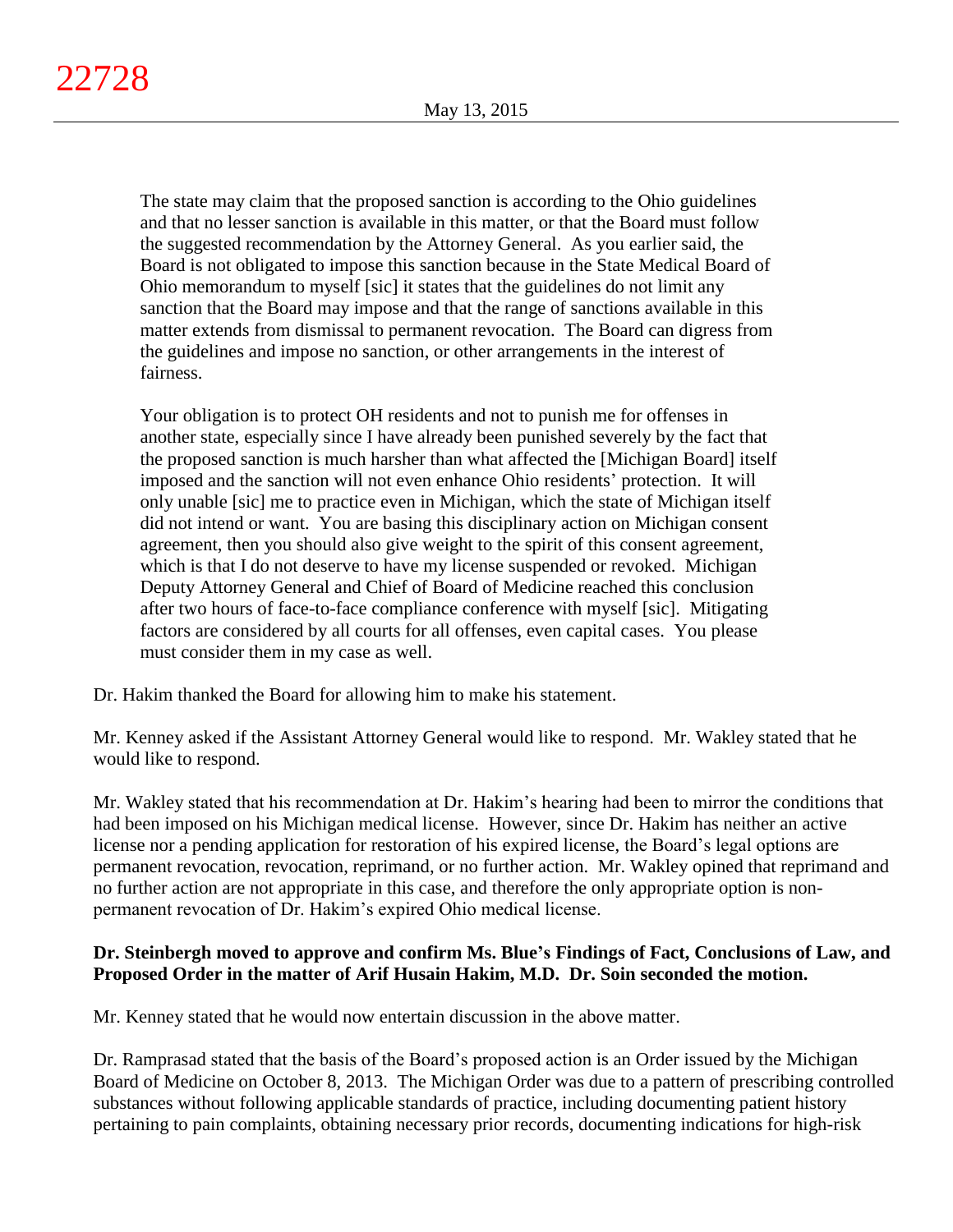The state may claim that the proposed sanction is according to the Ohio guidelines and that no lesser sanction is available in this matter, or that the Board must follow the suggested recommendation by the Attorney General. As you earlier said, the Board is not obligated to impose this sanction because in the State Medical Board of Ohio memorandum to myself [sic] it states that the guidelines do not limit any sanction that the Board may impose and that the range of sanctions available in this matter extends from dismissal to permanent revocation. The Board can digress from the guidelines and impose no sanction, or other arrangements in the interest of fairness.

Your obligation is to protect OH residents and not to punish me for offenses in another state, especially since I have already been punished severely by the fact that the proposed sanction is much harsher than what affected the [Michigan Board] itself imposed and the sanction will not even enhance Ohio residents' protection. It will only unable [sic] me to practice even in Michigan, which the state of Michigan itself did not intend or want. You are basing this disciplinary action on Michigan consent agreement, then you should also give weight to the spirit of this consent agreement, which is that I do not deserve to have my license suspended or revoked. Michigan Deputy Attorney General and Chief of Board of Medicine reached this conclusion after two hours of face-to-face compliance conference with myself [sic]. Mitigating factors are considered by all courts for all offenses, even capital cases. You please must consider them in my case as well.

Dr. Hakim thanked the Board for allowing him to make his statement.

Mr. Kenney asked if the Assistant Attorney General would like to respond. Mr. Wakley stated that he would like to respond.

Mr. Wakley stated that his recommendation at Dr. Hakim's hearing had been to mirror the conditions that had been imposed on his Michigan medical license. However, since Dr. Hakim has neither an active license nor a pending application for restoration of his expired license, the Board's legal options are permanent revocation, revocation, reprimand, or no further action. Mr. Wakley opined that reprimand and no further action are not appropriate in this case, and therefore the only appropriate option is nonpermanent revocation of Dr. Hakim's expired Ohio medical license.

# **Dr. Steinbergh moved to approve and confirm Ms. Blue's Findings of Fact, Conclusions of Law, and Proposed Order in the matter of Arif Husain Hakim, M.D. Dr. Soin seconded the motion.**

Mr. Kenney stated that he would now entertain discussion in the above matter.

Dr. Ramprasad stated that the basis of the Board's proposed action is an Order issued by the Michigan Board of Medicine on October 8, 2013. The Michigan Order was due to a pattern of prescribing controlled substances without following applicable standards of practice, including documenting patient history pertaining to pain complaints, obtaining necessary prior records, documenting indications for high-risk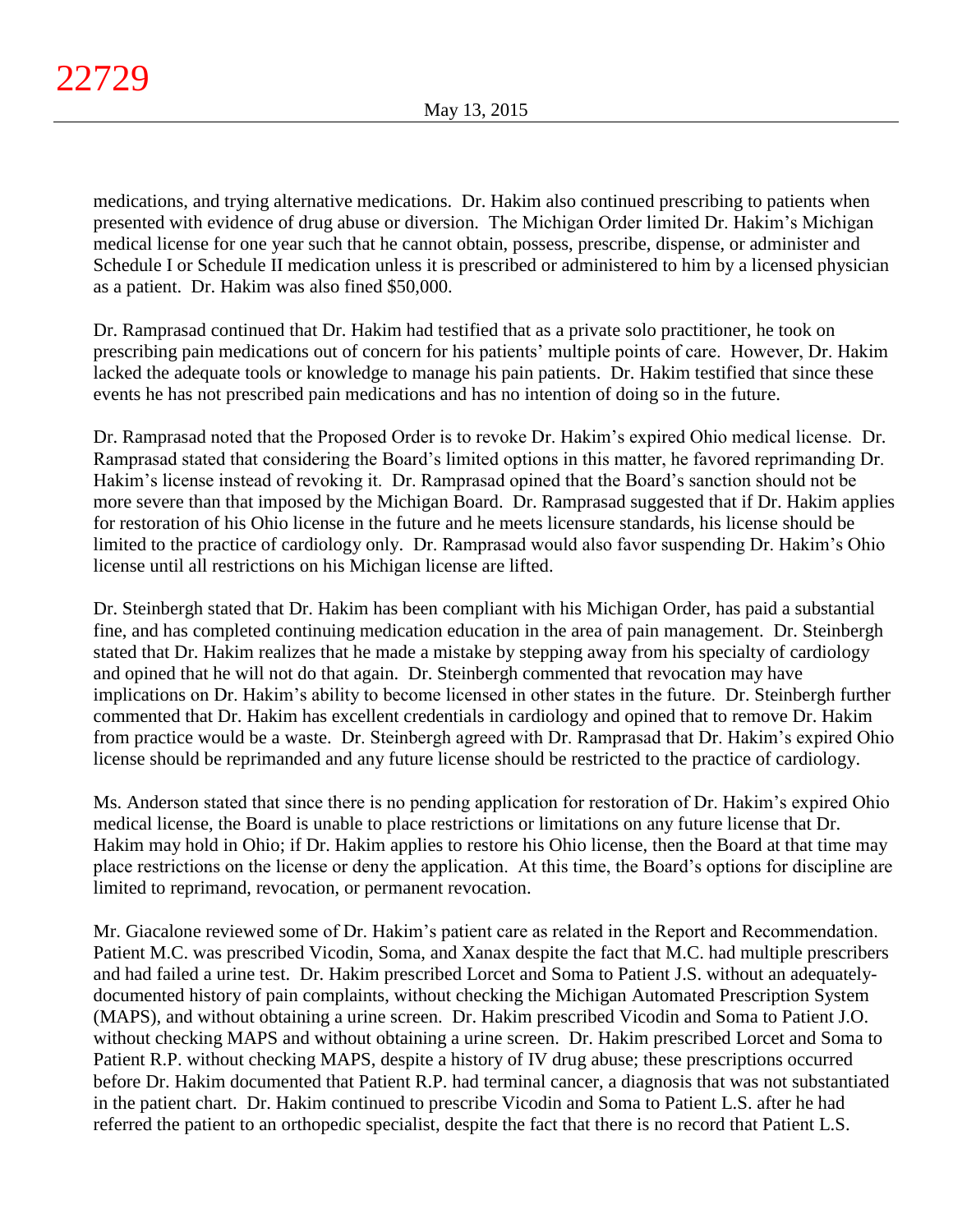medications, and trying alternative medications. Dr. Hakim also continued prescribing to patients when presented with evidence of drug abuse or diversion. The Michigan Order limited Dr. Hakim's Michigan medical license for one year such that he cannot obtain, possess, prescribe, dispense, or administer and Schedule I or Schedule II medication unless it is prescribed or administered to him by a licensed physician as a patient. Dr. Hakim was also fined \$50,000.

Dr. Ramprasad continued that Dr. Hakim had testified that as a private solo practitioner, he took on prescribing pain medications out of concern for his patients' multiple points of care. However, Dr. Hakim lacked the adequate tools or knowledge to manage his pain patients. Dr. Hakim testified that since these events he has not prescribed pain medications and has no intention of doing so in the future.

Dr. Ramprasad noted that the Proposed Order is to revoke Dr. Hakim's expired Ohio medical license. Dr. Ramprasad stated that considering the Board's limited options in this matter, he favored reprimanding Dr. Hakim's license instead of revoking it. Dr. Ramprasad opined that the Board's sanction should not be more severe than that imposed by the Michigan Board. Dr. Ramprasad suggested that if Dr. Hakim applies for restoration of his Ohio license in the future and he meets licensure standards, his license should be limited to the practice of cardiology only. Dr. Ramprasad would also favor suspending Dr. Hakim's Ohio license until all restrictions on his Michigan license are lifted.

Dr. Steinbergh stated that Dr. Hakim has been compliant with his Michigan Order, has paid a substantial fine, and has completed continuing medication education in the area of pain management. Dr. Steinbergh stated that Dr. Hakim realizes that he made a mistake by stepping away from his specialty of cardiology and opined that he will not do that again. Dr. Steinbergh commented that revocation may have implications on Dr. Hakim's ability to become licensed in other states in the future. Dr. Steinbergh further commented that Dr. Hakim has excellent credentials in cardiology and opined that to remove Dr. Hakim from practice would be a waste. Dr. Steinbergh agreed with Dr. Ramprasad that Dr. Hakim's expired Ohio license should be reprimanded and any future license should be restricted to the practice of cardiology.

Ms. Anderson stated that since there is no pending application for restoration of Dr. Hakim's expired Ohio medical license, the Board is unable to place restrictions or limitations on any future license that Dr. Hakim may hold in Ohio; if Dr. Hakim applies to restore his Ohio license, then the Board at that time may place restrictions on the license or deny the application. At this time, the Board's options for discipline are limited to reprimand, revocation, or permanent revocation.

Mr. Giacalone reviewed some of Dr. Hakim's patient care as related in the Report and Recommendation. Patient M.C. was prescribed Vicodin, Soma, and Xanax despite the fact that M.C. had multiple prescribers and had failed a urine test. Dr. Hakim prescribed Lorcet and Soma to Patient J.S. without an adequatelydocumented history of pain complaints, without checking the Michigan Automated Prescription System (MAPS), and without obtaining a urine screen. Dr. Hakim prescribed Vicodin and Soma to Patient J.O. without checking MAPS and without obtaining a urine screen. Dr. Hakim prescribed Lorcet and Soma to Patient R.P. without checking MAPS, despite a history of IV drug abuse; these prescriptions occurred before Dr. Hakim documented that Patient R.P. had terminal cancer, a diagnosis that was not substantiated in the patient chart. Dr. Hakim continued to prescribe Vicodin and Soma to Patient L.S. after he had referred the patient to an orthopedic specialist, despite the fact that there is no record that Patient L.S.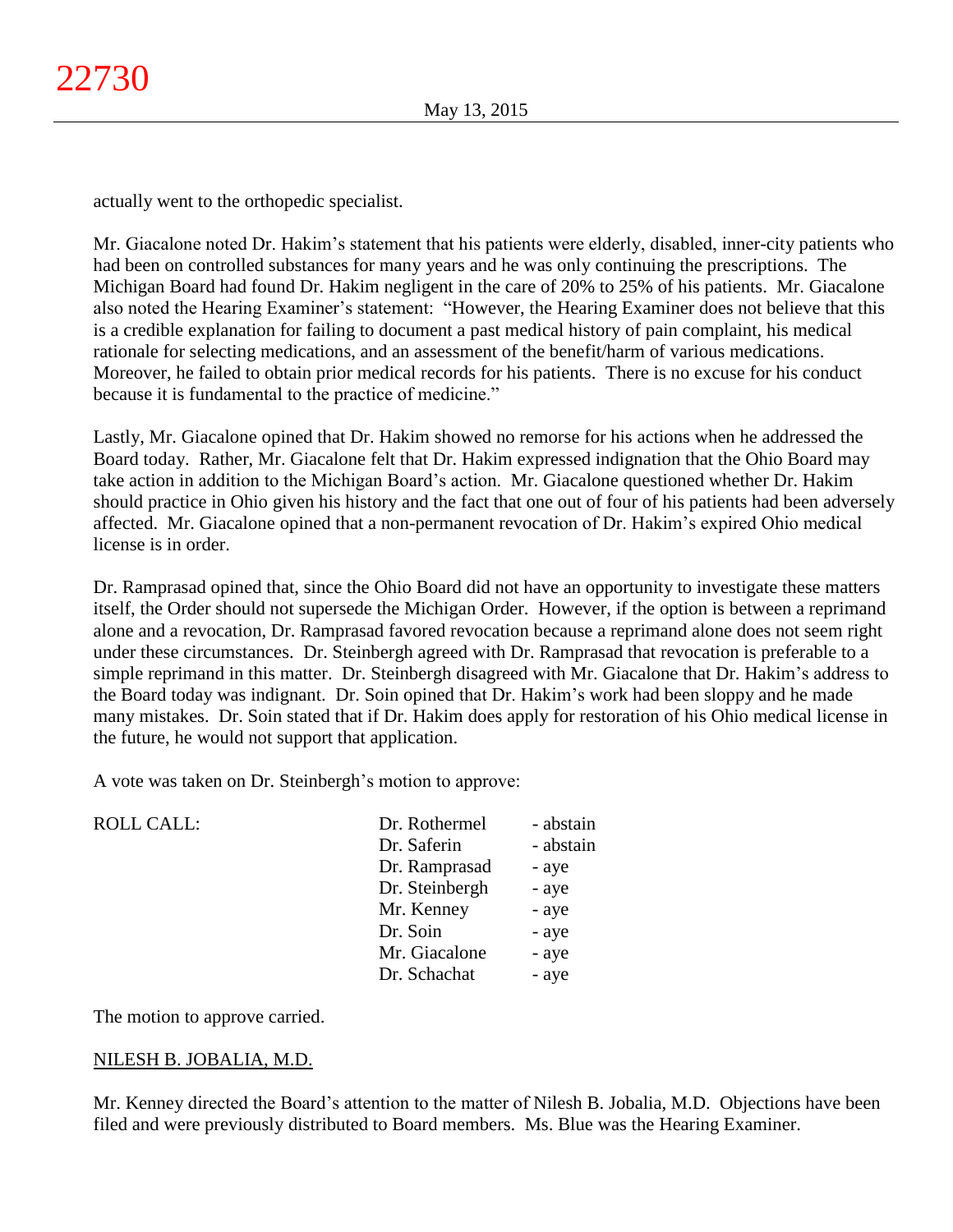actually went to the orthopedic specialist.

Mr. Giacalone noted Dr. Hakim's statement that his patients were elderly, disabled, inner-city patients who had been on controlled substances for many years and he was only continuing the prescriptions. The Michigan Board had found Dr. Hakim negligent in the care of 20% to 25% of his patients. Mr. Giacalone also noted the Hearing Examiner's statement: "However, the Hearing Examiner does not believe that this is a credible explanation for failing to document a past medical history of pain complaint, his medical rationale for selecting medications, and an assessment of the benefit/harm of various medications. Moreover, he failed to obtain prior medical records for his patients. There is no excuse for his conduct because it is fundamental to the practice of medicine."

Lastly, Mr. Giacalone opined that Dr. Hakim showed no remorse for his actions when he addressed the Board today. Rather, Mr. Giacalone felt that Dr. Hakim expressed indignation that the Ohio Board may take action in addition to the Michigan Board's action. Mr. Giacalone questioned whether Dr. Hakim should practice in Ohio given his history and the fact that one out of four of his patients had been adversely affected. Mr. Giacalone opined that a non-permanent revocation of Dr. Hakim's expired Ohio medical license is in order.

Dr. Ramprasad opined that, since the Ohio Board did not have an opportunity to investigate these matters itself, the Order should not supersede the Michigan Order. However, if the option is between a reprimand alone and a revocation, Dr. Ramprasad favored revocation because a reprimand alone does not seem right under these circumstances. Dr. Steinbergh agreed with Dr. Ramprasad that revocation is preferable to a simple reprimand in this matter. Dr. Steinbergh disagreed with Mr. Giacalone that Dr. Hakim's address to the Board today was indignant. Dr. Soin opined that Dr. Hakim's work had been sloppy and he made many mistakes. Dr. Soin stated that if Dr. Hakim does apply for restoration of his Ohio medical license in the future, he would not support that application.

A vote was taken on Dr. Steinbergh's motion to approve:

| <b>ROLL CALL:</b> | Dr. Rothermel  | - abstain |
|-------------------|----------------|-----------|
|                   |                |           |
|                   | Dr. Saferin    | - abstain |
|                   | Dr. Ramprasad  | - aye     |
|                   | Dr. Steinbergh | - aye     |
|                   | Mr. Kenney     | - aye     |
|                   | Dr. Soin       | - aye     |
|                   | Mr. Giacalone  | - aye     |
|                   | Dr. Schachat   | - aye     |
|                   |                |           |

The motion to approve carried.

# NILESH B. JOBALIA, M.D.

Mr. Kenney directed the Board's attention to the matter of Nilesh B. Jobalia, M.D. Objections have been filed and were previously distributed to Board members. Ms. Blue was the Hearing Examiner.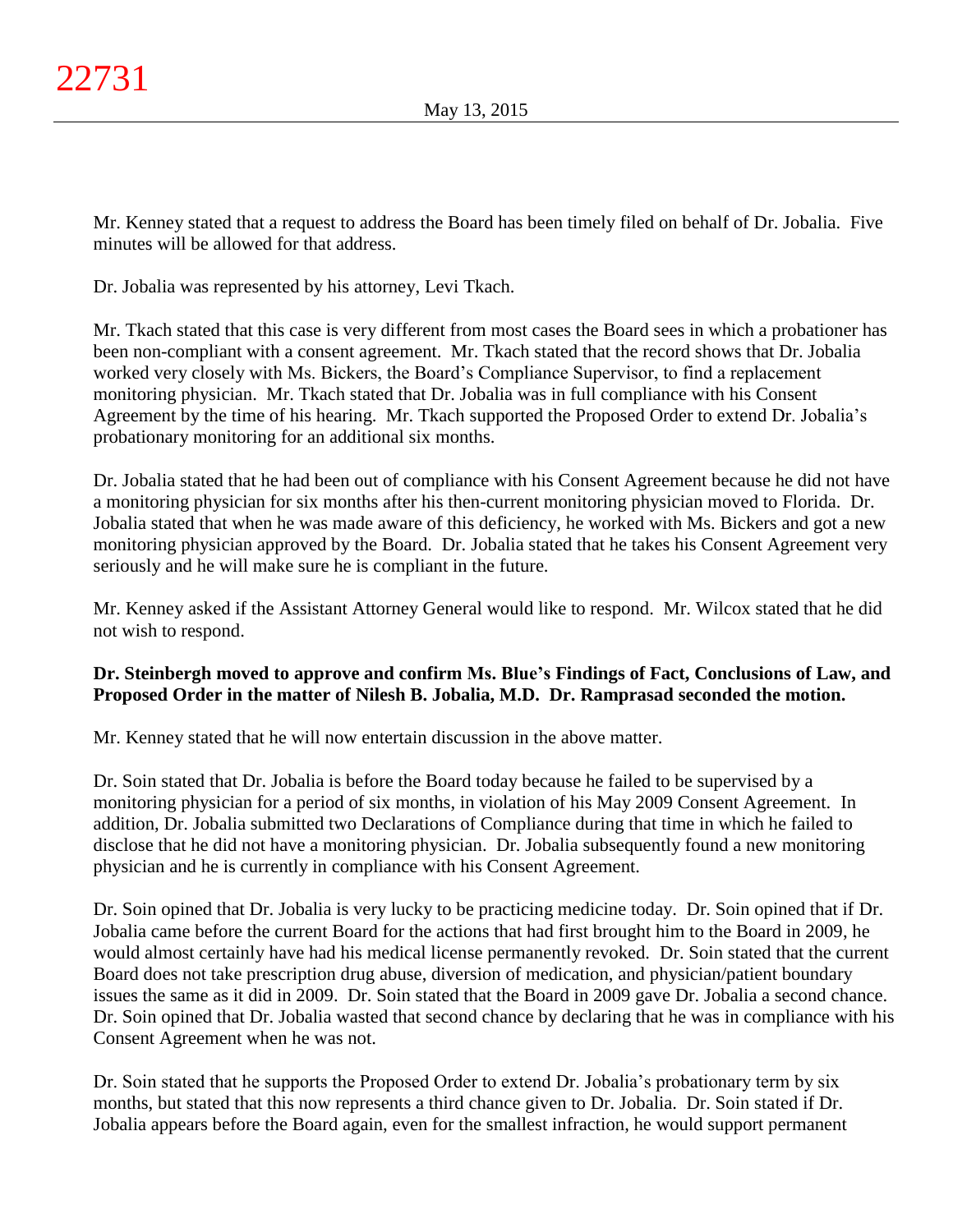Mr. Kenney stated that a request to address the Board has been timely filed on behalf of Dr. Jobalia. Five minutes will be allowed for that address.

Dr. Jobalia was represented by his attorney, Levi Tkach.

Mr. Tkach stated that this case is very different from most cases the Board sees in which a probationer has been non-compliant with a consent agreement. Mr. Tkach stated that the record shows that Dr. Jobalia worked very closely with Ms. Bickers, the Board's Compliance Supervisor, to find a replacement monitoring physician. Mr. Tkach stated that Dr. Jobalia was in full compliance with his Consent Agreement by the time of his hearing. Mr. Tkach supported the Proposed Order to extend Dr. Jobalia's probationary monitoring for an additional six months.

Dr. Jobalia stated that he had been out of compliance with his Consent Agreement because he did not have a monitoring physician for six months after his then-current monitoring physician moved to Florida. Dr. Jobalia stated that when he was made aware of this deficiency, he worked with Ms. Bickers and got a new monitoring physician approved by the Board. Dr. Jobalia stated that he takes his Consent Agreement very seriously and he will make sure he is compliant in the future.

Mr. Kenney asked if the Assistant Attorney General would like to respond. Mr. Wilcox stated that he did not wish to respond.

# **Dr. Steinbergh moved to approve and confirm Ms. Blue's Findings of Fact, Conclusions of Law, and Proposed Order in the matter of Nilesh B. Jobalia, M.D. Dr. Ramprasad seconded the motion.**

Mr. Kenney stated that he will now entertain discussion in the above matter.

Dr. Soin stated that Dr. Jobalia is before the Board today because he failed to be supervised by a monitoring physician for a period of six months, in violation of his May 2009 Consent Agreement. In addition, Dr. Jobalia submitted two Declarations of Compliance during that time in which he failed to disclose that he did not have a monitoring physician. Dr. Jobalia subsequently found a new monitoring physician and he is currently in compliance with his Consent Agreement.

Dr. Soin opined that Dr. Jobalia is very lucky to be practicing medicine today. Dr. Soin opined that if Dr. Jobalia came before the current Board for the actions that had first brought him to the Board in 2009, he would almost certainly have had his medical license permanently revoked. Dr. Soin stated that the current Board does not take prescription drug abuse, diversion of medication, and physician/patient boundary issues the same as it did in 2009. Dr. Soin stated that the Board in 2009 gave Dr. Jobalia a second chance. Dr. Soin opined that Dr. Jobalia wasted that second chance by declaring that he was in compliance with his Consent Agreement when he was not.

Dr. Soin stated that he supports the Proposed Order to extend Dr. Jobalia's probationary term by six months, but stated that this now represents a third chance given to Dr. Jobalia. Dr. Soin stated if Dr. Jobalia appears before the Board again, even for the smallest infraction, he would support permanent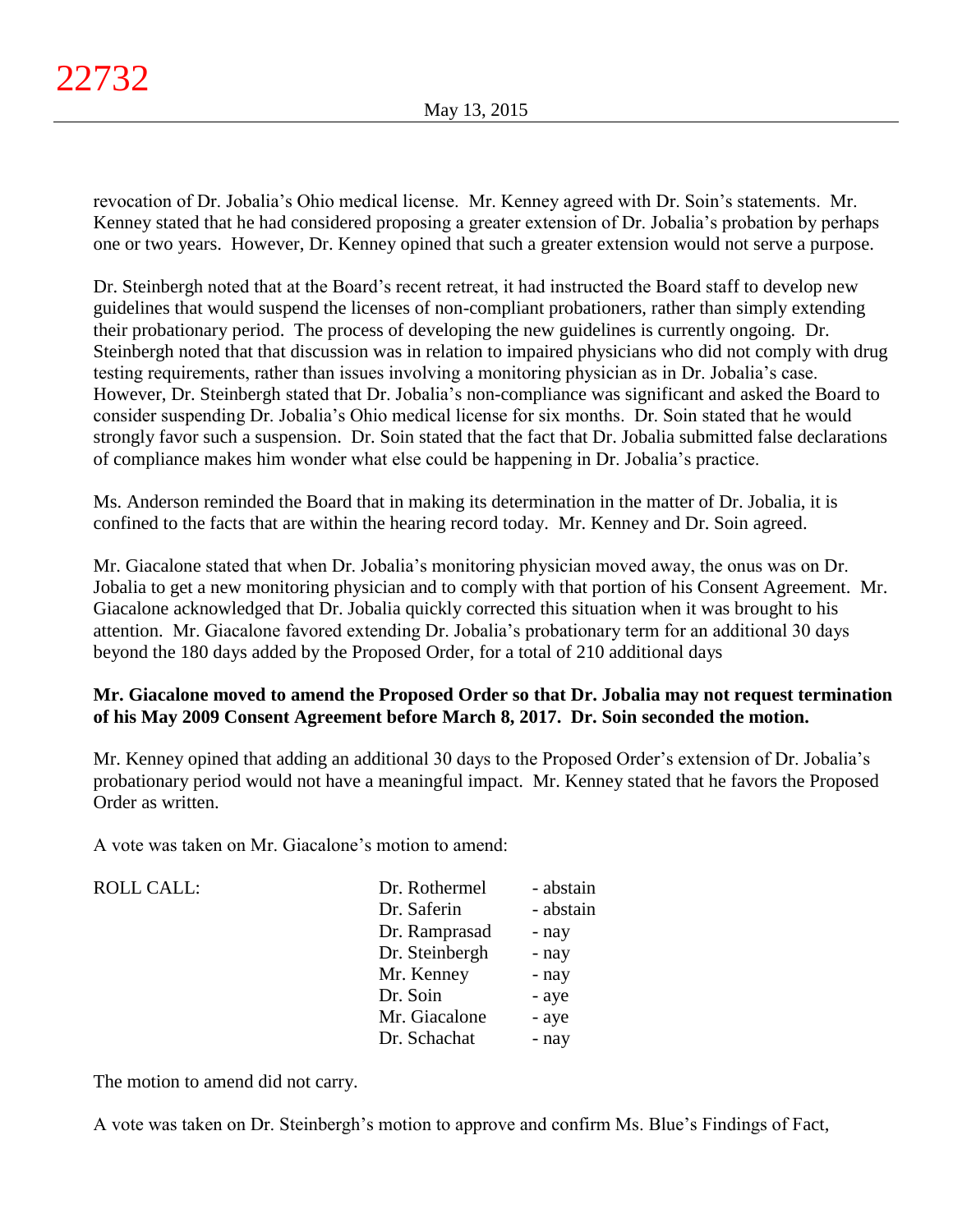revocation of Dr. Jobalia's Ohio medical license. Mr. Kenney agreed with Dr. Soin's statements. Mr. Kenney stated that he had considered proposing a greater extension of Dr. Jobalia's probation by perhaps one or two years. However, Dr. Kenney opined that such a greater extension would not serve a purpose.

Dr. Steinbergh noted that at the Board's recent retreat, it had instructed the Board staff to develop new guidelines that would suspend the licenses of non-compliant probationers, rather than simply extending their probationary period. The process of developing the new guidelines is currently ongoing. Dr. Steinbergh noted that that discussion was in relation to impaired physicians who did not comply with drug testing requirements, rather than issues involving a monitoring physician as in Dr. Jobalia's case. However, Dr. Steinbergh stated that Dr. Jobalia's non-compliance was significant and asked the Board to consider suspending Dr. Jobalia's Ohio medical license for six months. Dr. Soin stated that he would strongly favor such a suspension. Dr. Soin stated that the fact that Dr. Jobalia submitted false declarations of compliance makes him wonder what else could be happening in Dr. Jobalia's practice.

Ms. Anderson reminded the Board that in making its determination in the matter of Dr. Jobalia, it is confined to the facts that are within the hearing record today. Mr. Kenney and Dr. Soin agreed.

Mr. Giacalone stated that when Dr. Jobalia's monitoring physician moved away, the onus was on Dr. Jobalia to get a new monitoring physician and to comply with that portion of his Consent Agreement. Mr. Giacalone acknowledged that Dr. Jobalia quickly corrected this situation when it was brought to his attention. Mr. Giacalone favored extending Dr. Jobalia's probationary term for an additional 30 days beyond the 180 days added by the Proposed Order, for a total of 210 additional days

# **Mr. Giacalone moved to amend the Proposed Order so that Dr. Jobalia may not request termination of his May 2009 Consent Agreement before March 8, 2017. Dr. Soin seconded the motion.**

Mr. Kenney opined that adding an additional 30 days to the Proposed Order's extension of Dr. Jobalia's probationary period would not have a meaningful impact. Mr. Kenney stated that he favors the Proposed Order as written.

A vote was taken on Mr. Giacalone's motion to amend:

 $ROLL CALL$ :

| Dr. Rothermel  | - abstain |
|----------------|-----------|
| Dr. Saferin    | - abstain |
| Dr. Ramprasad  | - nay     |
| Dr. Steinbergh | - nay     |
| Mr. Kenney     | - nay     |
| Dr. Soin       | - aye     |
| Mr. Giacalone  | - aye     |
| Dr. Schachat   | - nay     |

The motion to amend did not carry.

A vote was taken on Dr. Steinbergh's motion to approve and confirm Ms. Blue's Findings of Fact,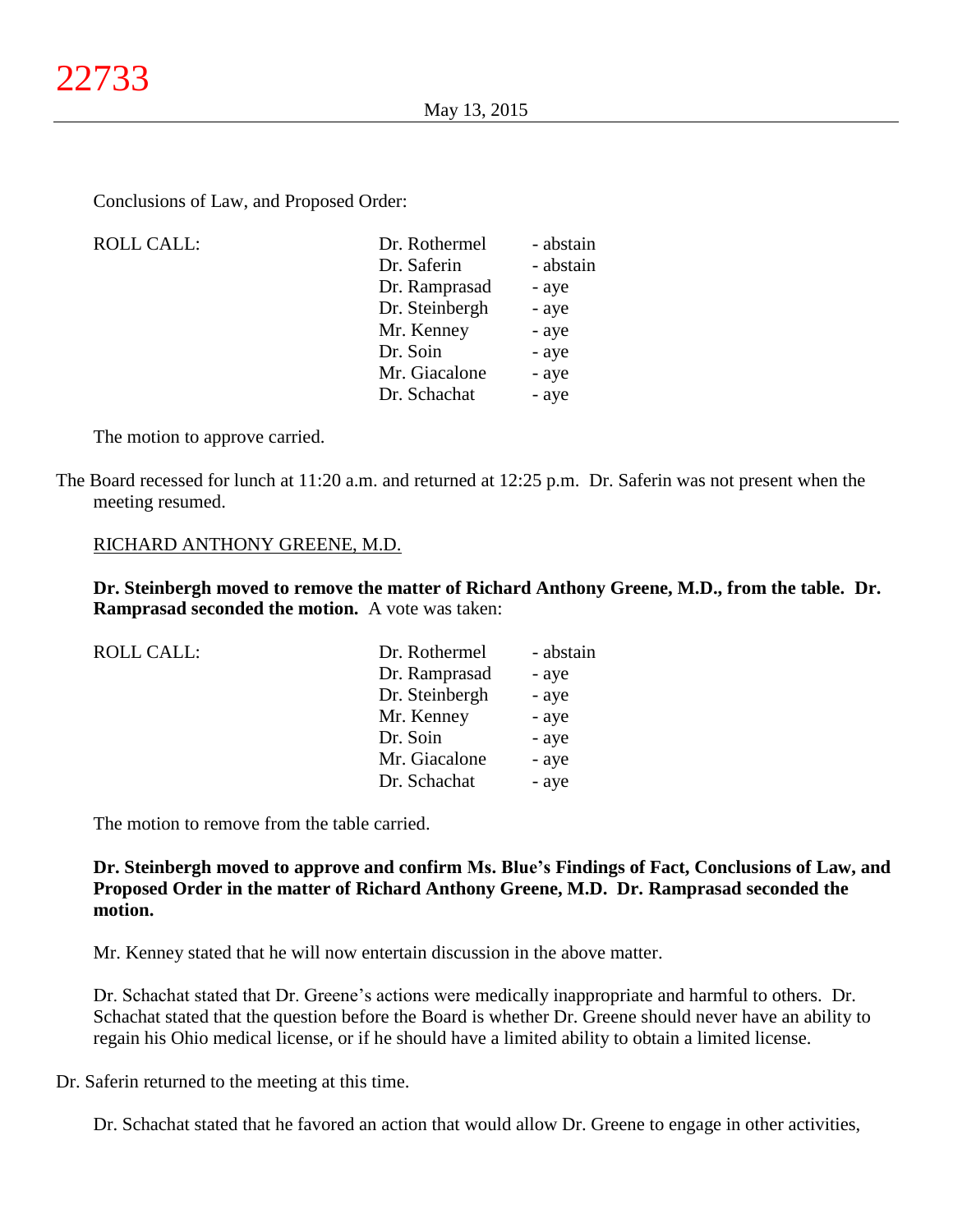Conclusions of Law, and Proposed Order:

| ROLL CALL: | Dr. Rothermel  | - abstain |
|------------|----------------|-----------|
|            | Dr. Saferin    | - abstain |
|            | Dr. Ramprasad  | - aye     |
|            | Dr. Steinbergh | - aye     |
|            | Mr. Kenney     | - aye     |
|            | Dr. Soin       | - aye     |
|            | Mr. Giacalone  | - aye     |
|            | Dr. Schachat   | - aye     |
|            |                |           |

The motion to approve carried.

The Board recessed for lunch at 11:20 a.m. and returned at 12:25 p.m. Dr. Saferin was not present when the meeting resumed.

## RICHARD ANTHONY GREENE, M.D.

**Dr. Steinbergh moved to remove the matter of Richard Anthony Greene, M.D., from the table. Dr. Ramprasad seconded the motion.** A vote was taken:

| <b>ROLL CALL:</b> | Dr. Rothermel  | - abstain |
|-------------------|----------------|-----------|
|                   | Dr. Ramprasad  | - aye     |
|                   | Dr. Steinbergh | - aye     |
|                   | Mr. Kenney     | - aye     |
|                   | Dr. Soin       | - aye     |
|                   | Mr. Giacalone  | - aye     |
|                   | Dr. Schachat   | - aye     |
|                   |                |           |

The motion to remove from the table carried.

**Dr. Steinbergh moved to approve and confirm Ms. Blue's Findings of Fact, Conclusions of Law, and Proposed Order in the matter of Richard Anthony Greene, M.D. Dr. Ramprasad seconded the motion.**

Mr. Kenney stated that he will now entertain discussion in the above matter.

Dr. Schachat stated that Dr. Greene's actions were medically inappropriate and harmful to others. Dr. Schachat stated that the question before the Board is whether Dr. Greene should never have an ability to regain his Ohio medical license, or if he should have a limited ability to obtain a limited license.

Dr. Saferin returned to the meeting at this time.

Dr. Schachat stated that he favored an action that would allow Dr. Greene to engage in other activities,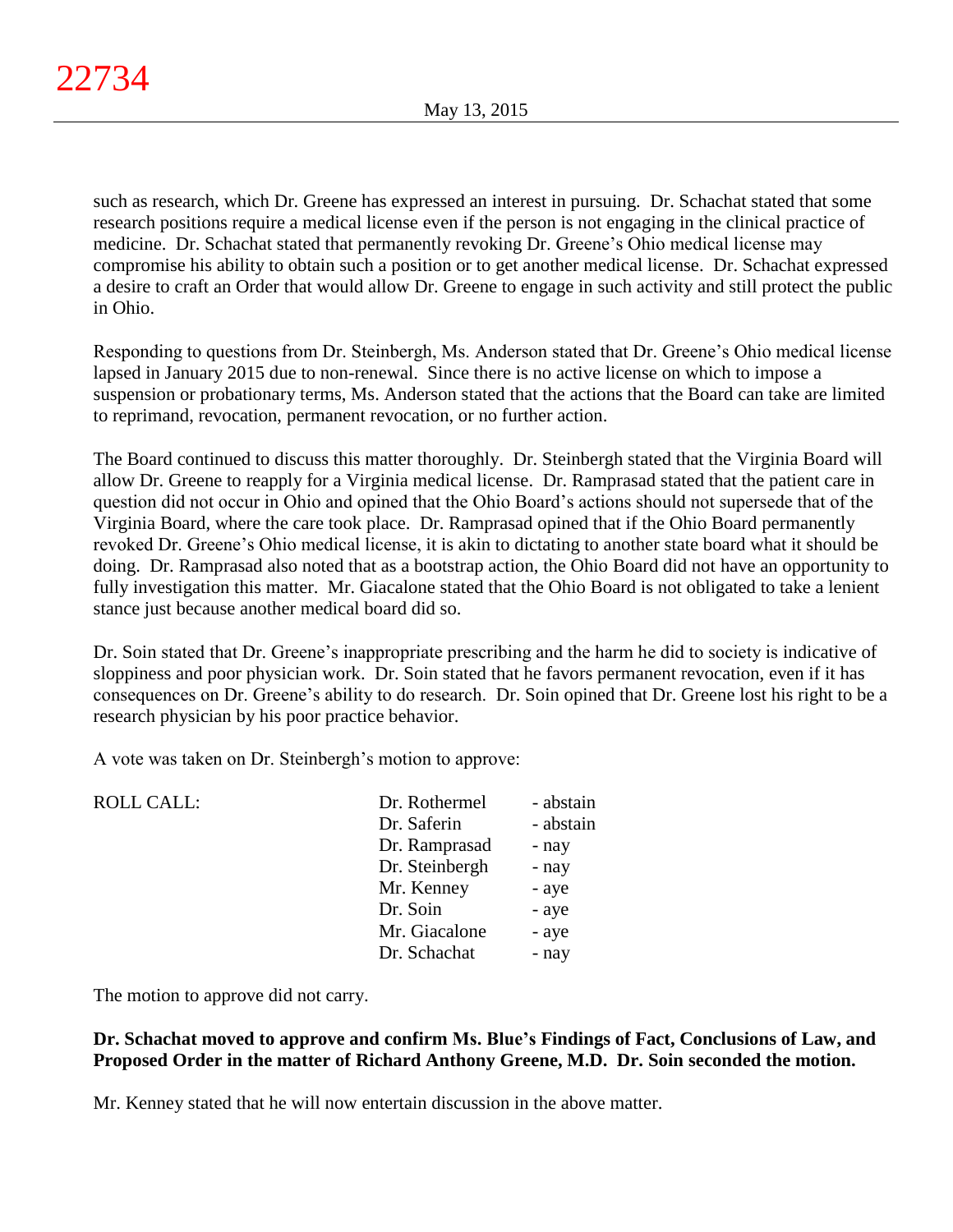such as research, which Dr. Greene has expressed an interest in pursuing. Dr. Schachat stated that some research positions require a medical license even if the person is not engaging in the clinical practice of medicine. Dr. Schachat stated that permanently revoking Dr. Greene's Ohio medical license may compromise his ability to obtain such a position or to get another medical license. Dr. Schachat expressed a desire to craft an Order that would allow Dr. Greene to engage in such activity and still protect the public in Ohio.

Responding to questions from Dr. Steinbergh, Ms. Anderson stated that Dr. Greene's Ohio medical license lapsed in January 2015 due to non-renewal. Since there is no active license on which to impose a suspension or probationary terms, Ms. Anderson stated that the actions that the Board can take are limited to reprimand, revocation, permanent revocation, or no further action.

The Board continued to discuss this matter thoroughly. Dr. Steinbergh stated that the Virginia Board will allow Dr. Greene to reapply for a Virginia medical license. Dr. Ramprasad stated that the patient care in question did not occur in Ohio and opined that the Ohio Board's actions should not supersede that of the Virginia Board, where the care took place. Dr. Ramprasad opined that if the Ohio Board permanently revoked Dr. Greene's Ohio medical license, it is akin to dictating to another state board what it should be doing. Dr. Ramprasad also noted that as a bootstrap action, the Ohio Board did not have an opportunity to fully investigation this matter. Mr. Giacalone stated that the Ohio Board is not obligated to take a lenient stance just because another medical board did so.

Dr. Soin stated that Dr. Greene's inappropriate prescribing and the harm he did to society is indicative of sloppiness and poor physician work. Dr. Soin stated that he favors permanent revocation, even if it has consequences on Dr. Greene's ability to do research. Dr. Soin opined that Dr. Greene lost his right to be a research physician by his poor practice behavior.

A vote was taken on Dr. Steinbergh's motion to approve:

| - abstain |
|-----------|
| - nay     |
| - nay     |
| - aye     |
| - aye     |
| - aye     |
| - nay     |
|           |

The motion to approve did not carry.

# **Dr. Schachat moved to approve and confirm Ms. Blue's Findings of Fact, Conclusions of Law, and Proposed Order in the matter of Richard Anthony Greene, M.D. Dr. Soin seconded the motion.**

Mr. Kenney stated that he will now entertain discussion in the above matter.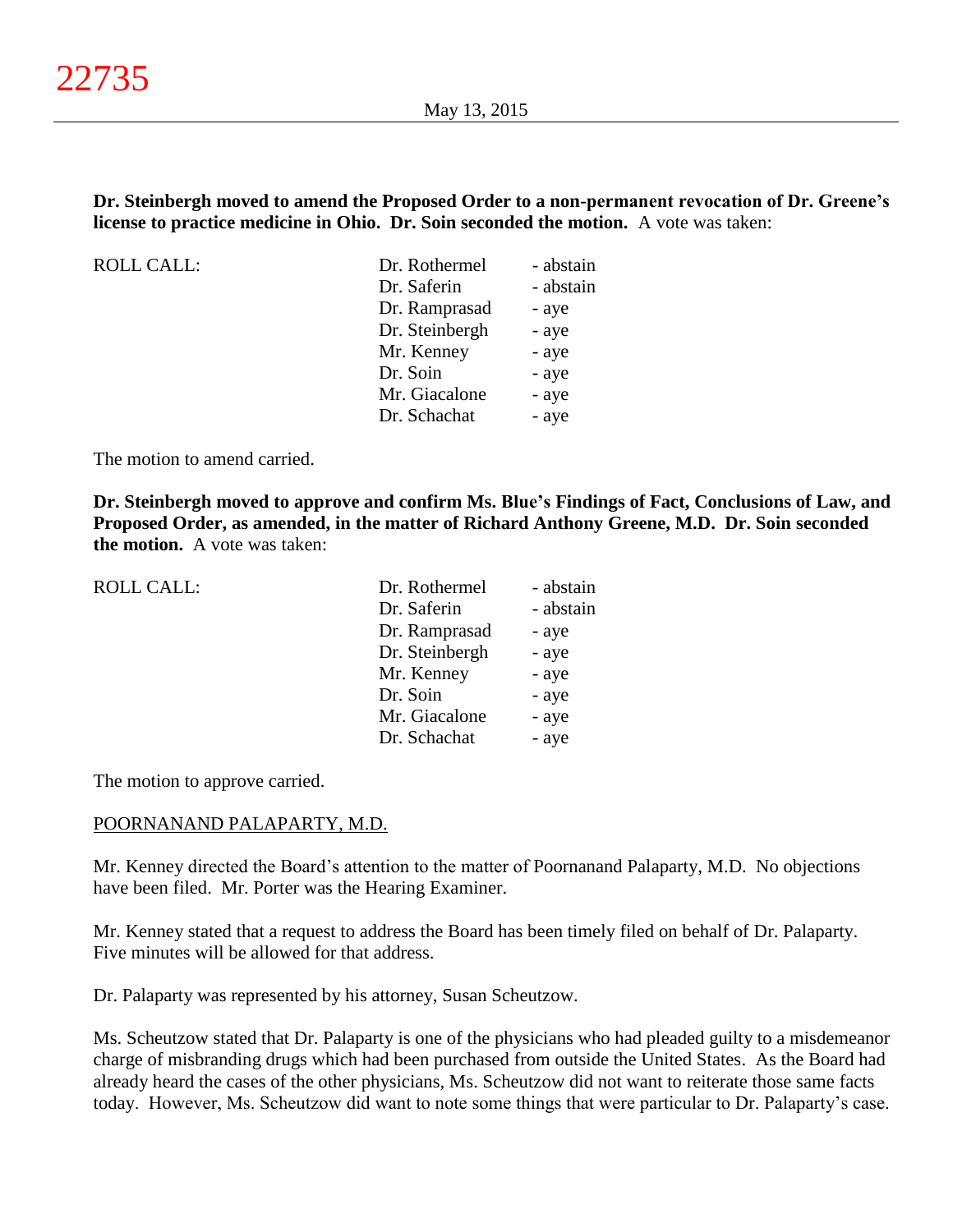# **Dr. Steinbergh moved to amend the Proposed Order to a non-permanent revocation of Dr. Greene's license to practice medicine in Ohio. Dr. Soin seconded the motion.** A vote was taken:

ROLL CALL:

| Dr. Rothermel  | - abstain |
|----------------|-----------|
| Dr. Saferin    | - abstain |
| Dr. Ramprasad  | - aye     |
| Dr. Steinbergh | - aye     |
| Mr. Kenney     | - aye     |
| Dr. Soin       | - aye     |
| Mr. Giacalone  | - aye     |
| Dr. Schachat   | - aye     |
|                |           |

The motion to amend carried.

**Dr. Steinbergh moved to approve and confirm Ms. Blue's Findings of Fact, Conclusions of Law, and Proposed Order, as amended, in the matter of Richard Anthony Greene, M.D. Dr. Soin seconded the motion.** A vote was taken:

| <b>ROLL CALL:</b> | Dr. Rothermel  | - abstain |
|-------------------|----------------|-----------|
|                   | Dr. Saferin    | - abstain |
|                   | Dr. Ramprasad  | - aye     |
|                   | Dr. Steinbergh | - aye     |
|                   | Mr. Kenney     | - aye     |
|                   | Dr. Soin       | - aye     |
|                   | Mr. Giacalone  | - aye     |
|                   | Dr. Schachat   | - aye     |
|                   |                |           |

The motion to approve carried.

#### POORNANAND PALAPARTY, M.D.

Mr. Kenney directed the Board's attention to the matter of Poornanand Palaparty, M.D. No objections have been filed. Mr. Porter was the Hearing Examiner.

Mr. Kenney stated that a request to address the Board has been timely filed on behalf of Dr. Palaparty. Five minutes will be allowed for that address.

Dr. Palaparty was represented by his attorney, Susan Scheutzow.

Ms. Scheutzow stated that Dr. Palaparty is one of the physicians who had pleaded guilty to a misdemeanor charge of misbranding drugs which had been purchased from outside the United States. As the Board had already heard the cases of the other physicians, Ms. Scheutzow did not want to reiterate those same facts today. However, Ms. Scheutzow did want to note some things that were particular to Dr. Palaparty's case.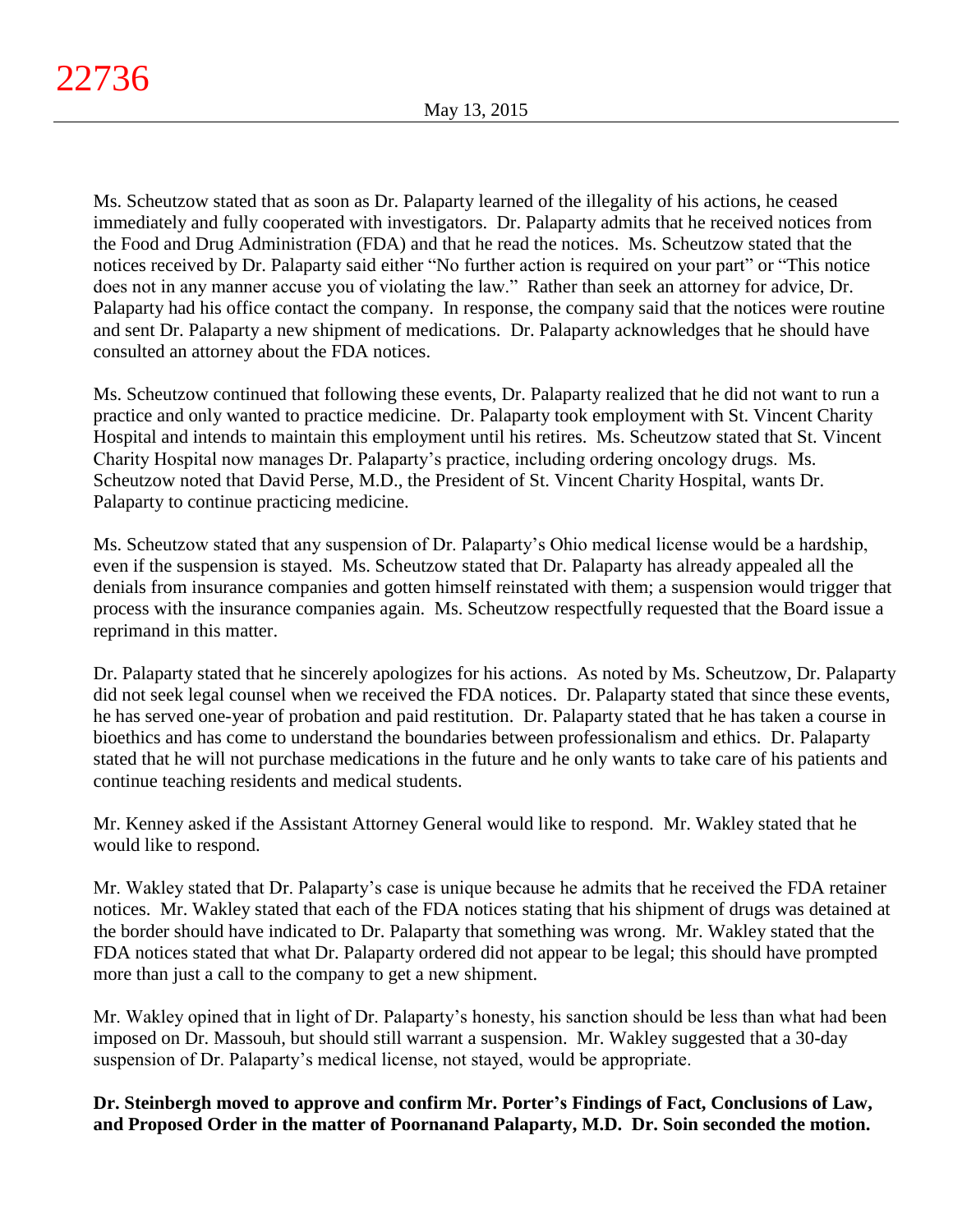Ms. Scheutzow stated that as soon as Dr. Palaparty learned of the illegality of his actions, he ceased immediately and fully cooperated with investigators. Dr. Palaparty admits that he received notices from the Food and Drug Administration (FDA) and that he read the notices. Ms. Scheutzow stated that the notices received by Dr. Palaparty said either "No further action is required on your part" or "This notice does not in any manner accuse you of violating the law." Rather than seek an attorney for advice, Dr. Palaparty had his office contact the company. In response, the company said that the notices were routine and sent Dr. Palaparty a new shipment of medications. Dr. Palaparty acknowledges that he should have consulted an attorney about the FDA notices.

Ms. Scheutzow continued that following these events, Dr. Palaparty realized that he did not want to run a practice and only wanted to practice medicine. Dr. Palaparty took employment with St. Vincent Charity Hospital and intends to maintain this employment until his retires. Ms. Scheutzow stated that St. Vincent Charity Hospital now manages Dr. Palaparty's practice, including ordering oncology drugs. Ms. Scheutzow noted that David Perse, M.D., the President of St. Vincent Charity Hospital, wants Dr. Palaparty to continue practicing medicine.

Ms. Scheutzow stated that any suspension of Dr. Palaparty's Ohio medical license would be a hardship, even if the suspension is stayed. Ms. Scheutzow stated that Dr. Palaparty has already appealed all the denials from insurance companies and gotten himself reinstated with them; a suspension would trigger that process with the insurance companies again. Ms. Scheutzow respectfully requested that the Board issue a reprimand in this matter.

Dr. Palaparty stated that he sincerely apologizes for his actions. As noted by Ms. Scheutzow, Dr. Palaparty did not seek legal counsel when we received the FDA notices. Dr. Palaparty stated that since these events, he has served one-year of probation and paid restitution. Dr. Palaparty stated that he has taken a course in bioethics and has come to understand the boundaries between professionalism and ethics. Dr. Palaparty stated that he will not purchase medications in the future and he only wants to take care of his patients and continue teaching residents and medical students.

Mr. Kenney asked if the Assistant Attorney General would like to respond. Mr. Wakley stated that he would like to respond.

Mr. Wakley stated that Dr. Palaparty's case is unique because he admits that he received the FDA retainer notices. Mr. Wakley stated that each of the FDA notices stating that his shipment of drugs was detained at the border should have indicated to Dr. Palaparty that something was wrong. Mr. Wakley stated that the FDA notices stated that what Dr. Palaparty ordered did not appear to be legal; this should have prompted more than just a call to the company to get a new shipment.

Mr. Wakley opined that in light of Dr. Palaparty's honesty, his sanction should be less than what had been imposed on Dr. Massouh, but should still warrant a suspension. Mr. Wakley suggested that a 30-day suspension of Dr. Palaparty's medical license, not stayed, would be appropriate.

**Dr. Steinbergh moved to approve and confirm Mr. Porter's Findings of Fact, Conclusions of Law, and Proposed Order in the matter of Poornanand Palaparty, M.D. Dr. Soin seconded the motion.**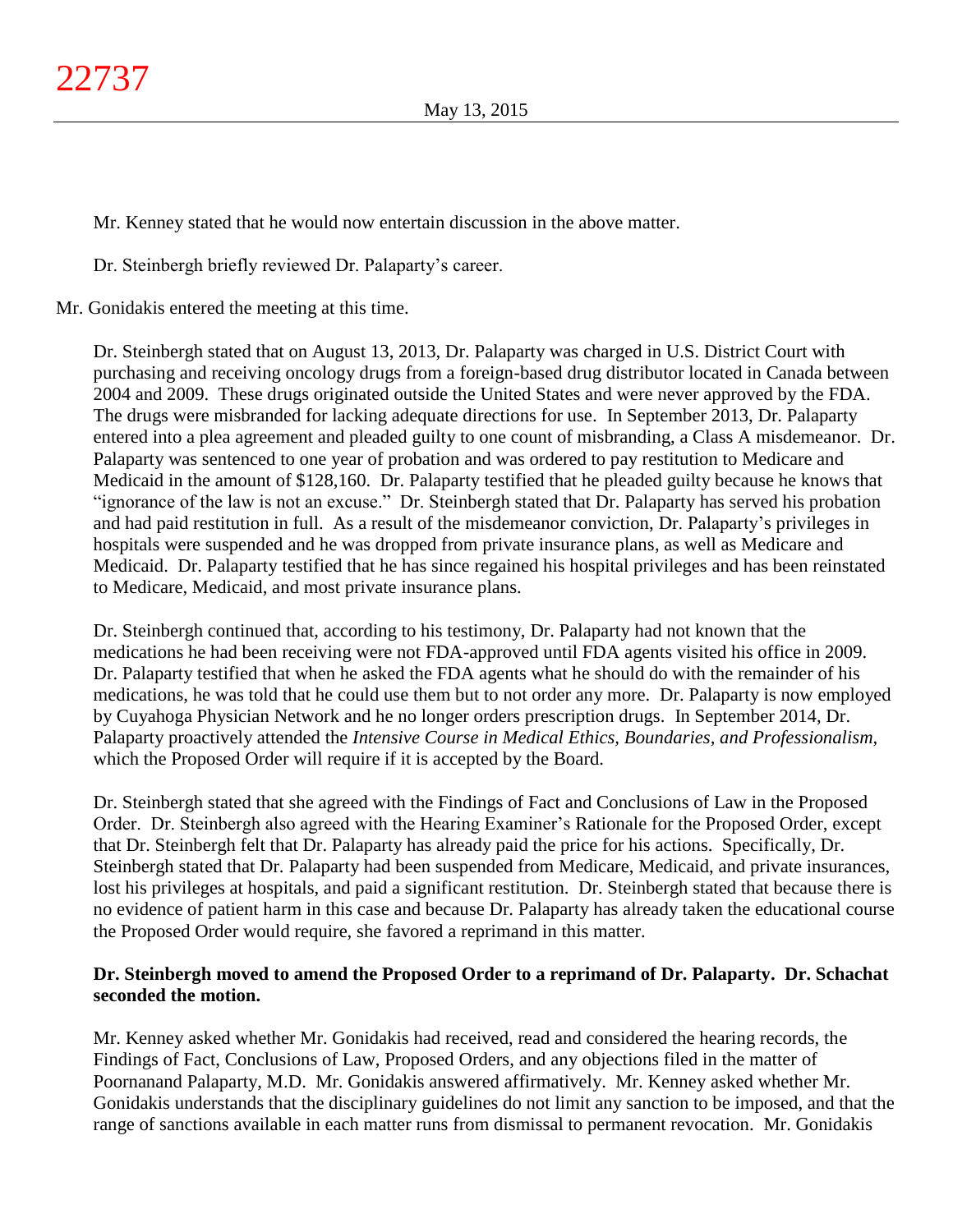Mr. Kenney stated that he would now entertain discussion in the above matter.

Dr. Steinbergh briefly reviewed Dr. Palaparty's career.

Mr. Gonidakis entered the meeting at this time.

Dr. Steinbergh stated that on August 13, 2013, Dr. Palaparty was charged in U.S. District Court with purchasing and receiving oncology drugs from a foreign-based drug distributor located in Canada between 2004 and 2009. These drugs originated outside the United States and were never approved by the FDA. The drugs were misbranded for lacking adequate directions for use. In September 2013, Dr. Palaparty entered into a plea agreement and pleaded guilty to one count of misbranding, a Class A misdemeanor. Dr. Palaparty was sentenced to one year of probation and was ordered to pay restitution to Medicare and Medicaid in the amount of \$128,160. Dr. Palaparty testified that he pleaded guilty because he knows that "ignorance of the law is not an excuse." Dr. Steinbergh stated that Dr. Palaparty has served his probation and had paid restitution in full. As a result of the misdemeanor conviction, Dr. Palaparty's privileges in hospitals were suspended and he was dropped from private insurance plans, as well as Medicare and Medicaid. Dr. Palaparty testified that he has since regained his hospital privileges and has been reinstated to Medicare, Medicaid, and most private insurance plans.

Dr. Steinbergh continued that, according to his testimony, Dr. Palaparty had not known that the medications he had been receiving were not FDA-approved until FDA agents visited his office in 2009. Dr. Palaparty testified that when he asked the FDA agents what he should do with the remainder of his medications, he was told that he could use them but to not order any more. Dr. Palaparty is now employed by Cuyahoga Physician Network and he no longer orders prescription drugs. In September 2014, Dr. Palaparty proactively attended the *Intensive Course in Medical Ethics, Boundaries, and Professionalism*, which the Proposed Order will require if it is accepted by the Board.

Dr. Steinbergh stated that she agreed with the Findings of Fact and Conclusions of Law in the Proposed Order. Dr. Steinbergh also agreed with the Hearing Examiner's Rationale for the Proposed Order, except that Dr. Steinbergh felt that Dr. Palaparty has already paid the price for his actions. Specifically, Dr. Steinbergh stated that Dr. Palaparty had been suspended from Medicare, Medicaid, and private insurances, lost his privileges at hospitals, and paid a significant restitution. Dr. Steinbergh stated that because there is no evidence of patient harm in this case and because Dr. Palaparty has already taken the educational course the Proposed Order would require, she favored a reprimand in this matter.

# **Dr. Steinbergh moved to amend the Proposed Order to a reprimand of Dr. Palaparty. Dr. Schachat seconded the motion.**

Mr. Kenney asked whether Mr. Gonidakis had received, read and considered the hearing records, the Findings of Fact, Conclusions of Law, Proposed Orders, and any objections filed in the matter of Poornanand Palaparty, M.D. Mr. Gonidakis answered affirmatively. Mr. Kenney asked whether Mr. Gonidakis understands that the disciplinary guidelines do not limit any sanction to be imposed, and that the range of sanctions available in each matter runs from dismissal to permanent revocation. Mr. Gonidakis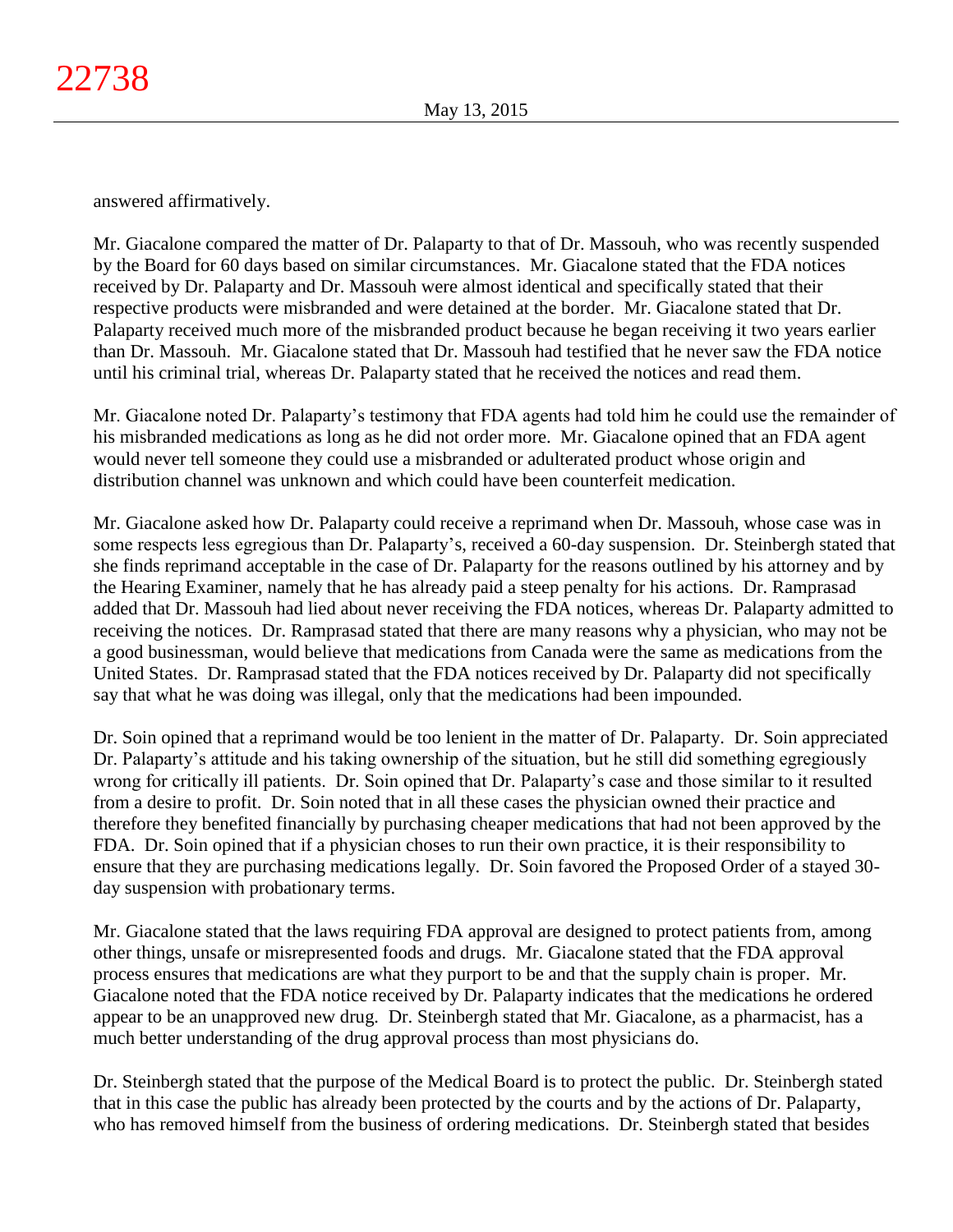answered affirmatively.

Mr. Giacalone compared the matter of Dr. Palaparty to that of Dr. Massouh, who was recently suspended by the Board for 60 days based on similar circumstances. Mr. Giacalone stated that the FDA notices received by Dr. Palaparty and Dr. Massouh were almost identical and specifically stated that their respective products were misbranded and were detained at the border. Mr. Giacalone stated that Dr. Palaparty received much more of the misbranded product because he began receiving it two years earlier than Dr. Massouh. Mr. Giacalone stated that Dr. Massouh had testified that he never saw the FDA notice until his criminal trial, whereas Dr. Palaparty stated that he received the notices and read them.

Mr. Giacalone noted Dr. Palaparty's testimony that FDA agents had told him he could use the remainder of his misbranded medications as long as he did not order more. Mr. Giacalone opined that an FDA agent would never tell someone they could use a misbranded or adulterated product whose origin and distribution channel was unknown and which could have been counterfeit medication.

Mr. Giacalone asked how Dr. Palaparty could receive a reprimand when Dr. Massouh, whose case was in some respects less egregious than Dr. Palaparty's, received a 60-day suspension. Dr. Steinbergh stated that she finds reprimand acceptable in the case of Dr. Palaparty for the reasons outlined by his attorney and by the Hearing Examiner, namely that he has already paid a steep penalty for his actions. Dr. Ramprasad added that Dr. Massouh had lied about never receiving the FDA notices, whereas Dr. Palaparty admitted to receiving the notices. Dr. Ramprasad stated that there are many reasons why a physician, who may not be a good businessman, would believe that medications from Canada were the same as medications from the United States. Dr. Ramprasad stated that the FDA notices received by Dr. Palaparty did not specifically say that what he was doing was illegal, only that the medications had been impounded.

Dr. Soin opined that a reprimand would be too lenient in the matter of Dr. Palaparty. Dr. Soin appreciated Dr. Palaparty's attitude and his taking ownership of the situation, but he still did something egregiously wrong for critically ill patients. Dr. Soin opined that Dr. Palaparty's case and those similar to it resulted from a desire to profit. Dr. Soin noted that in all these cases the physician owned their practice and therefore they benefited financially by purchasing cheaper medications that had not been approved by the FDA. Dr. Soin opined that if a physician choses to run their own practice, it is their responsibility to ensure that they are purchasing medications legally. Dr. Soin favored the Proposed Order of a stayed 30 day suspension with probationary terms.

Mr. Giacalone stated that the laws requiring FDA approval are designed to protect patients from, among other things, unsafe or misrepresented foods and drugs. Mr. Giacalone stated that the FDA approval process ensures that medications are what they purport to be and that the supply chain is proper. Mr. Giacalone noted that the FDA notice received by Dr. Palaparty indicates that the medications he ordered appear to be an unapproved new drug. Dr. Steinbergh stated that Mr. Giacalone, as a pharmacist, has a much better understanding of the drug approval process than most physicians do.

Dr. Steinbergh stated that the purpose of the Medical Board is to protect the public. Dr. Steinbergh stated that in this case the public has already been protected by the courts and by the actions of Dr. Palaparty, who has removed himself from the business of ordering medications. Dr. Steinbergh stated that besides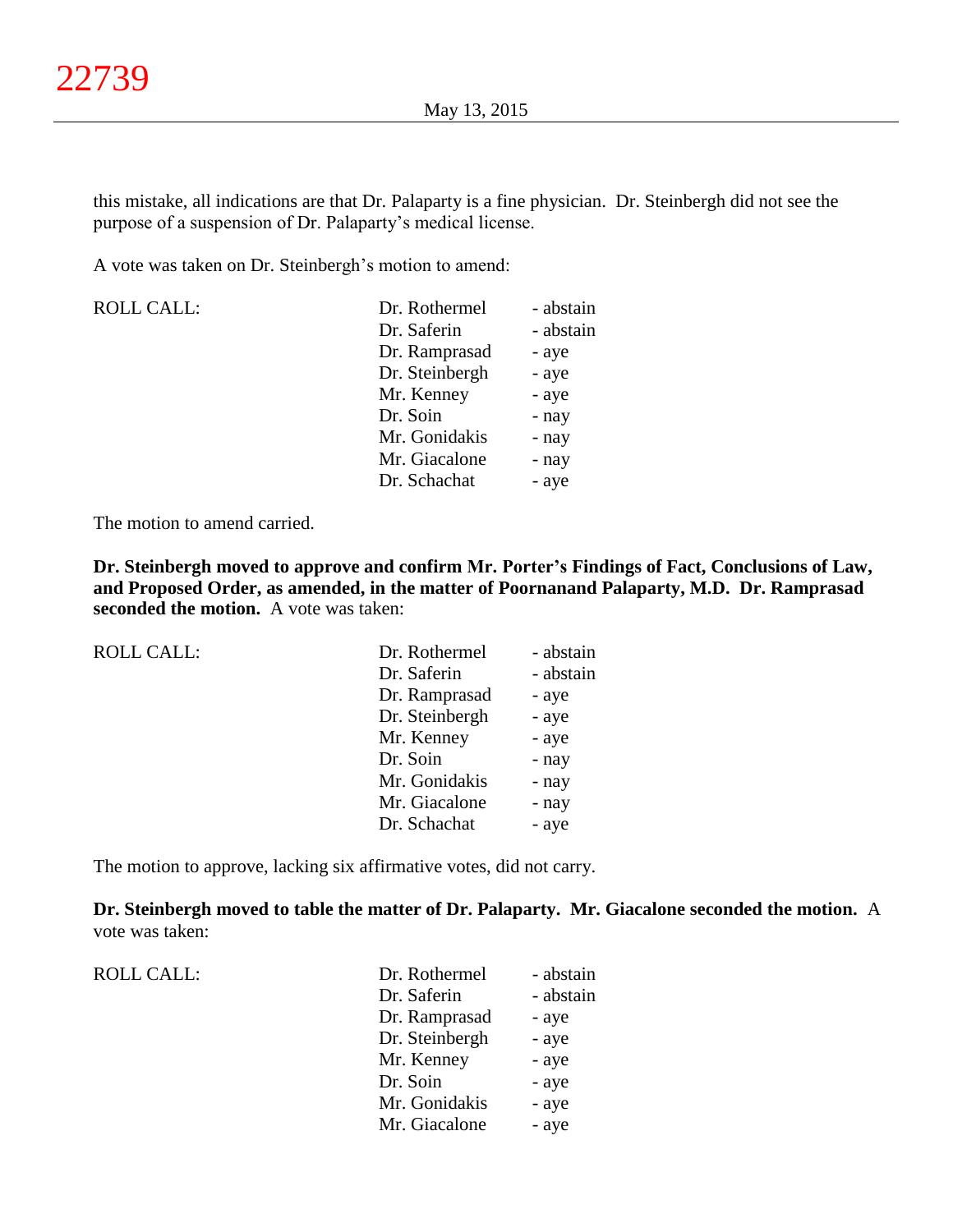this mistake, all indications are that Dr. Palaparty is a fine physician. Dr. Steinbergh did not see the purpose of a suspension of Dr. Palaparty's medical license.

A vote was taken on Dr. Steinbergh's motion to amend:

| <b>ROLL CALL:</b> | Dr. Rothermel  | - abstain |
|-------------------|----------------|-----------|
|                   | Dr. Saferin    | - abstain |
|                   | Dr. Ramprasad  | - aye     |
|                   | Dr. Steinbergh | - aye     |
|                   | Mr. Kenney     | - aye     |
|                   | Dr. Soin       | - nay     |
|                   | Mr. Gonidakis  | - nay     |
|                   | Mr. Giacalone  | - nay     |
|                   | Dr. Schachat   | - aye     |

The motion to amend carried.

**Dr. Steinbergh moved to approve and confirm Mr. Porter's Findings of Fact, Conclusions of Law, and Proposed Order, as amended, in the matter of Poornanand Palaparty, M.D. Dr. Ramprasad seconded the motion.** A vote was taken:

| <b>ROLL CALL:</b> | Dr. Rothermel  | - abstain |
|-------------------|----------------|-----------|
|                   | Dr. Saferin    | - abstain |
|                   | Dr. Ramprasad  | - aye     |
|                   | Dr. Steinbergh | - aye     |
|                   | Mr. Kenney     | - aye     |
|                   | Dr. Soin       | - nay     |
|                   | Mr. Gonidakis  | - nay     |
|                   | Mr. Giacalone  | - nay     |
|                   | Dr. Schachat   | - aye     |
|                   |                |           |

The motion to approve, lacking six affirmative votes, did not carry.

**Dr. Steinbergh moved to table the matter of Dr. Palaparty. Mr. Giacalone seconded the motion.** A vote was taken:

ROLL CALL:  $\qquad \qquad \blacksquare$ 

| Dr. Rothermel  | - abstain |
|----------------|-----------|
| Dr. Saferin    | - abstain |
| Dr. Ramprasad  | - aye     |
| Dr. Steinbergh | - aye     |
| Mr. Kenney     | - aye     |
| Dr. Soin       | - aye     |
| Mr. Gonidakis  | - aye     |
| Mr. Giacalone  | - aye     |
|                |           |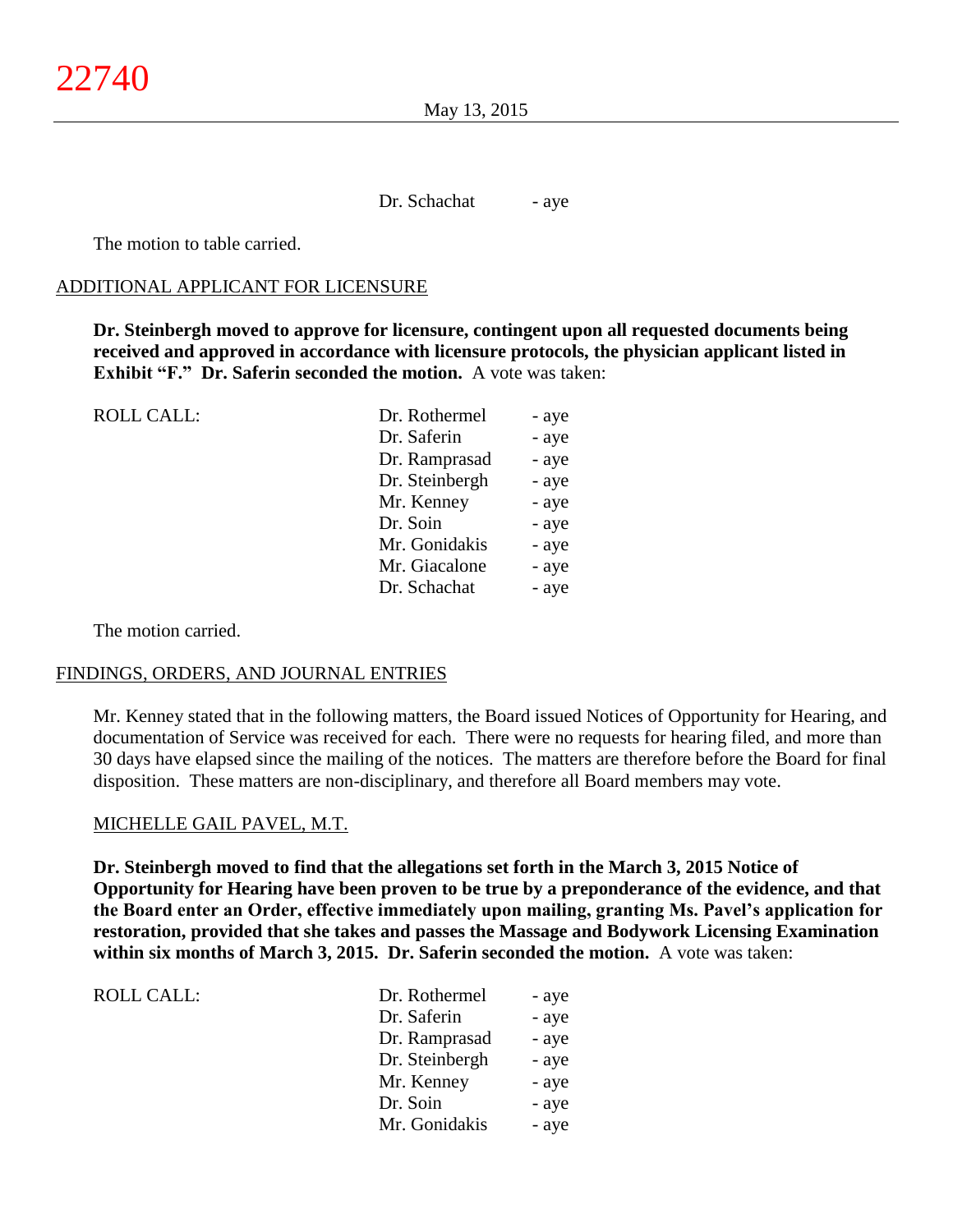Dr. Schachat - aye

The motion to table carried.

#### ADDITIONAL APPLICANT FOR LICENSURE

**Dr. Steinbergh moved to approve for licensure, contingent upon all requested documents being received and approved in accordance with licensure protocols, the physician applicant listed in Exhibit "F." Dr. Saferin seconded the motion.** A vote was taken:

| <b>ROLL CALL:</b> | Dr. Rothermel  | - aye |
|-------------------|----------------|-------|
|                   | Dr. Saferin    | - aye |
|                   | Dr. Ramprasad  | - aye |
|                   | Dr. Steinbergh | - aye |
|                   | Mr. Kenney     | - aye |
|                   | Dr. Soin       | - aye |
|                   | Mr. Gonidakis  | - aye |
|                   | Mr. Giacalone  | - aye |
|                   | Dr. Schachat   | - aye |
|                   |                |       |

The motion carried.

ROLL CALL:

#### FINDINGS, ORDERS, AND JOURNAL ENTRIES

Mr. Kenney stated that in the following matters, the Board issued Notices of Opportunity for Hearing, and documentation of Service was received for each. There were no requests for hearing filed, and more than 30 days have elapsed since the mailing of the notices. The matters are therefore before the Board for final disposition. These matters are non-disciplinary, and therefore all Board members may vote.

#### MICHELLE GAIL PAVEL, M.T.

**Dr. Steinbergh moved to find that the allegations set forth in the March 3, 2015 Notice of Opportunity for Hearing have been proven to be true by a preponderance of the evidence, and that the Board enter an Order, effective immediately upon mailing, granting Ms. Pavel's application for restoration, provided that she takes and passes the Massage and Bodywork Licensing Examination within six months of March 3, 2015. Dr. Saferin seconded the motion.** A vote was taken:

| Dr. Rothermel  | - aye |
|----------------|-------|
| Dr. Saferin    | - aye |
| Dr. Ramprasad  | - aye |
| Dr. Steinbergh | - aye |
| Mr. Kenney     | - aye |
| Dr. Soin       | - aye |
| Mr. Gonidakis  | - aye |
|                |       |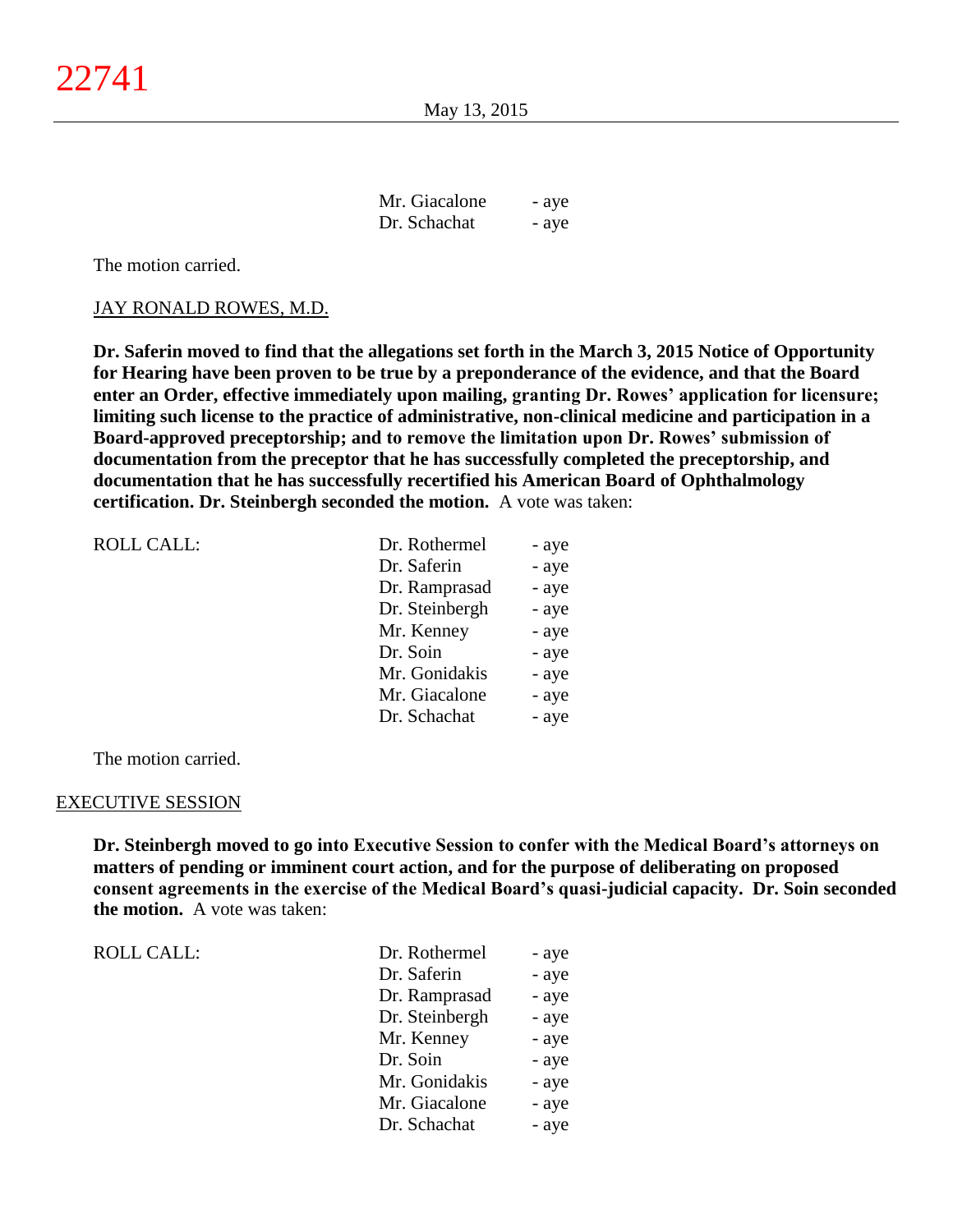| Mr. Giacalone | - aye |
|---------------|-------|
| Dr. Schachat  | - aye |

The motion carried.

#### JAY RONALD ROWES, M.D.

**Dr. Saferin moved to find that the allegations set forth in the March 3, 2015 Notice of Opportunity for Hearing have been proven to be true by a preponderance of the evidence, and that the Board enter an Order, effective immediately upon mailing, granting Dr. Rowes' application for licensure; limiting such license to the practice of administrative, non-clinical medicine and participation in a Board-approved preceptorship; and to remove the limitation upon Dr. Rowes' submission of documentation from the preceptor that he has successfully completed the preceptorship, and documentation that he has successfully recertified his American Board of Ophthalmology certification. Dr. Steinbergh seconded the motion.** A vote was taken:

| Dr. Rothermel  | - aye |
|----------------|-------|
| Dr. Saferin    | - aye |
| Dr. Ramprasad  | - aye |
| Dr. Steinbergh | - aye |
| Mr. Kenney     | - aye |
| Dr. Soin       | - aye |
| Mr. Gonidakis  | - aye |
| Mr. Giacalone  | - aye |
| Dr. Schachat   | - aye |
|                |       |

The motion carried.

#### EXECUTIVE SESSION

**Dr. Steinbergh moved to go into Executive Session to confer with the Medical Board's attorneys on matters of pending or imminent court action, and for the purpose of deliberating on proposed consent agreements in the exercise of the Medical Board's quasi-judicial capacity. Dr. Soin seconded the motion.** A vote was taken:

| Dr. Rothermel  | - aye |
|----------------|-------|
| Dr. Saferin    | - aye |
| Dr. Ramprasad  | - aye |
| Dr. Steinbergh | - aye |
| Mr. Kenney     | - aye |
| Dr. Soin       | - aye |
| Mr. Gonidakis  | - aye |
| Mr. Giacalone  | - aye |
| Dr. Schachat   | - aye |
|                |       |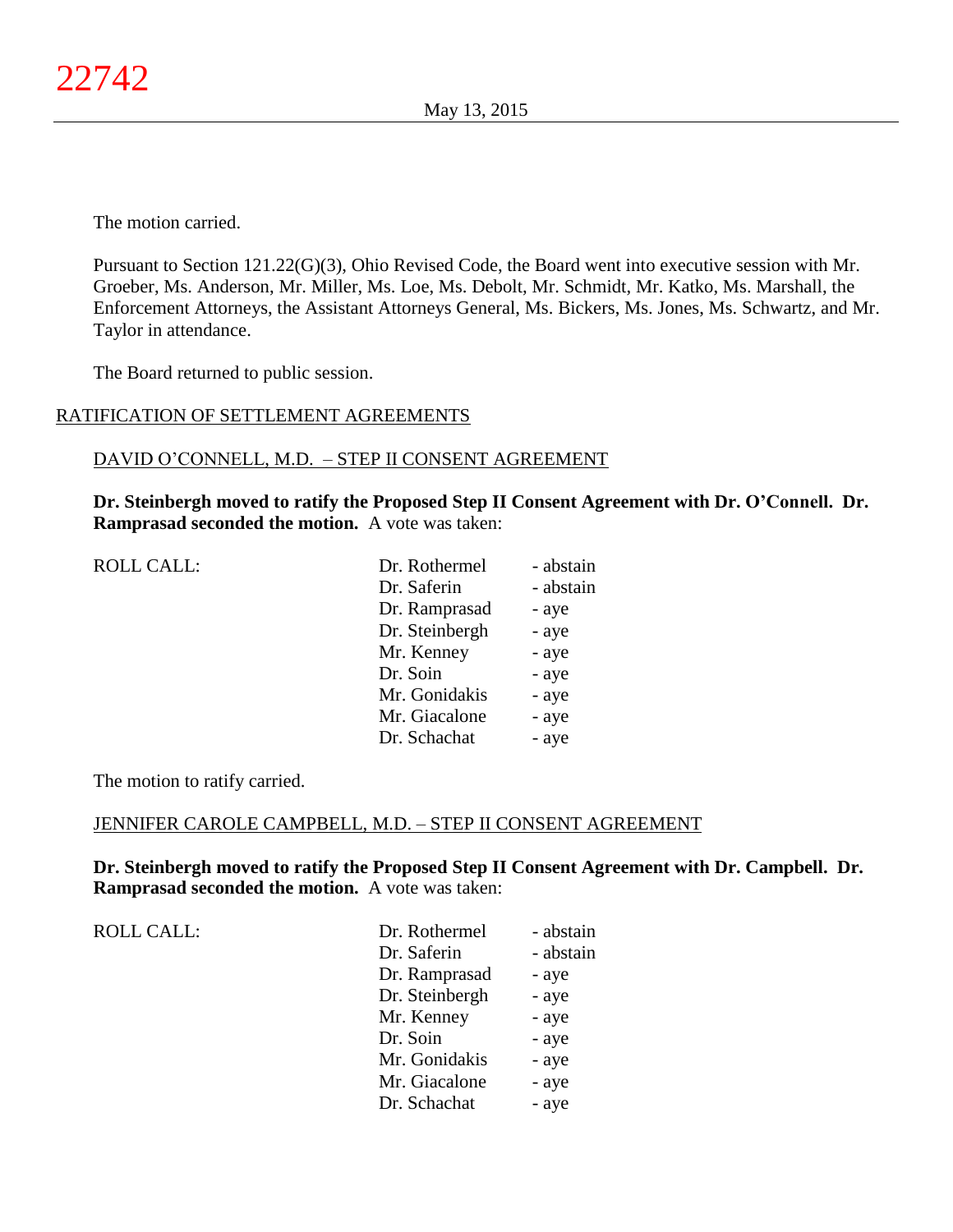The motion carried.

Pursuant to Section 121.22(G)(3), Ohio Revised Code, the Board went into executive session with Mr. Groeber, Ms. Anderson, Mr. Miller, Ms. Loe, Ms. Debolt, Mr. Schmidt, Mr. Katko, Ms. Marshall, the Enforcement Attorneys, the Assistant Attorneys General, Ms. Bickers, Ms. Jones, Ms. Schwartz, and Mr. Taylor in attendance.

The Board returned to public session.

# RATIFICATION OF SETTLEMENT AGREEMENTS

# DAVID O'CONNELL, M.D. – STEP II CONSENT AGREEMENT

**Dr. Steinbergh moved to ratify the Proposed Step II Consent Agreement with Dr. O'Connell. Dr. Ramprasad seconded the motion.** A vote was taken:

| <b>ROLL CALL:</b> | Dr. Rothermel  | - abstain |
|-------------------|----------------|-----------|
|                   | Dr. Saferin    | - abstain |
|                   | Dr. Ramprasad  | - aye     |
|                   | Dr. Steinbergh | - aye     |
|                   | Mr. Kenney     | - aye     |
|                   | Dr. Soin       | - aye     |
|                   | Mr. Gonidakis  | - aye     |
|                   | Mr. Giacalone  | - aye     |
|                   | Dr. Schachat   | - aye     |

The motion to ratify carried.

# JENNIFER CAROLE CAMPBELL, M.D. – STEP II CONSENT AGREEMENT

**Dr. Steinbergh moved to ratify the Proposed Step II Consent Agreement with Dr. Campbell. Dr. Ramprasad seconded the motion.** A vote was taken:

ROLL CALL:

| Dr. Rothermel  | - abstain |
|----------------|-----------|
| Dr. Saferin    | - abstain |
| Dr. Ramprasad  | - aye     |
| Dr. Steinbergh | - aye     |
| Mr. Kenney     | - aye     |
| Dr. Soin       | - aye     |
| Mr. Gonidakis  | - aye     |
| Mr. Giacalone  | - aye     |
| Dr. Schachat   | - aye     |
|                |           |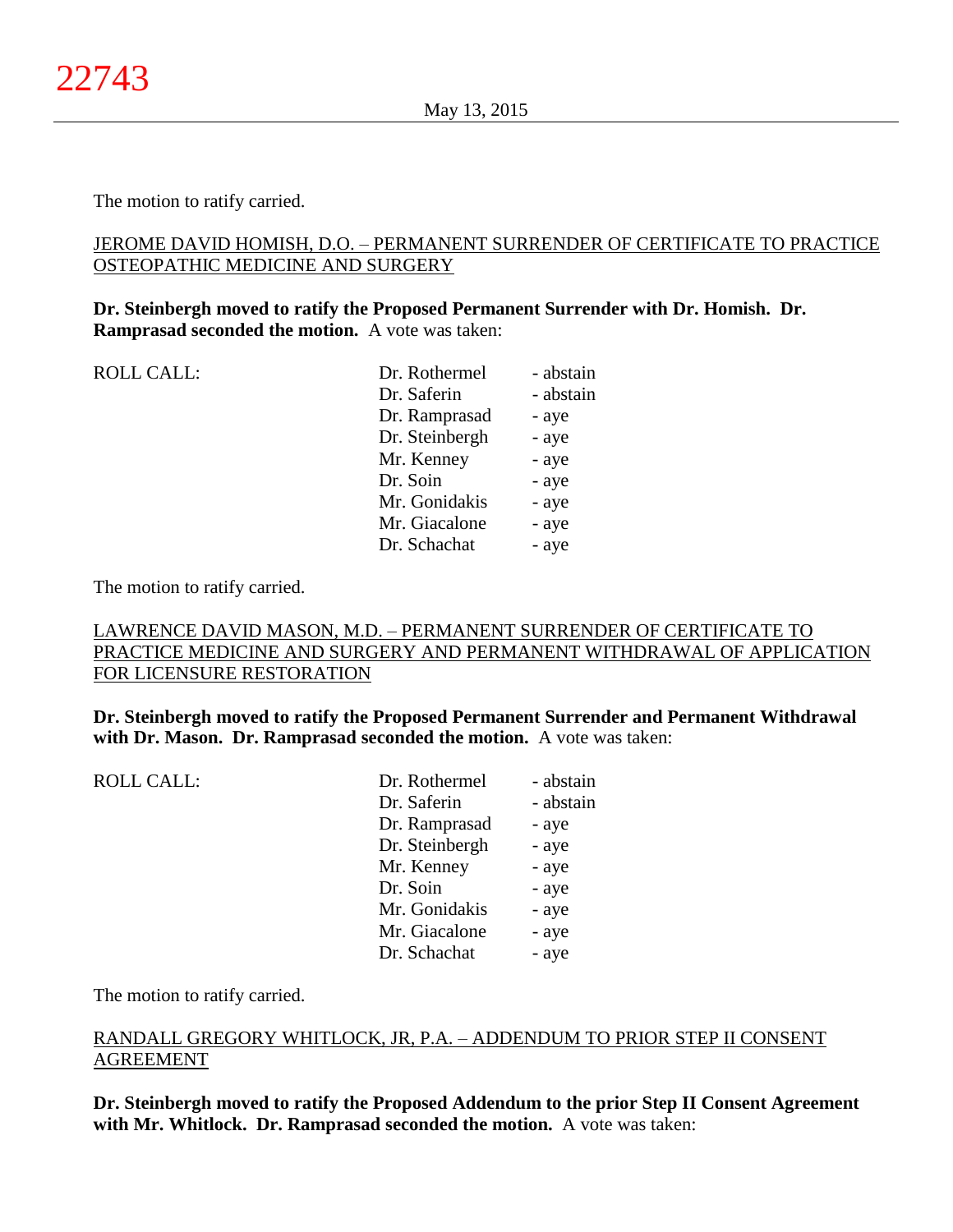The motion to ratify carried.

# JEROME DAVID HOMISH, D.O. – PERMANENT SURRENDER OF CERTIFICATE TO PRACTICE OSTEOPATHIC MEDICINE AND SURGERY

# **Dr. Steinbergh moved to ratify the Proposed Permanent Surrender with Dr. Homish. Dr. Ramprasad seconded the motion.** A vote was taken:

| <b>ROLL CALL:</b> | Dr. Rothermel  | - abstain |
|-------------------|----------------|-----------|
|                   | Dr. Saferin    | - abstain |
|                   | Dr. Ramprasad  | - aye     |
|                   | Dr. Steinbergh | - aye     |
|                   | Mr. Kenney     | - aye     |
|                   | Dr. Soin       | - aye     |
|                   | Mr. Gonidakis  | - aye     |
|                   | Mr. Giacalone  | - aye     |
|                   | Dr. Schachat   | - aye     |
|                   |                |           |

The motion to ratify carried.

# LAWRENCE DAVID MASON, M.D. – PERMANENT SURRENDER OF CERTIFICATE TO PRACTICE MEDICINE AND SURGERY AND PERMANENT WITHDRAWAL OF APPLICATION FOR LICENSURE RESTORATION

**Dr. Steinbergh moved to ratify the Proposed Permanent Surrender and Permanent Withdrawal with Dr. Mason. Dr. Ramprasad seconded the motion.** A vote was taken:

| <b>ROLL CALL:</b> | Dr. Rothermel  | - abstain |
|-------------------|----------------|-----------|
|                   | Dr. Saferin    | - abstain |
|                   | Dr. Ramprasad  | - aye     |
|                   | Dr. Steinbergh | - aye     |
|                   | Mr. Kenney     | - aye     |
|                   | Dr. Soin       | - aye     |
|                   | Mr. Gonidakis  | - aye     |
|                   | Mr. Giacalone  | - aye     |
|                   | Dr. Schachat   | - aye     |
|                   |                |           |

The motion to ratify carried.

# RANDALL GREGORY WHITLOCK, JR, P.A. – ADDENDUM TO PRIOR STEP II CONSENT AGREEMENT

**Dr. Steinbergh moved to ratify the Proposed Addendum to the prior Step II Consent Agreement with Mr. Whitlock. Dr. Ramprasad seconded the motion.** A vote was taken: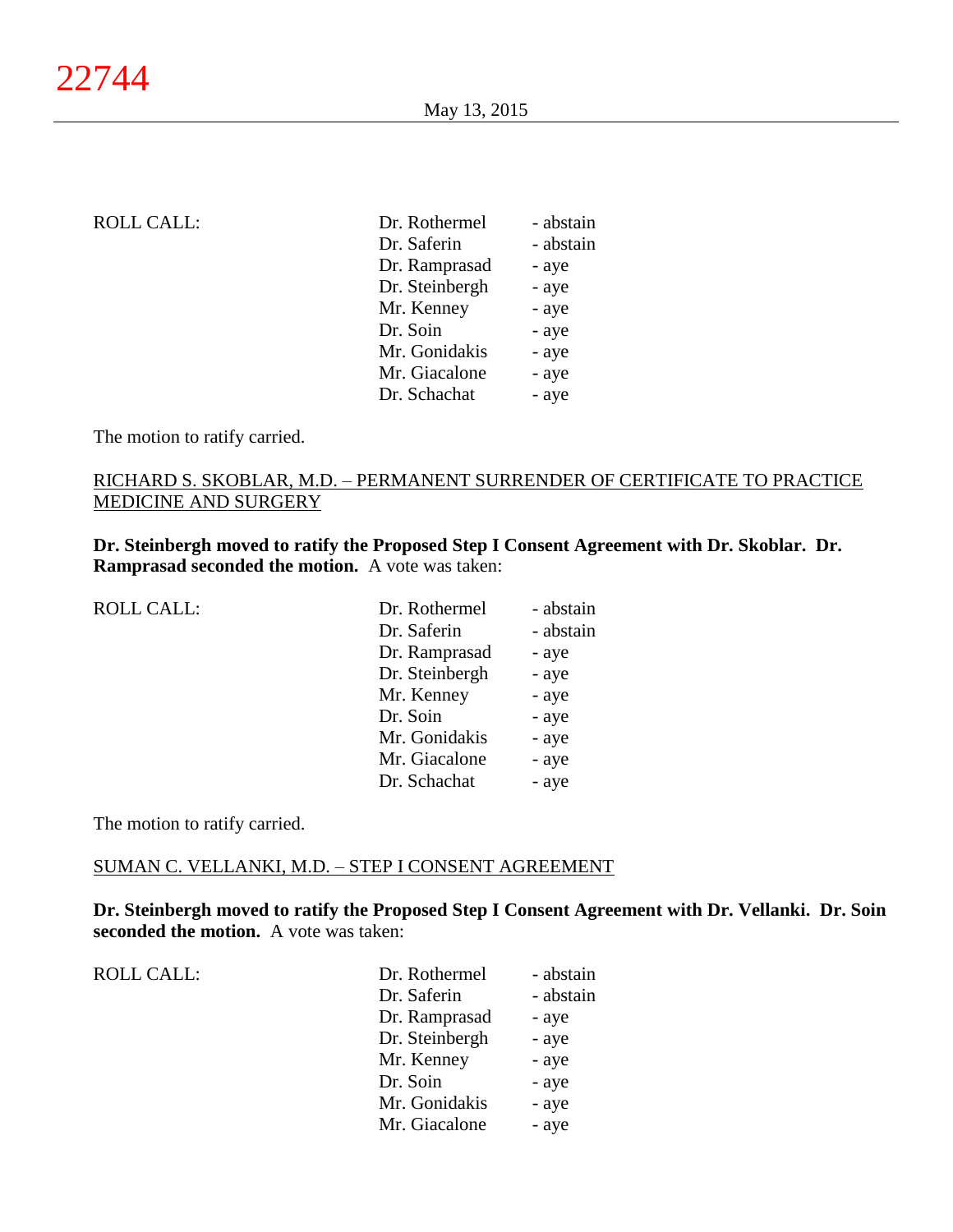| <b>ROLL CALL:</b> | Dr. Rothermel  | - abstain |
|-------------------|----------------|-----------|
|                   | Dr. Saferin    | - abstain |
|                   | Dr. Ramprasad  | - aye     |
|                   | Dr. Steinbergh | - aye     |
|                   | Mr. Kenney     | - aye     |
|                   | Dr. Soin       | - aye     |
|                   | Mr. Gonidakis  | - aye     |
|                   | Mr. Giacalone  | - aye     |
|                   | Dr. Schachat   | - aye     |
|                   |                |           |

The motion to ratify carried.

# RICHARD S. SKOBLAR, M.D. – PERMANENT SURRENDER OF CERTIFICATE TO PRACTICE MEDICINE AND SURGERY

**Dr. Steinbergh moved to ratify the Proposed Step I Consent Agreement with Dr. Skoblar. Dr. Ramprasad seconded the motion.** A vote was taken:

| <b>ROLL CALL:</b> | Dr. Rothermel  | - abstain |
|-------------------|----------------|-----------|
|                   | Dr. Saferin    | - abstain |
|                   | Dr. Ramprasad  | - aye     |
|                   | Dr. Steinbergh | - aye     |
|                   | Mr. Kenney     | - aye     |
|                   | Dr. Soin       | - aye     |
|                   | Mr. Gonidakis  | - aye     |
|                   | Mr. Giacalone  | - aye     |
|                   | Dr. Schachat   | - aye     |
|                   |                |           |

The motion to ratify carried.

## SUMAN C. VELLANKI, M.D. – STEP I CONSENT AGREEMENT

**Dr. Steinbergh moved to ratify the Proposed Step I Consent Agreement with Dr. Vellanki. Dr. Soin seconded the motion.** A vote was taken:

ROLL CALL:  $\qquad \qquad \Box$ 

| Dr. Rothermel  | - abstain |
|----------------|-----------|
| Dr. Saferin    | - abstain |
| Dr. Ramprasad  | - aye     |
| Dr. Steinbergh | - aye     |
| Mr. Kenney     | - aye     |
| Dr. Soin       | - aye     |
| Mr. Gonidakis  | - aye     |
| Mr. Giacalone  | - aye     |
|                |           |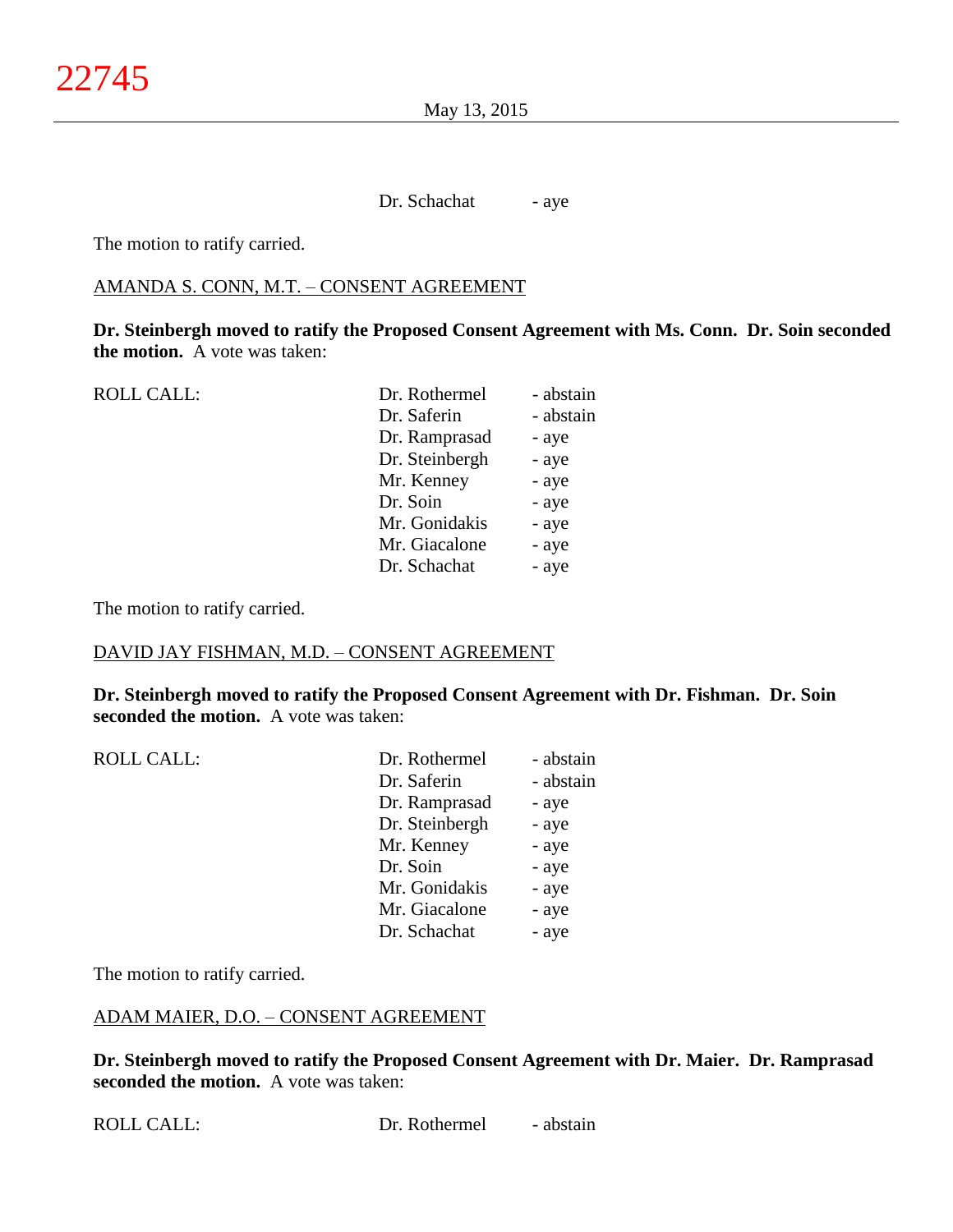May 13, 2015

Dr. Schachat - aye

The motion to ratify carried.

## AMANDA S. CONN, M.T. – CONSENT AGREEMENT

**Dr. Steinbergh moved to ratify the Proposed Consent Agreement with Ms. Conn. Dr. Soin seconded the motion.** A vote was taken:

| - abstain |
|-----------|
|           |
| - abstain |
| - aye     |
| - aye     |
| - aye     |
| - aye     |
| - aye     |
| - aye     |
| - aye     |
|           |

The motion to ratify carried.

## DAVID JAY FISHMAN, M.D. – CONSENT AGREEMENT

**Dr. Steinbergh moved to ratify the Proposed Consent Agreement with Dr. Fishman. Dr. Soin seconded the motion.** A vote was taken:

| <b>ROLL CALL:</b> | Dr. Rothermel  | - abstain |
|-------------------|----------------|-----------|
|                   | Dr. Saferin    | - abstain |
|                   | Dr. Ramprasad  | - aye     |
|                   | Dr. Steinbergh | - aye     |
|                   | Mr. Kenney     | - aye     |
|                   | Dr. Soin       | - aye     |
|                   | Mr. Gonidakis  | - aye     |
|                   | Mr. Giacalone  | - aye     |
|                   | Dr. Schachat   | - aye     |

The motion to ratify carried.

#### ADAM MAIER, D.O. – CONSENT AGREEMENT

**Dr. Steinbergh moved to ratify the Proposed Consent Agreement with Dr. Maier. Dr. Ramprasad seconded the motion.** A vote was taken: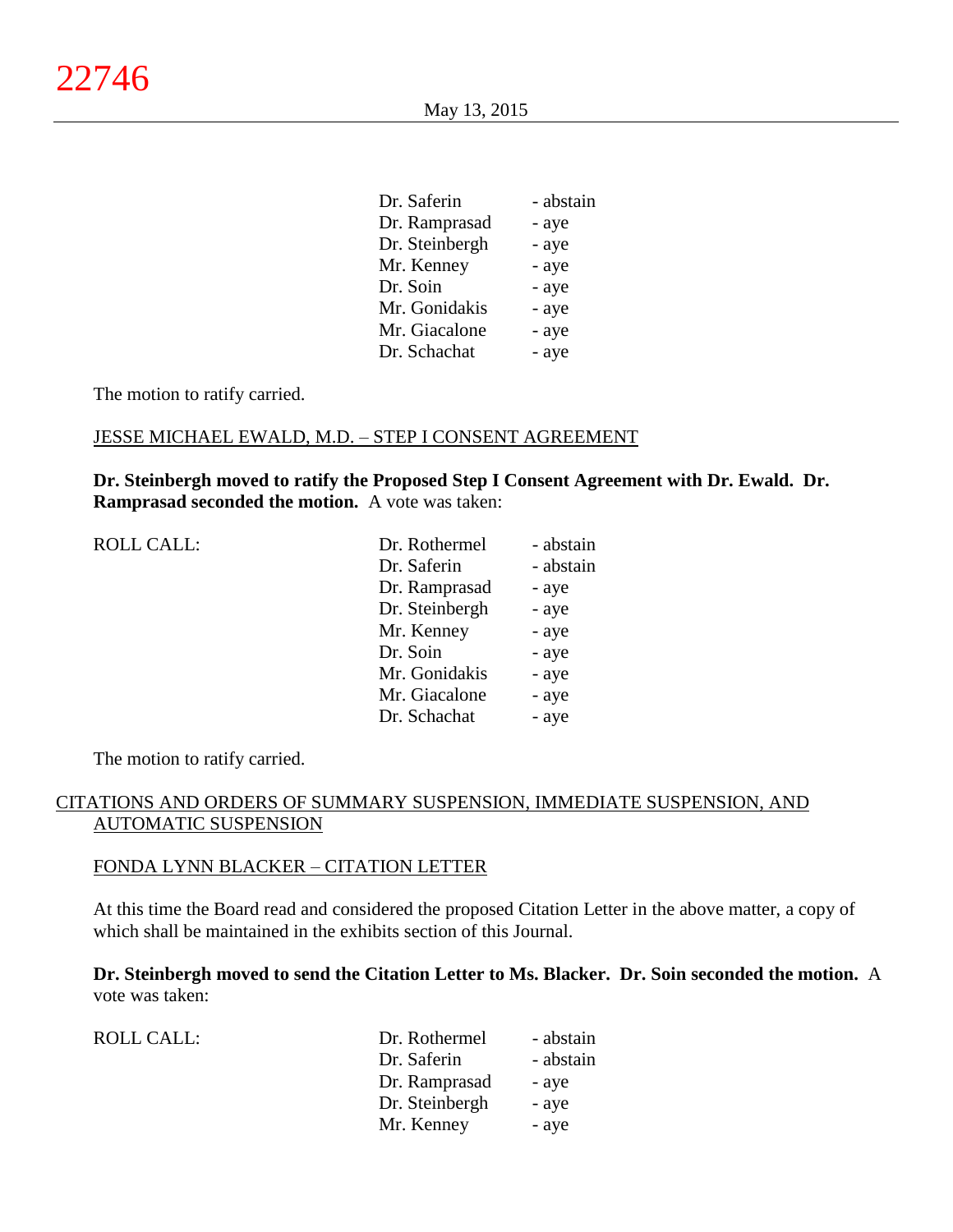| Dr. Saferin    | - abstain |
|----------------|-----------|
| Dr. Ramprasad  | - aye     |
| Dr. Steinbergh | - aye     |
| Mr. Kenney     | - aye     |
| Dr. Soin       | - aye     |
| Mr. Gonidakis  | - aye     |
| Mr. Giacalone  | - aye     |
| Dr. Schachat   | - aye     |

The motion to ratify carried.

## JESSE MICHAEL EWALD, M.D. – STEP I CONSENT AGREEMENT

**Dr. Steinbergh moved to ratify the Proposed Step I Consent Agreement with Dr. Ewald. Dr. Ramprasad seconded the motion.** A vote was taken:

| <b>ROLL CALL:</b> |  |
|-------------------|--|
|-------------------|--|

| <b>ROLL CALL:</b> | Dr. Rothermel  | - abstain |
|-------------------|----------------|-----------|
|                   | Dr. Saferin    | - abstain |
|                   | Dr. Ramprasad  | - aye     |
|                   | Dr. Steinbergh | - aye     |
|                   | Mr. Kenney     | - aye     |
|                   | Dr. Soin       | - aye     |
|                   | Mr. Gonidakis  | - aye     |
|                   | Mr. Giacalone  | - aye     |
|                   | Dr. Schachat   | - aye     |
|                   |                |           |

The motion to ratify carried.

## CITATIONS AND ORDERS OF SUMMARY SUSPENSION, IMMEDIATE SUSPENSION, AND AUTOMATIC SUSPENSION

#### FONDA LYNN BLACKER – CITATION LETTER

At this time the Board read and considered the proposed Citation Letter in the above matter, a copy of which shall be maintained in the exhibits section of this Journal.

**Dr. Steinbergh moved to send the Citation Letter to Ms. Blacker. Dr. Soin seconded the motion.** A vote was taken:

| <b>ROLL CALL:</b> | Dr. Rothermel  | - abstain |
|-------------------|----------------|-----------|
|                   | Dr. Saferin    | - abstain |
|                   | Dr. Ramprasad  | - aye     |
|                   | Dr. Steinbergh | - aye     |
|                   | Mr. Kenney     | - aye     |
|                   |                |           |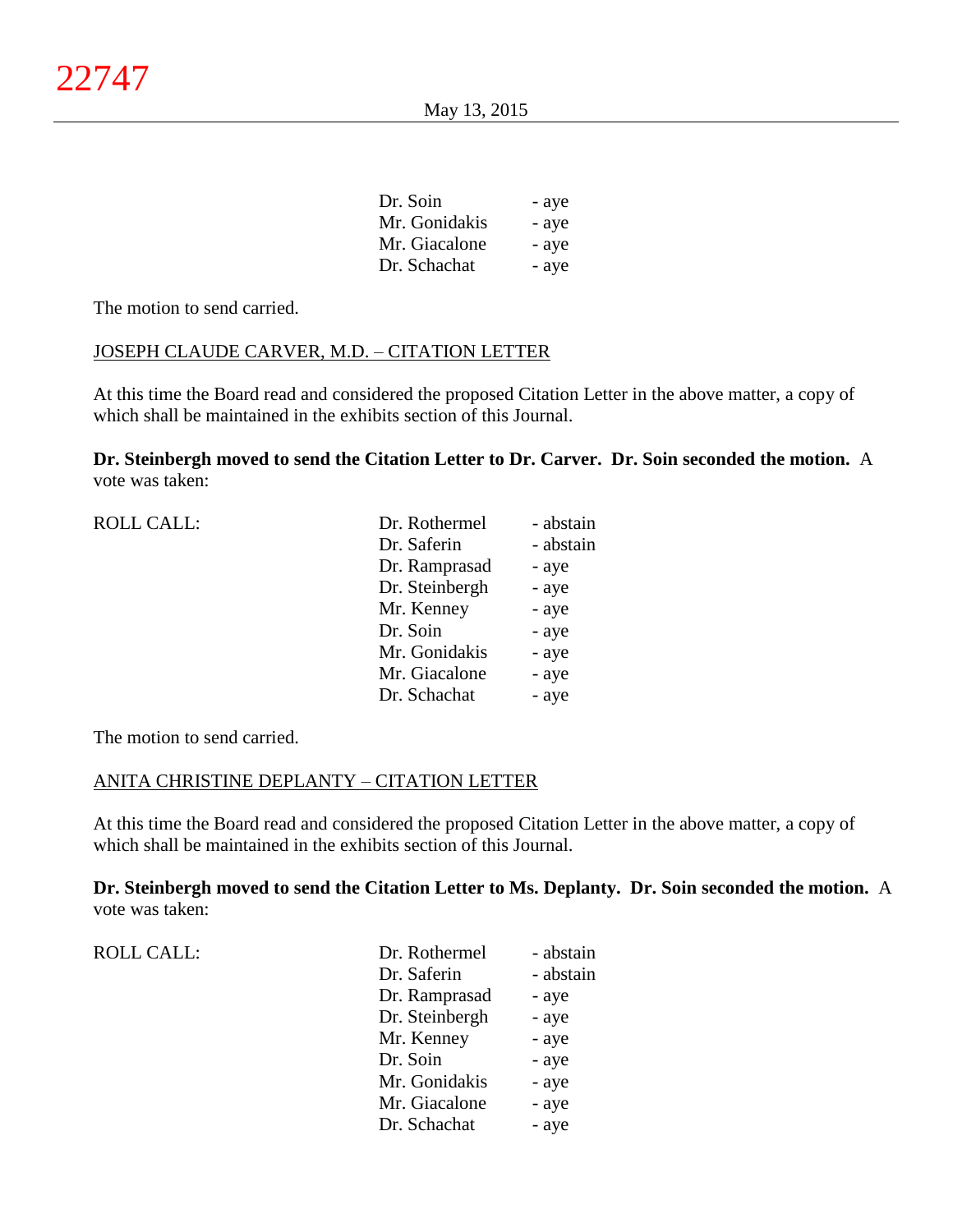| - aye |
|-------|
| - aye |
| - aye |
| - aye |
|       |

The motion to send carried.

# JOSEPH CLAUDE CARVER, M.D. – CITATION LETTER

At this time the Board read and considered the proposed Citation Letter in the above matter, a copy of which shall be maintained in the exhibits section of this Journal.

**Dr. Steinbergh moved to send the Citation Letter to Dr. Carver. Dr. Soin seconded the motion.** A vote was taken:

| <b>ROLL CALL:</b> | Dr. Rothermel  | - abstain |
|-------------------|----------------|-----------|
|                   | Dr. Saferin    | - abstain |
|                   | Dr. Ramprasad  | - aye     |
|                   | Dr. Steinbergh | - aye     |
|                   | Mr. Kenney     | - aye     |
|                   | Dr. Soin       | - aye     |
|                   | Mr. Gonidakis  | - aye     |
|                   | Mr. Giacalone  | - aye     |
|                   | Dr. Schachat   | - aye     |
|                   |                |           |

The motion to send carried.

## ANITA CHRISTINE DEPLANTY – CITATION LETTER

At this time the Board read and considered the proposed Citation Letter in the above matter, a copy of which shall be maintained in the exhibits section of this Journal.

**Dr. Steinbergh moved to send the Citation Letter to Ms. Deplanty. Dr. Soin seconded the motion.** A vote was taken:

| <b>ROLL CALL:</b> | Dr. Rothermel  | - abstain |
|-------------------|----------------|-----------|
|                   | Dr. Saferin    | - abstain |
|                   | Dr. Ramprasad  | - aye     |
|                   | Dr. Steinbergh | - aye     |
|                   | Mr. Kenney     | - aye     |
|                   | Dr. Soin       | - aye     |
|                   | Mr. Gonidakis  | - aye     |
|                   | Mr. Giacalone  | - aye     |
|                   | Dr. Schachat   | - aye     |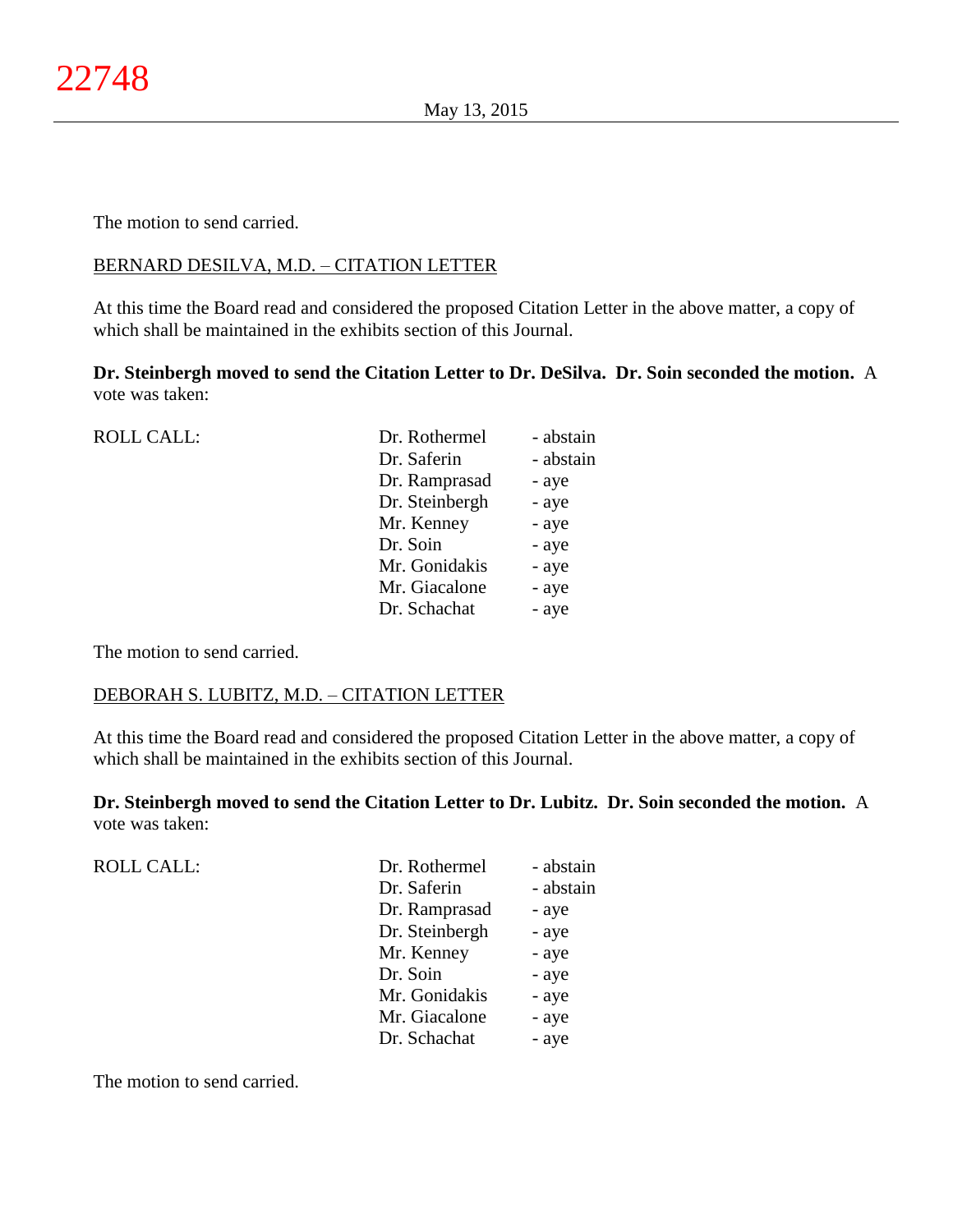The motion to send carried.

# BERNARD DESILVA, M.D. – CITATION LETTER

At this time the Board read and considered the proposed Citation Letter in the above matter, a copy of which shall be maintained in the exhibits section of this Journal.

**Dr. Steinbergh moved to send the Citation Letter to Dr. DeSilva. Dr. Soin seconded the motion.** A vote was taken:

| <b>ROLL CALL:</b> | Dr. Rothermel  | - abstain |
|-------------------|----------------|-----------|
|                   | Dr. Saferin    | - abstain |
|                   | Dr. Ramprasad  | - aye     |
|                   | Dr. Steinbergh | - aye     |
|                   | Mr. Kenney     | - aye     |
|                   | Dr. Soin       | - aye     |
|                   | Mr. Gonidakis  | - aye     |
|                   | Mr. Giacalone  | - aye     |
|                   | Dr. Schachat   | - aye     |
|                   |                |           |

The motion to send carried.

# DEBORAH S. LUBITZ, M.D. – CITATION LETTER

At this time the Board read and considered the proposed Citation Letter in the above matter, a copy of which shall be maintained in the exhibits section of this Journal.

**Dr. Steinbergh moved to send the Citation Letter to Dr. Lubitz. Dr. Soin seconded the motion.** A vote was taken:

| <b>ROLL CALL:</b> | Dr. Rothermel  | - abstain |
|-------------------|----------------|-----------|
|                   | Dr. Saferin    | - abstain |
|                   | Dr. Ramprasad  | - aye     |
|                   | Dr. Steinbergh | - aye     |
|                   | Mr. Kenney     | - aye     |
|                   | Dr. Soin       | - aye     |
|                   | Mr. Gonidakis  | - aye     |
|                   | Mr. Giacalone  | - aye     |
|                   | Dr. Schachat   | - aye     |
|                   |                |           |

The motion to send carried.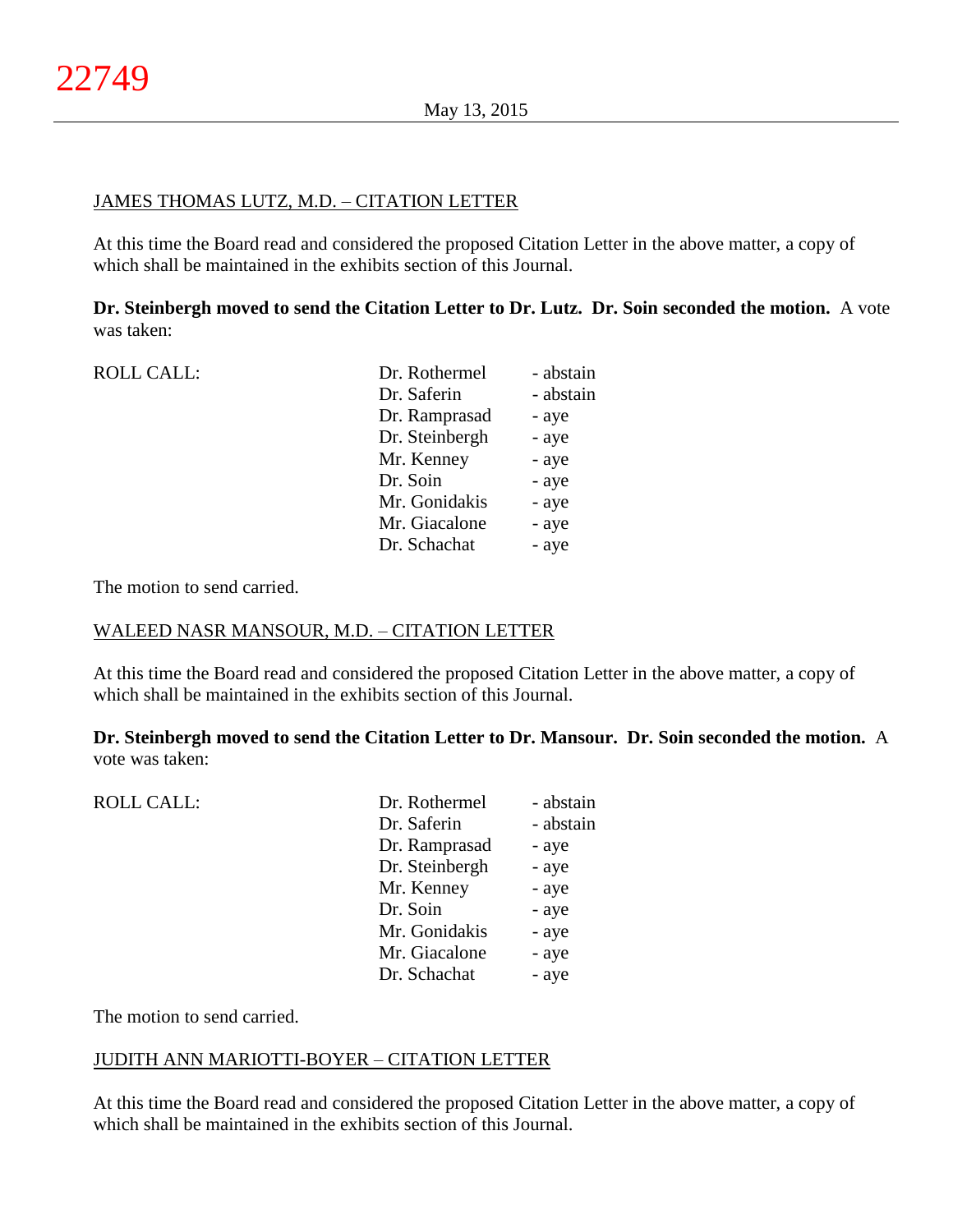# JAMES THOMAS LUTZ, M.D. – CITATION LETTER

At this time the Board read and considered the proposed Citation Letter in the above matter, a copy of which shall be maintained in the exhibits section of this Journal.

**Dr. Steinbergh moved to send the Citation Letter to Dr. Lutz. Dr. Soin seconded the motion.** A vote was taken:

| <b>ROLL CALL:</b> | Dr. Rothermel  | - abstain |
|-------------------|----------------|-----------|
|                   | Dr. Saferin    | - abstain |
|                   | Dr. Ramprasad  | - aye     |
|                   | Dr. Steinbergh | - aye     |
|                   | Mr. Kenney     | - aye     |
|                   | Dr. Soin       | - aye     |
|                   | Mr. Gonidakis  | - aye     |
|                   | Mr. Giacalone  | - aye     |
|                   | Dr. Schachat   | - aye     |
|                   |                |           |

The motion to send carried.

#### WALEED NASR MANSOUR, M.D. – CITATION LETTER

At this time the Board read and considered the proposed Citation Letter in the above matter, a copy of which shall be maintained in the exhibits section of this Journal.

**Dr. Steinbergh moved to send the Citation Letter to Dr. Mansour. Dr. Soin seconded the motion.** A vote was taken:

| Dr. Rothermel  | - abstain |
|----------------|-----------|
| Dr. Saferin    | - abstain |
| Dr. Ramprasad  | - aye     |
| Dr. Steinbergh | - aye     |
| Mr. Kenney     | - aye     |
| Dr. Soin       | - aye     |
| Mr. Gonidakis  | - aye     |
| Mr. Giacalone  | - aye     |
| Dr. Schachat   | - aye     |
|                |           |

The motion to send carried.

# JUDITH ANN MARIOTTI-BOYER – CITATION LETTER

At this time the Board read and considered the proposed Citation Letter in the above matter, a copy of which shall be maintained in the exhibits section of this Journal.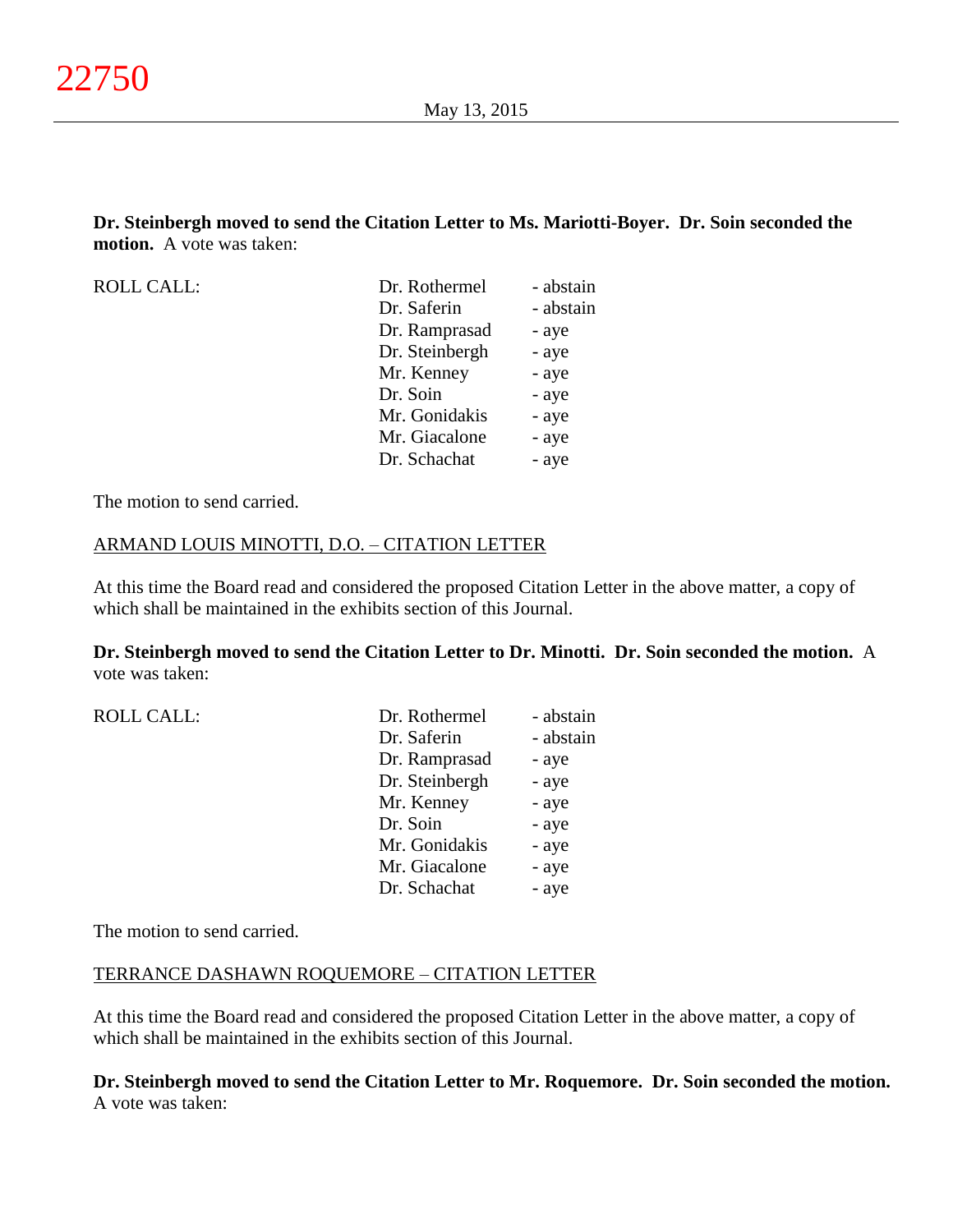**Dr. Steinbergh moved to send the Citation Letter to Ms. Mariotti-Boyer. Dr. Soin seconded the motion.** A vote was taken:

| <b>ROLL CALL:</b> | Dr. Rothermel  | - abstain |
|-------------------|----------------|-----------|
|                   | Dr. Saferin    | - abstain |
|                   | Dr. Ramprasad  | - aye     |
|                   | Dr. Steinbergh | - aye     |
|                   | Mr. Kenney     | - aye     |
|                   | Dr. Soin       | - aye     |
|                   | Mr. Gonidakis  | - aye     |
|                   | Mr. Giacalone  | - aye     |
|                   | Dr. Schachat   | - aye     |
|                   |                |           |

The motion to send carried.

## ARMAND LOUIS MINOTTI, D.O. – CITATION LETTER

At this time the Board read and considered the proposed Citation Letter in the above matter, a copy of which shall be maintained in the exhibits section of this Journal.

**Dr. Steinbergh moved to send the Citation Letter to Dr. Minotti. Dr. Soin seconded the motion.** A vote was taken:

| <b>ROLL CALL:</b> | Dr. Rothermel  | - abstain |
|-------------------|----------------|-----------|
|                   | Dr. Saferin    | - abstain |
|                   | Dr. Ramprasad  | - aye     |
|                   | Dr. Steinbergh | - aye     |
|                   | Mr. Kenney     | - aye     |
|                   | Dr. Soin       | - aye     |
|                   | Mr. Gonidakis  | - aye     |
|                   | Mr. Giacalone  | - aye     |
|                   | Dr. Schachat   | - aye     |
|                   |                |           |

The motion to send carried.

#### TERRANCE DASHAWN ROQUEMORE – CITATION LETTER

At this time the Board read and considered the proposed Citation Letter in the above matter, a copy of which shall be maintained in the exhibits section of this Journal.

**Dr. Steinbergh moved to send the Citation Letter to Mr. Roquemore. Dr. Soin seconded the motion.** A vote was taken: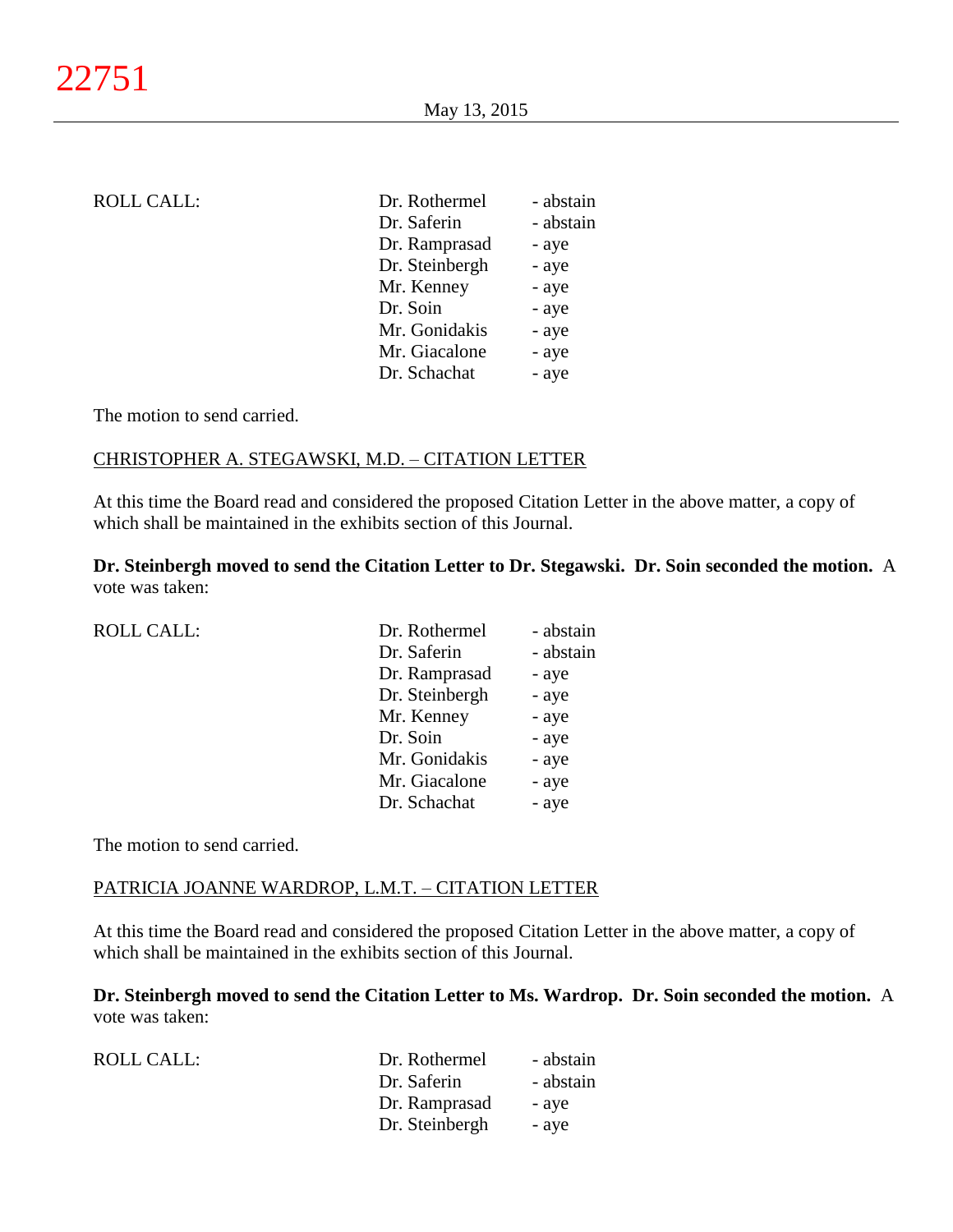| ROLL CALL: |
|------------|
|------------|

| <b>ROLL CALL:</b> | Dr. Rothermel  | - abstain |
|-------------------|----------------|-----------|
|                   | Dr. Saferin    | - abstain |
|                   | Dr. Ramprasad  | - aye     |
|                   | Dr. Steinbergh | - aye     |
|                   | Mr. Kenney     | - aye     |
|                   | Dr. Soin       | - aye     |
|                   | Mr. Gonidakis  | - aye     |
|                   | Mr. Giacalone  | - aye     |
|                   | Dr. Schachat   | - aye     |

The motion to send carried.

# CHRISTOPHER A. STEGAWSKI, M.D. – CITATION LETTER

At this time the Board read and considered the proposed Citation Letter in the above matter, a copy of which shall be maintained in the exhibits section of this Journal.

**Dr. Steinbergh moved to send the Citation Letter to Dr. Stegawski. Dr. Soin seconded the motion.** A vote was taken:

| <b>ROLL CALL:</b> | Dr. Rothermel  | - abstain |
|-------------------|----------------|-----------|
|                   | Dr. Saferin    | - abstain |
|                   | Dr. Ramprasad  | - aye     |
|                   | Dr. Steinbergh | - aye     |
|                   | Mr. Kenney     | - aye     |
|                   | Dr. Soin       | - aye     |
|                   | Mr. Gonidakis  | - aye     |
|                   | Mr. Giacalone  | - aye     |
|                   | Dr. Schachat   | - aye     |

The motion to send carried.

#### PATRICIA JOANNE WARDROP, L.M.T. – CITATION LETTER

At this time the Board read and considered the proposed Citation Letter in the above matter, a copy of which shall be maintained in the exhibits section of this Journal.

**Dr. Steinbergh moved to send the Citation Letter to Ms. Wardrop. Dr. Soin seconded the motion.** A vote was taken:

| ROLL CALL: | Dr. Rothermel  | - abstain |
|------------|----------------|-----------|
|            | Dr. Saferin    | - abstain |
|            | Dr. Ramprasad  | - aye     |
|            | Dr. Steinbergh | - aye     |
|            |                |           |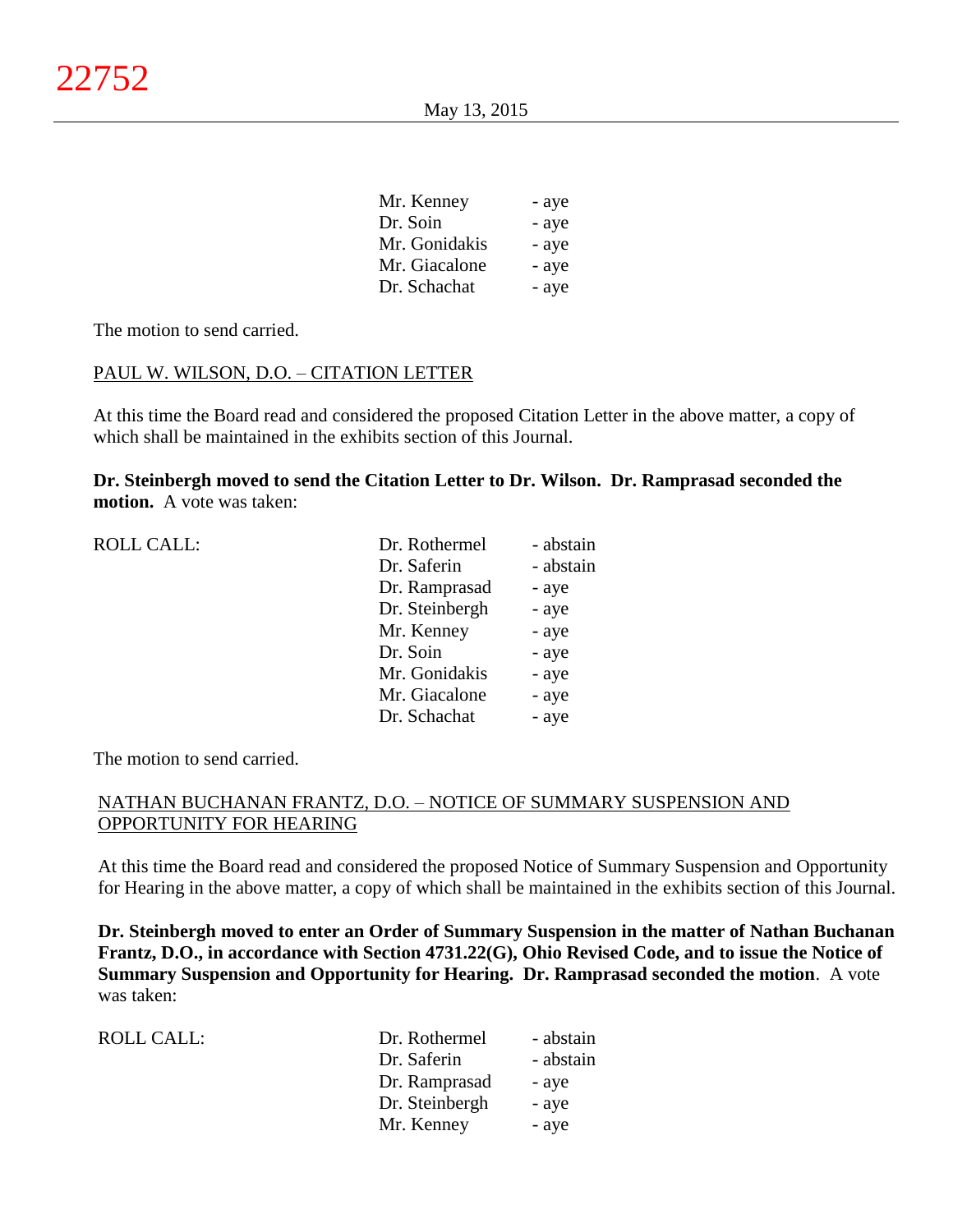| Mr. Kenney    | - aye |
|---------------|-------|
| Dr. Soin      | - aye |
| Mr. Gonidakis | - aye |
| Mr. Giacalone | - aye |
| Dr. Schachat  | - aye |

The motion to send carried.

## PAUL W. WILSON, D.O. – CITATION LETTER

At this time the Board read and considered the proposed Citation Letter in the above matter, a copy of which shall be maintained in the exhibits section of this Journal.

**Dr. Steinbergh moved to send the Citation Letter to Dr. Wilson. Dr. Ramprasad seconded the motion.** A vote was taken:

| <b>ROLL CALL:</b> | Dr. Rothermel  | - abstain |
|-------------------|----------------|-----------|
|                   | Dr. Saferin    | - abstain |
|                   | Dr. Ramprasad  | - aye     |
|                   | Dr. Steinbergh | - aye     |
|                   | Mr. Kenney     | - aye     |
|                   | Dr. Soin       | - aye     |
|                   | Mr. Gonidakis  | - aye     |
|                   | Mr. Giacalone  | - aye     |
|                   | Dr. Schachat   | - aye     |
|                   |                |           |

The motion to send carried.

# NATHAN BUCHANAN FRANTZ, D.O. – NOTICE OF SUMMARY SUSPENSION AND OPPORTUNITY FOR HEARING

At this time the Board read and considered the proposed Notice of Summary Suspension and Opportunity for Hearing in the above matter, a copy of which shall be maintained in the exhibits section of this Journal.

**Dr. Steinbergh moved to enter an Order of Summary Suspension in the matter of Nathan Buchanan Frantz, D.O., in accordance with Section 4731.22(G), Ohio Revised Code, and to issue the Notice of Summary Suspension and Opportunity for Hearing. Dr. Ramprasad seconded the motion**. A vote was taken:

| ROLL CALL: | Dr. Rothermel  | - abstain |
|------------|----------------|-----------|
|            | Dr. Saferin    | - abstain |
|            | Dr. Ramprasad  | - aye     |
|            | Dr. Steinbergh | - aye     |
|            | Mr. Kenney     | - aye     |
|            |                |           |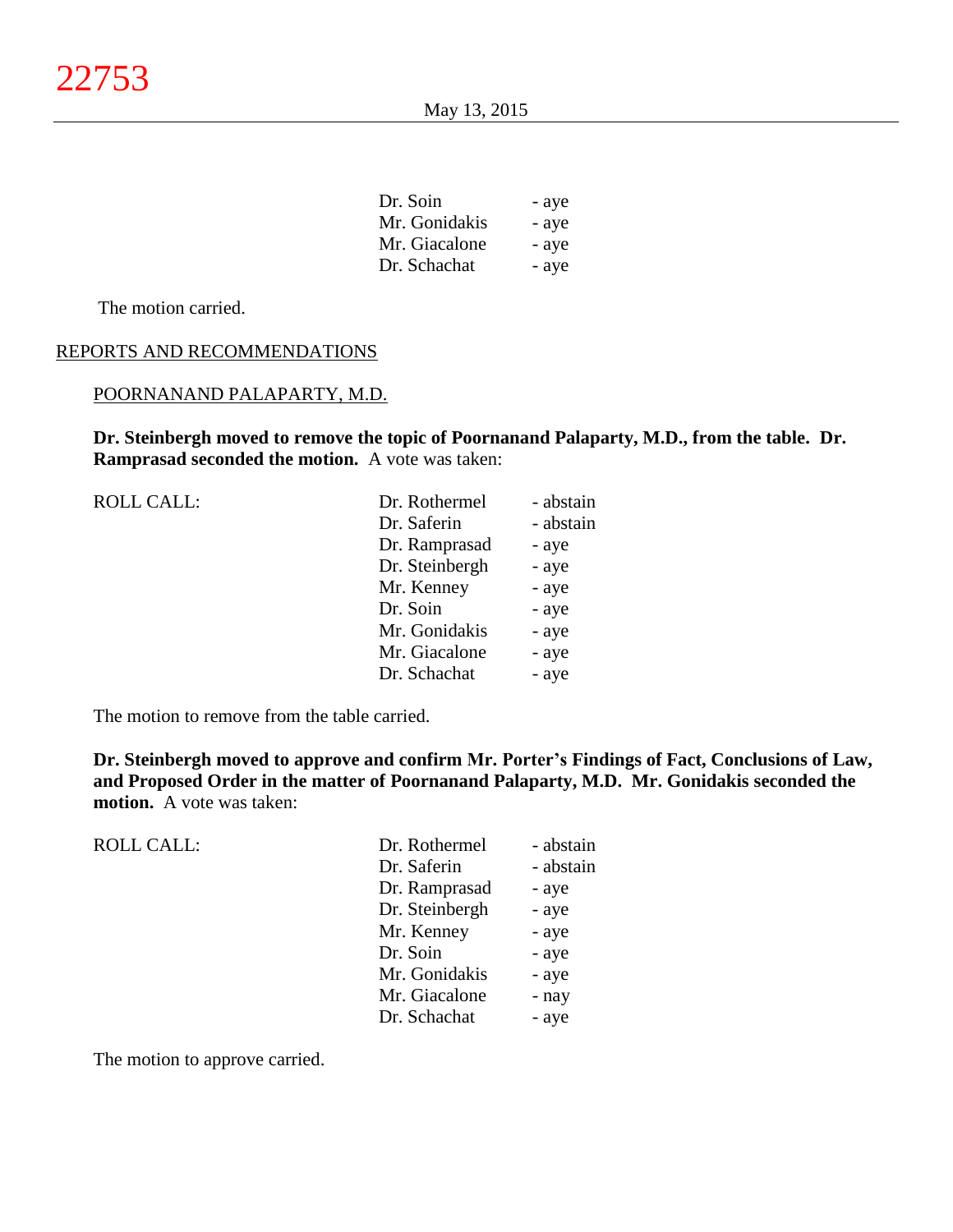| Dr. Soin      | - aye |
|---------------|-------|
| Mr. Gonidakis | - aye |
| Mr. Giacalone | - aye |
| Dr. Schachat  | - aye |

The motion carried.

# REPORTS AND RECOMMENDATIONS

#### POORNANAND PALAPARTY, M.D.

**Dr. Steinbergh moved to remove the topic of Poornanand Palaparty, M.D., from the table. Dr. Ramprasad seconded the motion.** A vote was taken:

| <b>ROLL CALL:</b> | Dr. Rothermel  | - abstain |
|-------------------|----------------|-----------|
|                   | Dr. Saferin    | - abstain |
|                   | Dr. Ramprasad  | - aye     |
|                   | Dr. Steinbergh | - aye     |
|                   | Mr. Kenney     | - aye     |
|                   | Dr. Soin       | - aye     |
|                   | Mr. Gonidakis  | - aye     |
|                   | Mr. Giacalone  | - aye     |
|                   | Dr. Schachat   | - aye     |
|                   |                |           |

The motion to remove from the table carried.

**Dr. Steinbergh moved to approve and confirm Mr. Porter's Findings of Fact, Conclusions of Law, and Proposed Order in the matter of Poornanand Palaparty, M.D. Mr. Gonidakis seconded the motion.** A vote was taken:

| <b>ROLL CALL:</b> | Dr. Rothermel  | - abstain |
|-------------------|----------------|-----------|
|                   | Dr. Saferin    | - abstain |
|                   | Dr. Ramprasad  | - aye     |
|                   | Dr. Steinbergh | - aye     |
|                   | Mr. Kenney     | - aye     |
|                   | Dr. Soin       | - aye     |
|                   | Mr. Gonidakis  | - aye     |
|                   | Mr. Giacalone  | - nay     |
|                   | Dr. Schachat   | - aye     |
|                   |                |           |

The motion to approve carried.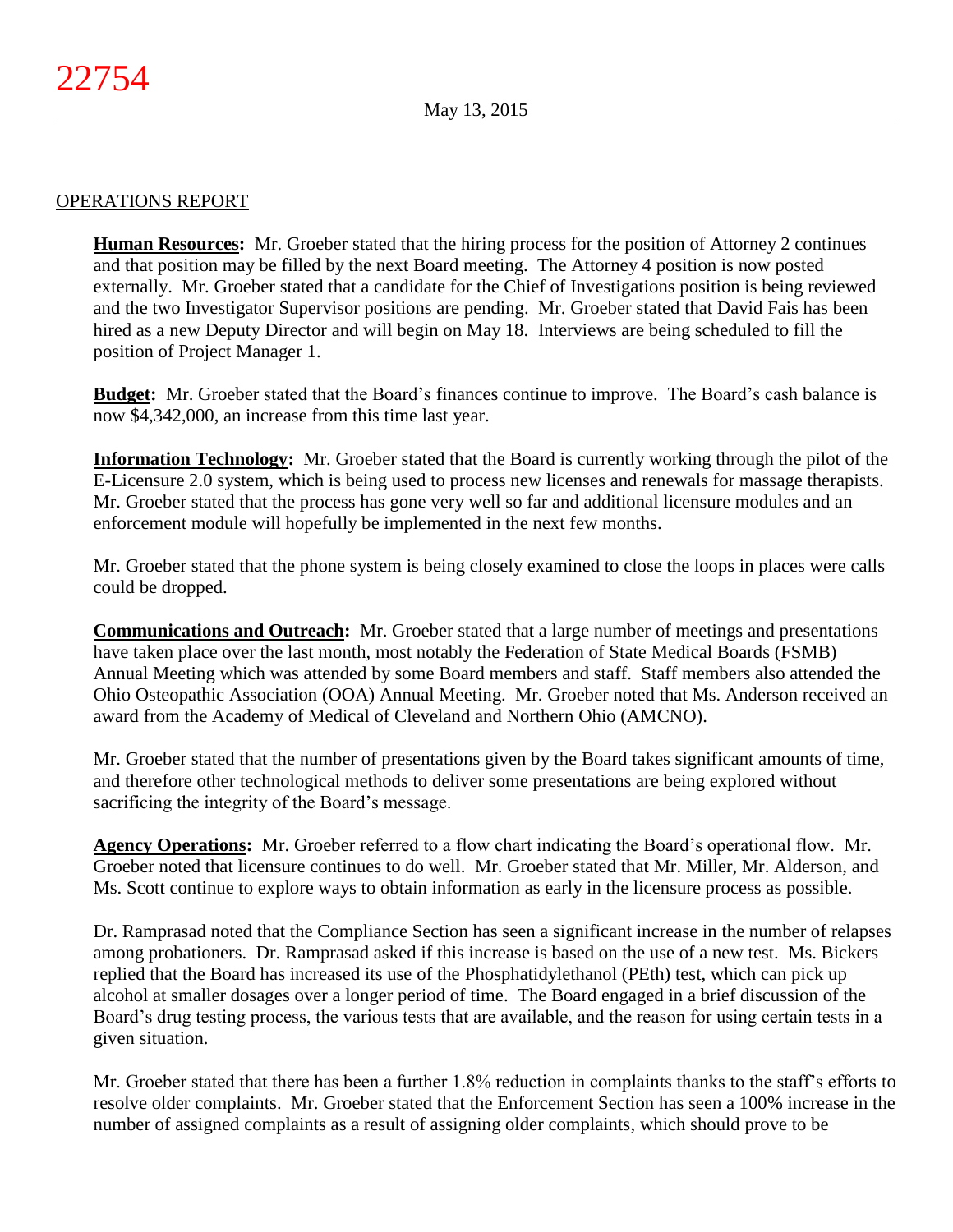# OPERATIONS REPORT

**Human Resources:** Mr. Groeber stated that the hiring process for the position of Attorney 2 continues and that position may be filled by the next Board meeting. The Attorney 4 position is now posted externally. Mr. Groeber stated that a candidate for the Chief of Investigations position is being reviewed and the two Investigator Supervisor positions are pending. Mr. Groeber stated that David Fais has been hired as a new Deputy Director and will begin on May 18. Interviews are being scheduled to fill the position of Project Manager 1.

**Budget:** Mr. Groeber stated that the Board's finances continue to improve. The Board's cash balance is now \$4,342,000, an increase from this time last year.

**Information Technology:** Mr. Groeber stated that the Board is currently working through the pilot of the E-Licensure 2.0 system, which is being used to process new licenses and renewals for massage therapists. Mr. Groeber stated that the process has gone very well so far and additional licensure modules and an enforcement module will hopefully be implemented in the next few months.

Mr. Groeber stated that the phone system is being closely examined to close the loops in places were calls could be dropped.

**Communications and Outreach:** Mr. Groeber stated that a large number of meetings and presentations have taken place over the last month, most notably the Federation of State Medical Boards (FSMB) Annual Meeting which was attended by some Board members and staff. Staff members also attended the Ohio Osteopathic Association (OOA) Annual Meeting. Mr. Groeber noted that Ms. Anderson received an award from the Academy of Medical of Cleveland and Northern Ohio (AMCNO).

Mr. Groeber stated that the number of presentations given by the Board takes significant amounts of time, and therefore other technological methods to deliver some presentations are being explored without sacrificing the integrity of the Board's message.

**Agency Operations:** Mr. Groeber referred to a flow chart indicating the Board's operational flow. Mr. Groeber noted that licensure continues to do well. Mr. Groeber stated that Mr. Miller, Mr. Alderson, and Ms. Scott continue to explore ways to obtain information as early in the licensure process as possible.

Dr. Ramprasad noted that the Compliance Section has seen a significant increase in the number of relapses among probationers. Dr. Ramprasad asked if this increase is based on the use of a new test. Ms. Bickers replied that the Board has increased its use of the Phosphatidylethanol (PEth) test, which can pick up alcohol at smaller dosages over a longer period of time. The Board engaged in a brief discussion of the Board's drug testing process, the various tests that are available, and the reason for using certain tests in a given situation.

Mr. Groeber stated that there has been a further 1.8% reduction in complaints thanks to the staff's efforts to resolve older complaints. Mr. Groeber stated that the Enforcement Section has seen a 100% increase in the number of assigned complaints as a result of assigning older complaints, which should prove to be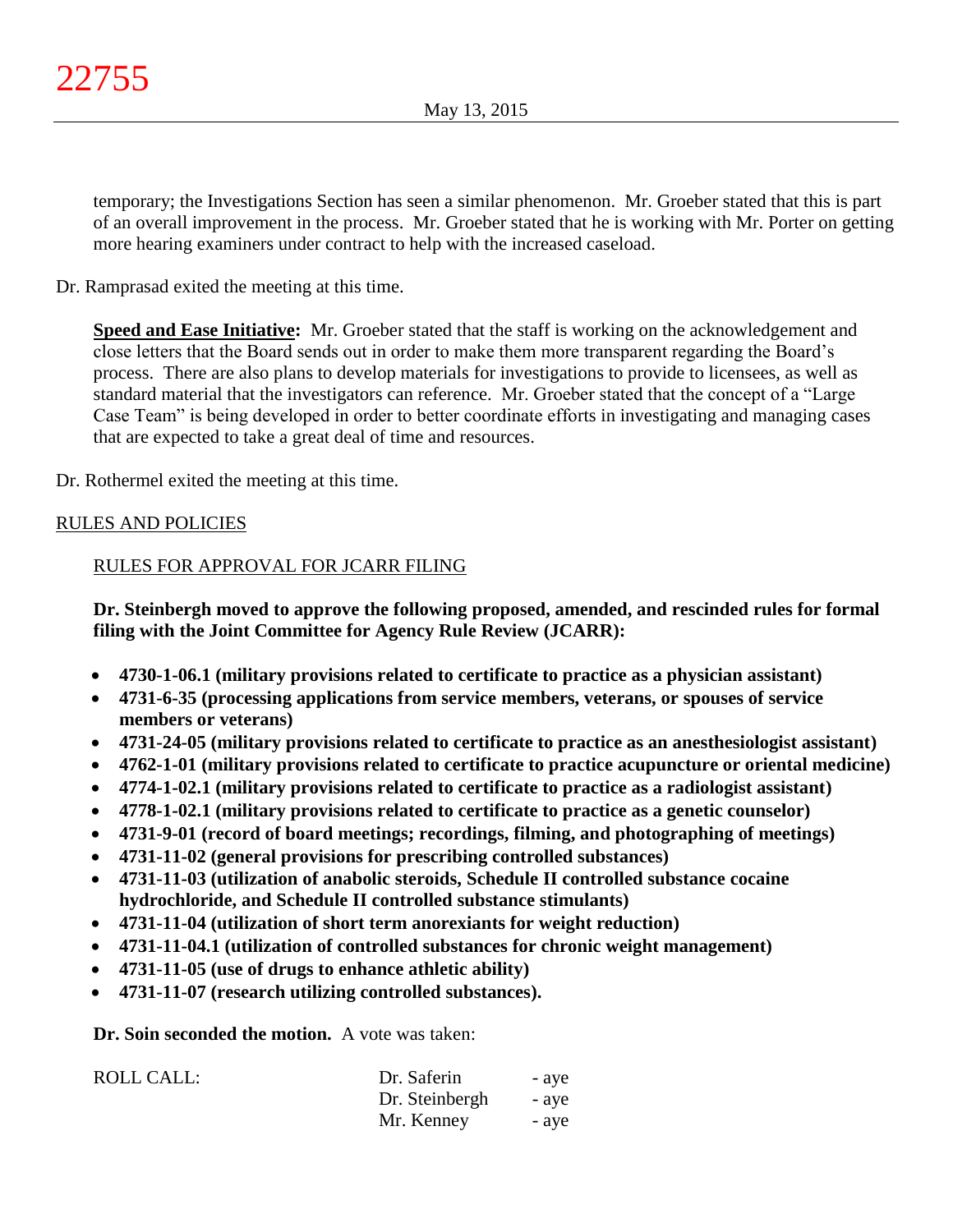temporary; the Investigations Section has seen a similar phenomenon. Mr. Groeber stated that this is part of an overall improvement in the process. Mr. Groeber stated that he is working with Mr. Porter on getting more hearing examiners under contract to help with the increased caseload.

Dr. Ramprasad exited the meeting at this time.

**Speed and Ease Initiative:** Mr. Groeber stated that the staff is working on the acknowledgement and close letters that the Board sends out in order to make them more transparent regarding the Board's process. There are also plans to develop materials for investigations to provide to licensees, as well as standard material that the investigators can reference. Mr. Groeber stated that the concept of a "Large Case Team" is being developed in order to better coordinate efforts in investigating and managing cases that are expected to take a great deal of time and resources.

Dr. Rothermel exited the meeting at this time.

# RULES AND POLICIES

## RULES FOR APPROVAL FOR JCARR FILING

**Dr. Steinbergh moved to approve the following proposed, amended, and rescinded rules for formal filing with the Joint Committee for Agency Rule Review (JCARR):**

- **4730-1-06.1 (military provisions related to certificate to practice as a physician assistant)**
- **4731-6-35 (processing applications from service members, veterans, or spouses of service members or veterans)**
- **4731-24-05 (military provisions related to certificate to practice as an anesthesiologist assistant)**
- **4762-1-01 (military provisions related to certificate to practice acupuncture or oriental medicine)**
- **4774-1-02.1 (military provisions related to certificate to practice as a radiologist assistant)**
- **4778-1-02.1 (military provisions related to certificate to practice as a genetic counselor)**
- **4731-9-01 (record of board meetings; recordings, filming, and photographing of meetings)**
- **4731-11-02 (general provisions for prescribing controlled substances)**
- **4731-11-03 (utilization of anabolic steroids, Schedule II controlled substance cocaine hydrochloride, and Schedule II controlled substance stimulants)**
- **4731-11-04 (utilization of short term anorexiants for weight reduction)**
- **4731-11-04.1 (utilization of controlled substances for chronic weight management)**
- **4731-11-05 (use of drugs to enhance athletic ability)**
- **4731-11-07 (research utilizing controlled substances).**

**Dr. Soin seconded the motion.** A vote was taken:

| ROLL CALL: | Dr. Saferin    | - ave |
|------------|----------------|-------|
|            | Dr. Steinbergh | - ave |
|            | Mr. Kenney     | - ave |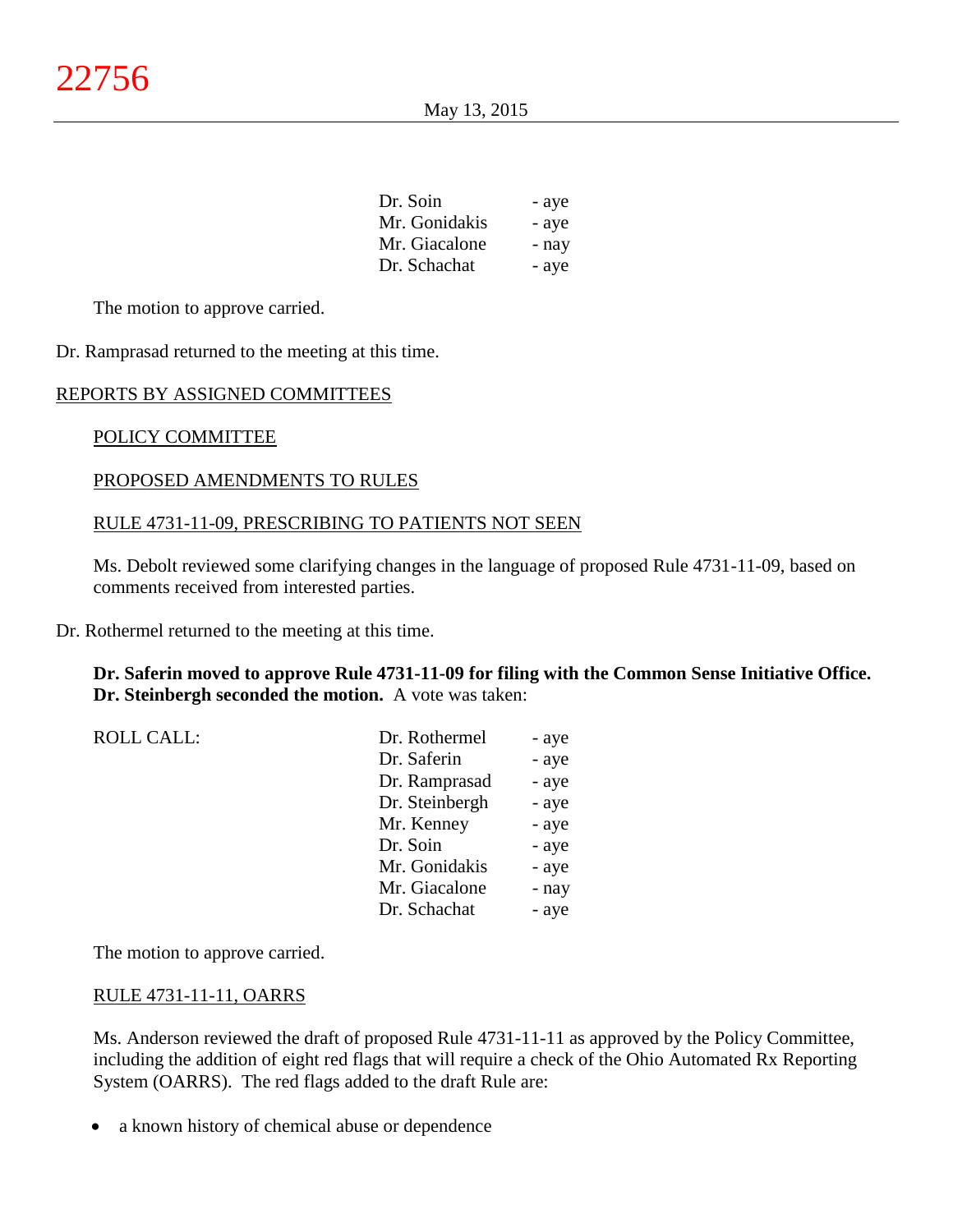| Dr. Soin      | - aye |
|---------------|-------|
| Mr. Gonidakis | - aye |
| Mr. Giacalone | - nay |
| Dr. Schachat  | - aye |

The motion to approve carried.

Dr. Ramprasad returned to the meeting at this time.

## REPORTS BY ASSIGNED COMMITTEES

## POLICY COMMITTEE

## PROPOSED AMENDMENTS TO RULES

## RULE 4731-11-09, PRESCRIBING TO PATIENTS NOT SEEN

Ms. Debolt reviewed some clarifying changes in the language of proposed Rule 4731-11-09, based on comments received from interested parties.

Dr. Rothermel returned to the meeting at this time.

## **Dr. Saferin moved to approve Rule 4731-11-09 for filing with the Common Sense Initiative Office. Dr. Steinbergh seconded the motion.** A vote was taken:

| <b>ROLL CALL:</b> | Dr. Rothermel  | - aye |
|-------------------|----------------|-------|
|                   | Dr. Saferin    | - aye |
|                   | Dr. Ramprasad  | - aye |
|                   | Dr. Steinbergh | - aye |
|                   | Mr. Kenney     | - aye |
|                   | Dr. Soin       | - aye |
|                   | Mr. Gonidakis  | - aye |
|                   | Mr. Giacalone  | - nay |
|                   | Dr. Schachat   | - aye |
|                   |                |       |

The motion to approve carried.

#### RULE 4731-11-11, OARRS

Ms. Anderson reviewed the draft of proposed Rule 4731-11-11 as approved by the Policy Committee, including the addition of eight red flags that will require a check of the Ohio Automated Rx Reporting System (OARRS). The red flags added to the draft Rule are:

• a known history of chemical abuse or dependence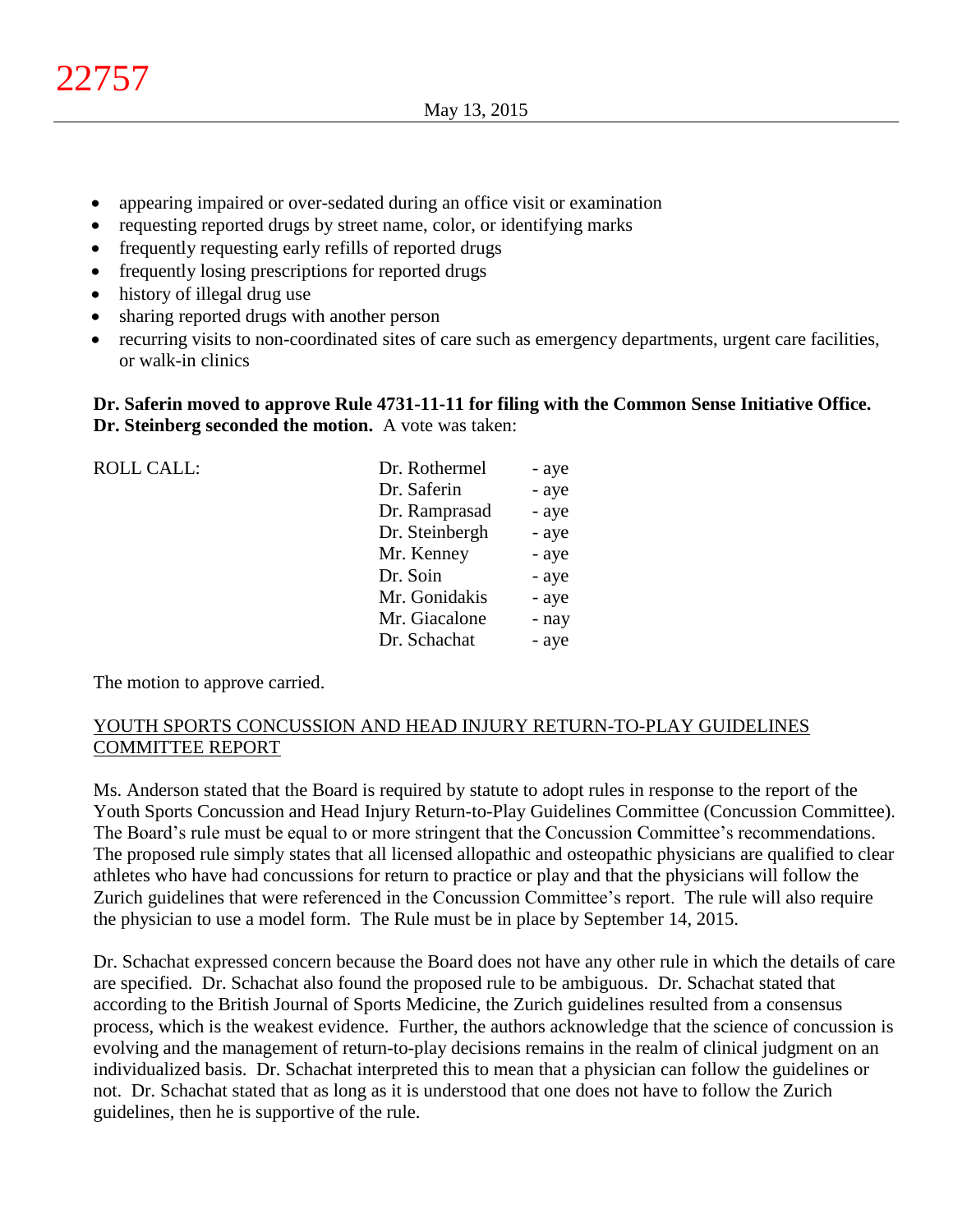- appearing impaired or over-sedated during an office visit or examination
- requesting reported drugs by street name, color, or identifying marks
- frequently requesting early refills of reported drugs
- frequently losing prescriptions for reported drugs
- history of illegal drug use
- sharing reported drugs with another person
- recurring visits to non-coordinated sites of care such as emergency departments, urgent care facilities, or walk-in clinics

# **Dr. Saferin moved to approve Rule 4731-11-11 for filing with the Common Sense Initiative Office. Dr. Steinberg seconded the motion.** A vote was taken:

| <b>ROLL CALL:</b> | Dr. Rothermel  | - aye |
|-------------------|----------------|-------|
|                   | Dr. Saferin    | - aye |
|                   | Dr. Ramprasad  | - aye |
|                   | Dr. Steinbergh | - aye |
|                   | Mr. Kenney     | - aye |
|                   | Dr. Soin       | - aye |
|                   | Mr. Gonidakis  | - aye |
|                   | Mr. Giacalone  | - nay |
|                   | Dr. Schachat   | - aye |
|                   |                |       |

The motion to approve carried.

# YOUTH SPORTS CONCUSSION AND HEAD INJURY RETURN-TO-PLAY GUIDELINES COMMITTEE REPORT

Ms. Anderson stated that the Board is required by statute to adopt rules in response to the report of the Youth Sports Concussion and Head Injury Return-to-Play Guidelines Committee (Concussion Committee). The Board's rule must be equal to or more stringent that the Concussion Committee's recommendations. The proposed rule simply states that all licensed allopathic and osteopathic physicians are qualified to clear athletes who have had concussions for return to practice or play and that the physicians will follow the Zurich guidelines that were referenced in the Concussion Committee's report. The rule will also require the physician to use a model form. The Rule must be in place by September 14, 2015.

Dr. Schachat expressed concern because the Board does not have any other rule in which the details of care are specified. Dr. Schachat also found the proposed rule to be ambiguous. Dr. Schachat stated that according to the British Journal of Sports Medicine, the Zurich guidelines resulted from a consensus process, which is the weakest evidence. Further, the authors acknowledge that the science of concussion is evolving and the management of return-to-play decisions remains in the realm of clinical judgment on an individualized basis. Dr. Schachat interpreted this to mean that a physician can follow the guidelines or not. Dr. Schachat stated that as long as it is understood that one does not have to follow the Zurich guidelines, then he is supportive of the rule.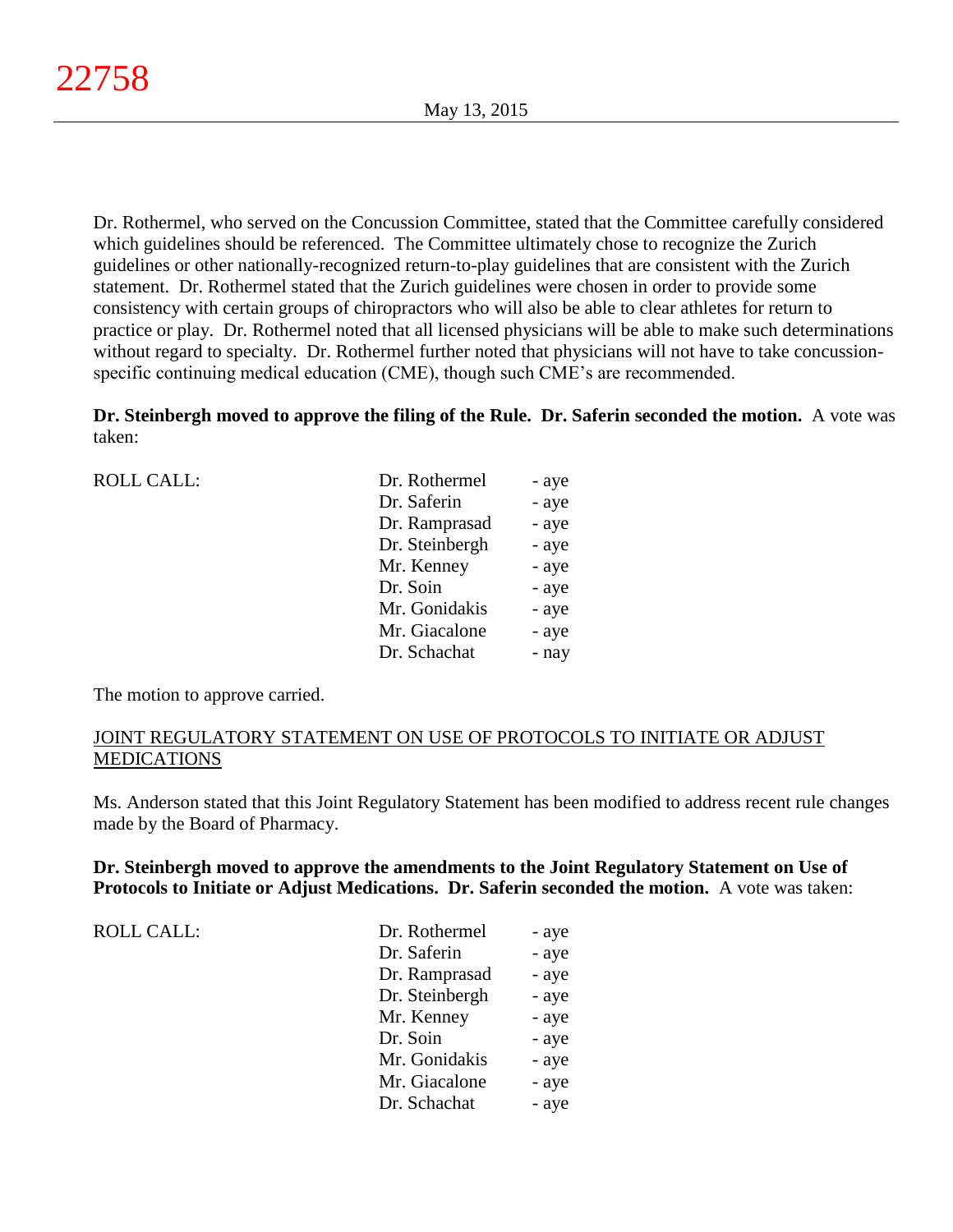Dr. Rothermel, who served on the Concussion Committee, stated that the Committee carefully considered which guidelines should be referenced. The Committee ultimately chose to recognize the Zurich guidelines or other nationally-recognized return-to-play guidelines that are consistent with the Zurich statement. Dr. Rothermel stated that the Zurich guidelines were chosen in order to provide some consistency with certain groups of chiropractors who will also be able to clear athletes for return to practice or play. Dr. Rothermel noted that all licensed physicians will be able to make such determinations without regard to specialty. Dr. Rothermel further noted that physicians will not have to take concussionspecific continuing medical education (CME), though such CME's are recommended.

**Dr. Steinbergh moved to approve the filing of the Rule. Dr. Saferin seconded the motion.** A vote was taken:

| <b>ROLL CALL:</b> | Dr. Rothermel  | - aye |
|-------------------|----------------|-------|
|                   | Dr. Saferin    | - aye |
|                   | Dr. Ramprasad  | - aye |
|                   | Dr. Steinbergh | - aye |
|                   | Mr. Kenney     | - aye |
|                   | Dr. Soin       | - aye |
|                   | Mr. Gonidakis  | - aye |
|                   | Mr. Giacalone  | - aye |
|                   | Dr. Schachat   | - nay |
|                   |                |       |

The motion to approve carried.

# JOINT REGULATORY STATEMENT ON USE OF PROTOCOLS TO INITIATE OR ADJUST MEDICATIONS

Ms. Anderson stated that this Joint Regulatory Statement has been modified to address recent rule changes made by the Board of Pharmacy.

# **Dr. Steinbergh moved to approve the amendments to the Joint Regulatory Statement on Use of Protocols to Initiate or Adjust Medications. Dr. Saferin seconded the motion.** A vote was taken:

ROLL CALL:

| Dr. Rothermel  | - aye |
|----------------|-------|
| Dr. Saferin    | - aye |
| Dr. Ramprasad  | - aye |
| Dr. Steinbergh | - aye |
| Mr. Kenney     | - aye |
| Dr. Soin       | - aye |
| Mr. Gonidakis  | - aye |
| Mr. Giacalone  | - aye |
| Dr. Schachat   | - aye |
|                |       |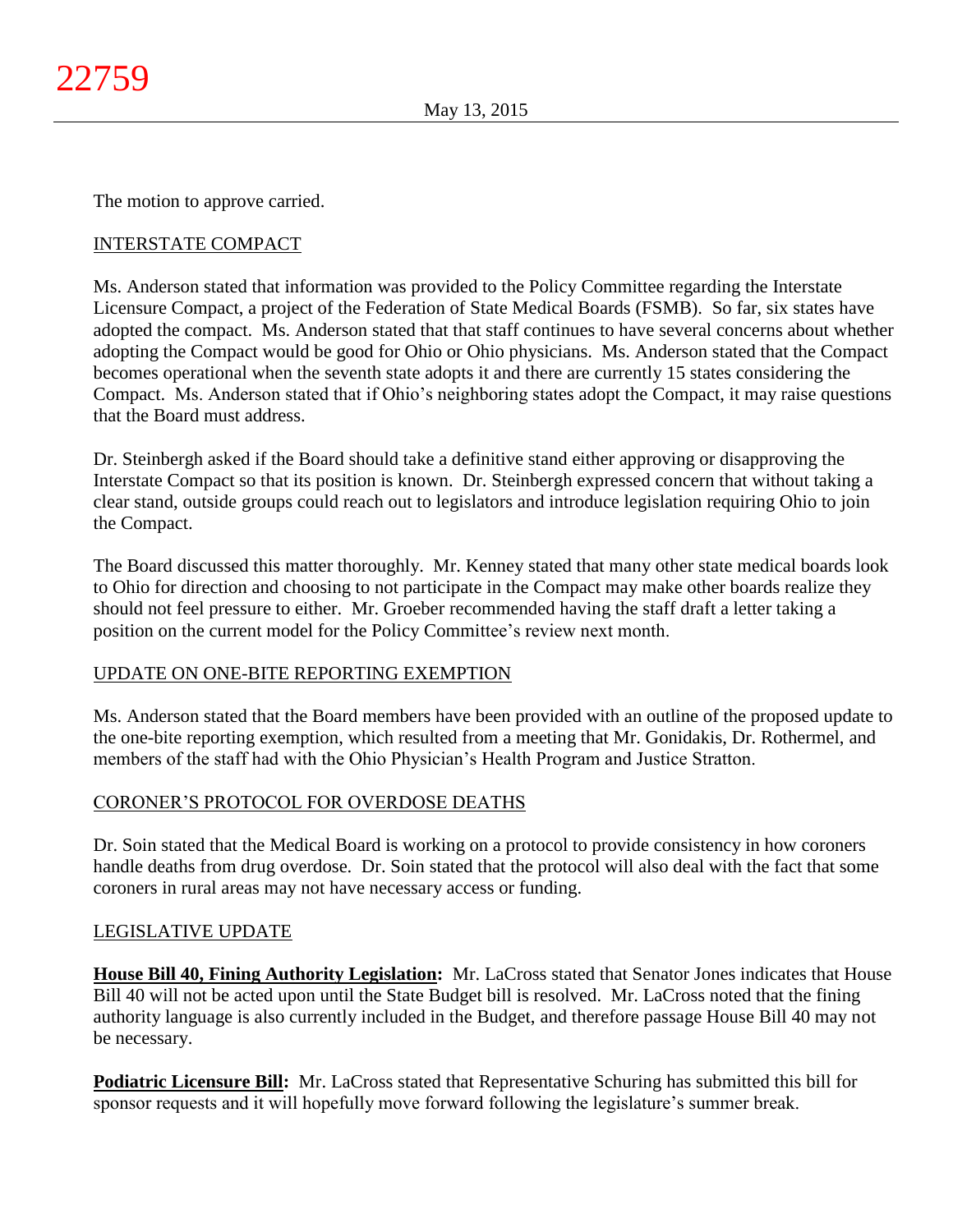The motion to approve carried.

# INTERSTATE COMPACT

Ms. Anderson stated that information was provided to the Policy Committee regarding the Interstate Licensure Compact, a project of the Federation of State Medical Boards (FSMB). So far, six states have adopted the compact. Ms. Anderson stated that that staff continues to have several concerns about whether adopting the Compact would be good for Ohio or Ohio physicians. Ms. Anderson stated that the Compact becomes operational when the seventh state adopts it and there are currently 15 states considering the Compact. Ms. Anderson stated that if Ohio's neighboring states adopt the Compact, it may raise questions that the Board must address.

Dr. Steinbergh asked if the Board should take a definitive stand either approving or disapproving the Interstate Compact so that its position is known. Dr. Steinbergh expressed concern that without taking a clear stand, outside groups could reach out to legislators and introduce legislation requiring Ohio to join the Compact.

The Board discussed this matter thoroughly. Mr. Kenney stated that many other state medical boards look to Ohio for direction and choosing to not participate in the Compact may make other boards realize they should not feel pressure to either. Mr. Groeber recommended having the staff draft a letter taking a position on the current model for the Policy Committee's review next month.

# UPDATE ON ONE-BITE REPORTING EXEMPTION

Ms. Anderson stated that the Board members have been provided with an outline of the proposed update to the one-bite reporting exemption, which resulted from a meeting that Mr. Gonidakis, Dr. Rothermel, and members of the staff had with the Ohio Physician's Health Program and Justice Stratton.

# CORONER'S PROTOCOL FOR OVERDOSE DEATHS

Dr. Soin stated that the Medical Board is working on a protocol to provide consistency in how coroners handle deaths from drug overdose. Dr. Soin stated that the protocol will also deal with the fact that some coroners in rural areas may not have necessary access or funding.

# LEGISLATIVE UPDATE

**House Bill 40, Fining Authority Legislation:** Mr. LaCross stated that Senator Jones indicates that House Bill 40 will not be acted upon until the State Budget bill is resolved. Mr. LaCross noted that the fining authority language is also currently included in the Budget, and therefore passage House Bill 40 may not be necessary.

**Podiatric Licensure Bill:** Mr. LaCross stated that Representative Schuring has submitted this bill for sponsor requests and it will hopefully move forward following the legislature's summer break.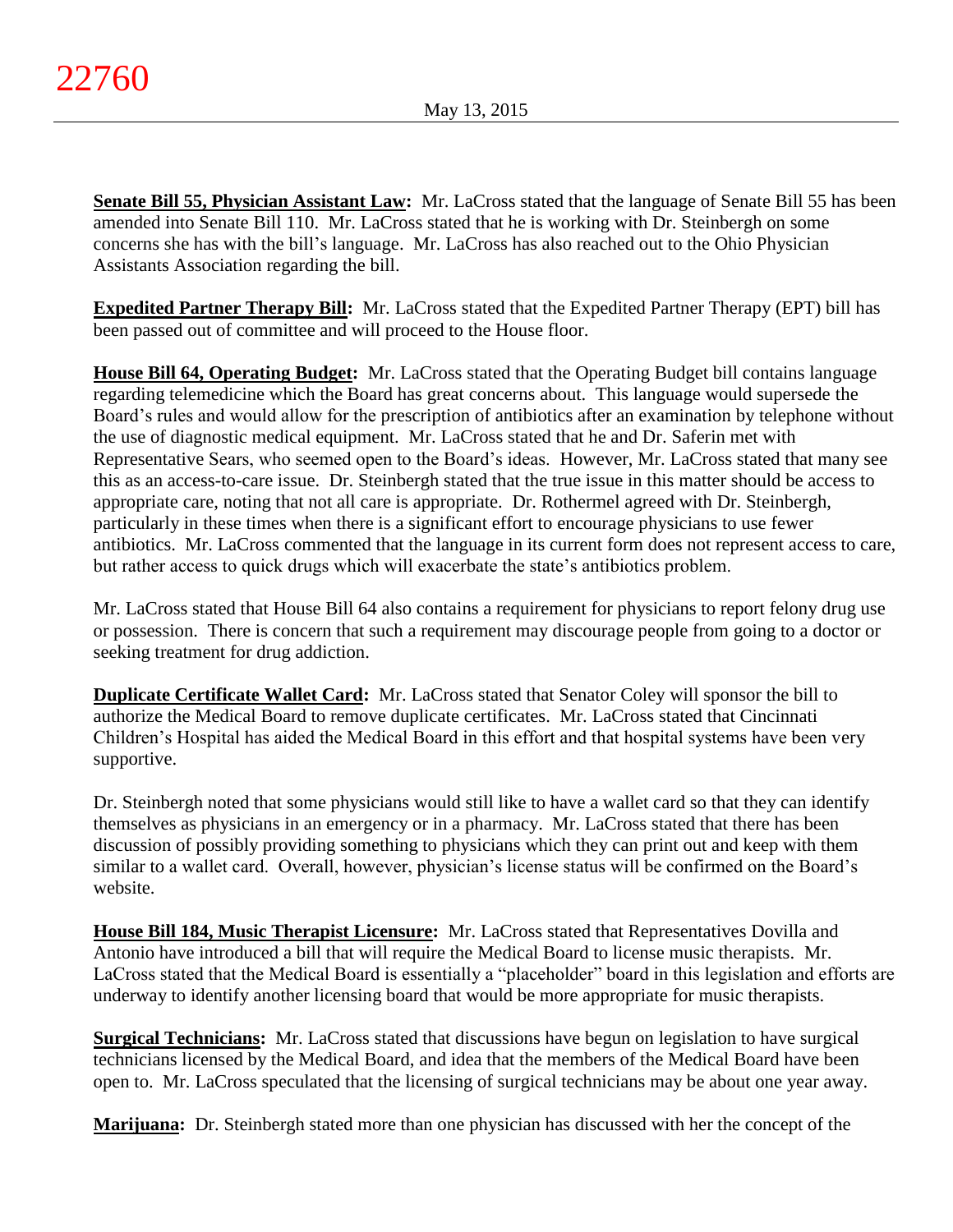**Senate Bill 55, Physician Assistant Law:** Mr. LaCross stated that the language of Senate Bill 55 has been amended into Senate Bill 110. Mr. LaCross stated that he is working with Dr. Steinbergh on some concerns she has with the bill's language. Mr. LaCross has also reached out to the Ohio Physician Assistants Association regarding the bill.

**Expedited Partner Therapy Bill:** Mr. LaCross stated that the Expedited Partner Therapy (EPT) bill has been passed out of committee and will proceed to the House floor.

**House Bill 64, Operating Budget:** Mr. LaCross stated that the Operating Budget bill contains language regarding telemedicine which the Board has great concerns about. This language would supersede the Board's rules and would allow for the prescription of antibiotics after an examination by telephone without the use of diagnostic medical equipment. Mr. LaCross stated that he and Dr. Saferin met with Representative Sears, who seemed open to the Board's ideas. However, Mr. LaCross stated that many see this as an access-to-care issue. Dr. Steinbergh stated that the true issue in this matter should be access to appropriate care, noting that not all care is appropriate. Dr. Rothermel agreed with Dr. Steinbergh, particularly in these times when there is a significant effort to encourage physicians to use fewer antibiotics. Mr. LaCross commented that the language in its current form does not represent access to care, but rather access to quick drugs which will exacerbate the state's antibiotics problem.

Mr. LaCross stated that House Bill 64 also contains a requirement for physicians to report felony drug use or possession. There is concern that such a requirement may discourage people from going to a doctor or seeking treatment for drug addiction.

**Duplicate Certificate Wallet Card:** Mr. LaCross stated that Senator Coley will sponsor the bill to authorize the Medical Board to remove duplicate certificates. Mr. LaCross stated that Cincinnati Children's Hospital has aided the Medical Board in this effort and that hospital systems have been very supportive.

Dr. Steinbergh noted that some physicians would still like to have a wallet card so that they can identify themselves as physicians in an emergency or in a pharmacy. Mr. LaCross stated that there has been discussion of possibly providing something to physicians which they can print out and keep with them similar to a wallet card. Overall, however, physician's license status will be confirmed on the Board's website.

**House Bill 184, Music Therapist Licensure:** Mr. LaCross stated that Representatives Dovilla and Antonio have introduced a bill that will require the Medical Board to license music therapists. Mr. LaCross stated that the Medical Board is essentially a "placeholder" board in this legislation and efforts are underway to identify another licensing board that would be more appropriate for music therapists.

**Surgical Technicians:** Mr. LaCross stated that discussions have begun on legislation to have surgical technicians licensed by the Medical Board, and idea that the members of the Medical Board have been open to. Mr. LaCross speculated that the licensing of surgical technicians may be about one year away.

**Marijuana:** Dr. Steinbergh stated more than one physician has discussed with her the concept of the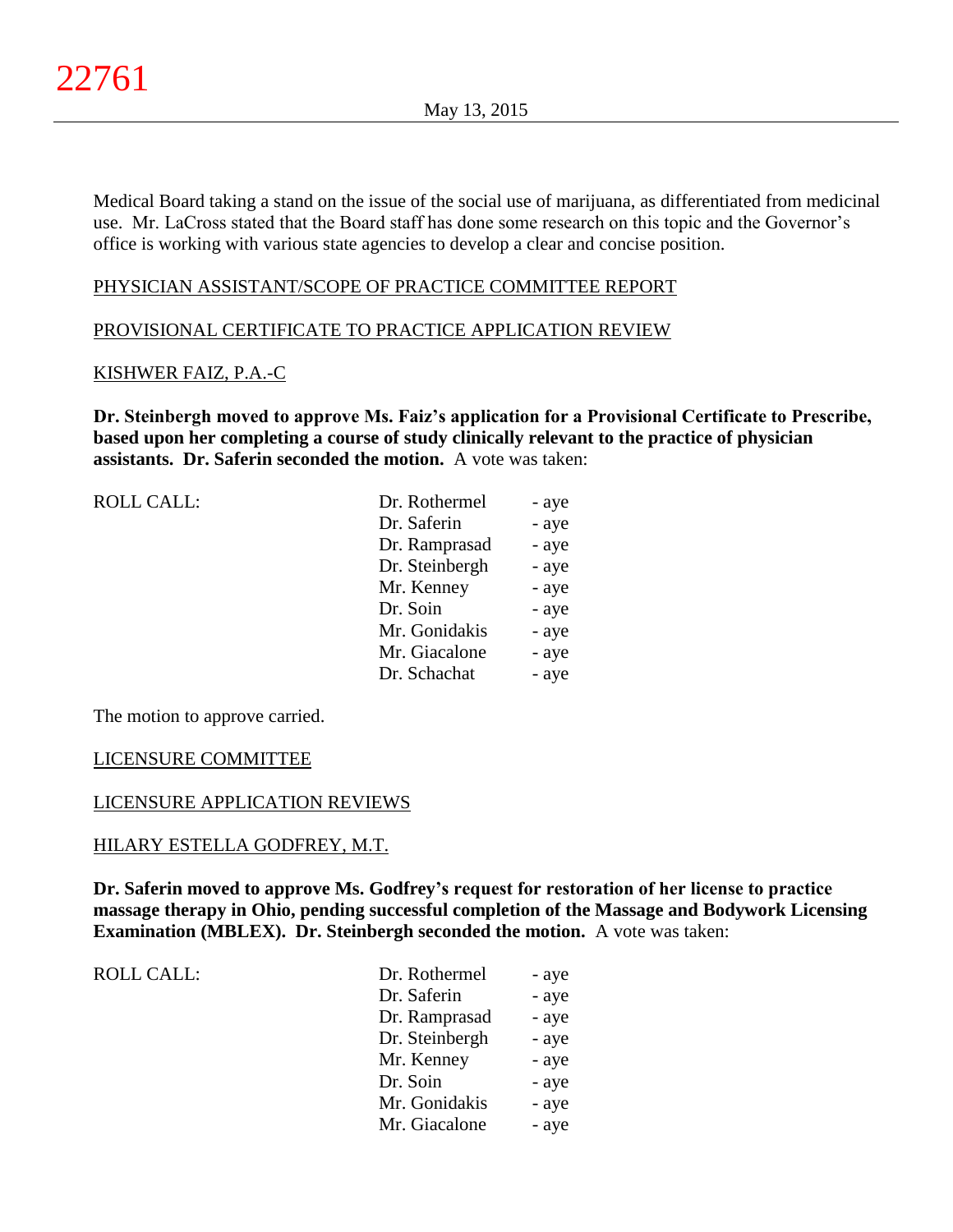Medical Board taking a stand on the issue of the social use of marijuana, as differentiated from medicinal use. Mr. LaCross stated that the Board staff has done some research on this topic and the Governor's office is working with various state agencies to develop a clear and concise position.

# PHYSICIAN ASSISTANT/SCOPE OF PRACTICE COMMITTEE REPORT

# PROVISIONAL CERTIFICATE TO PRACTICE APPLICATION REVIEW

# KISHWER FAIZ, P.A.-C

**Dr. Steinbergh moved to approve Ms. Faiz's application for a Provisional Certificate to Prescribe, based upon her completing a course of study clinically relevant to the practice of physician assistants. Dr. Saferin seconded the motion.** A vote was taken:

| ROLL CALL: | Dr. Rothermel  | - aye |
|------------|----------------|-------|
|            | Dr. Saferin    | - aye |
|            | Dr. Ramprasad  | - aye |
|            | Dr. Steinbergh | - aye |
|            | Mr. Kenney     | - aye |
|            | Dr. Soin       | - aye |
|            | Mr. Gonidakis  | - aye |
|            | Mr. Giacalone  | - aye |
|            | Dr. Schachat   | - aye |
|            |                |       |

The motion to approve carried.

#### LICENSURE COMMITTEE

# LICENSURE APPLICATION REVIEWS

#### HILARY ESTELLA GODFREY, M.T.

**Dr. Saferin moved to approve Ms. Godfrey's request for restoration of her license to practice massage therapy in Ohio, pending successful completion of the Massage and Bodywork Licensing Examination (MBLEX). Dr. Steinbergh seconded the motion.** A vote was taken:

ROLL CALL:  $\qquad \qquad \Box$ 

| Dr. Rothermel  | - aye |
|----------------|-------|
| Dr. Saferin    | - aye |
| Dr. Ramprasad  | - aye |
| Dr. Steinbergh | - aye |
| Mr. Kenney     | - aye |
| Dr. Soin       | - aye |
| Mr. Gonidakis  | - aye |
| Mr. Giacalone  | - aye |
|                |       |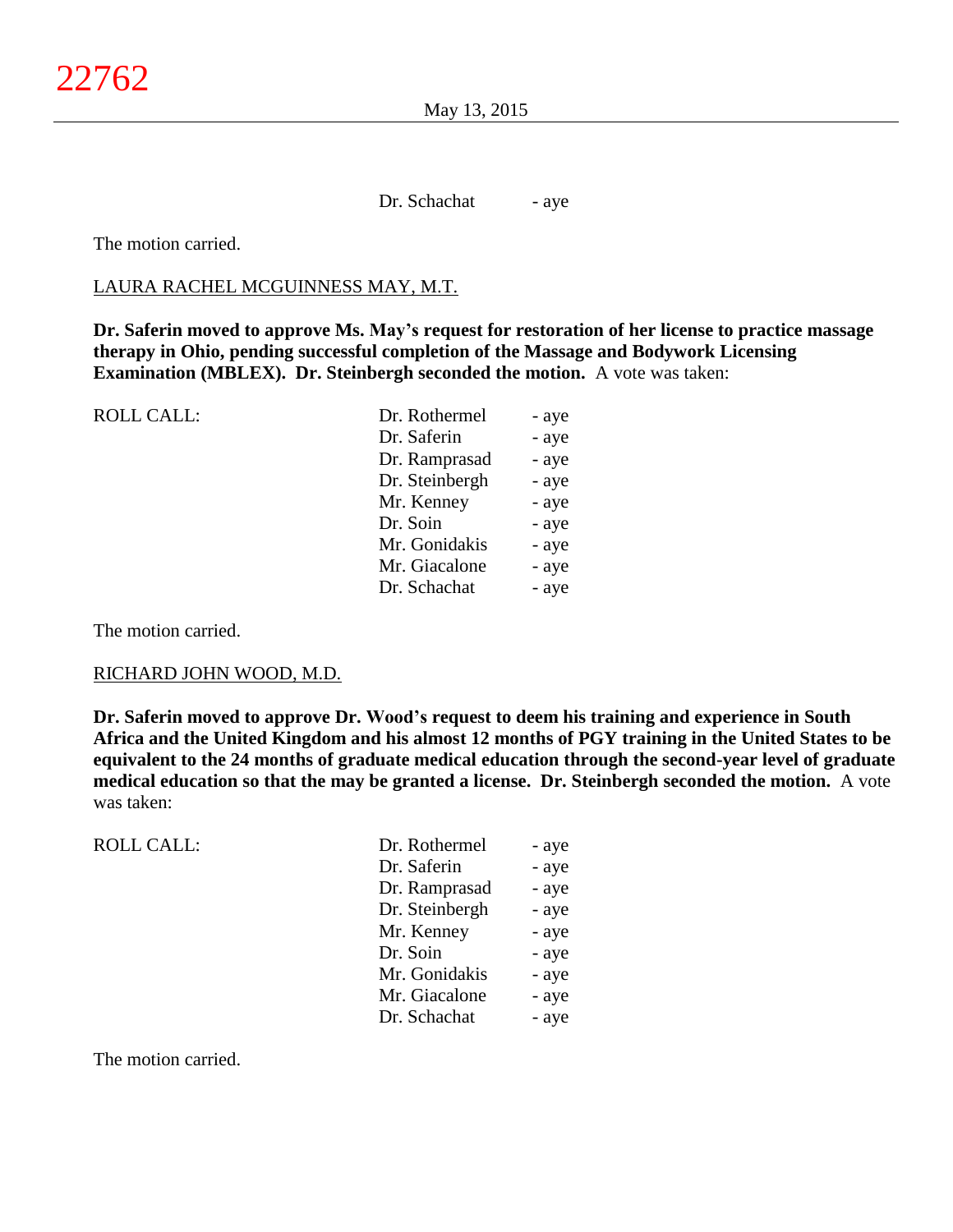May 13, 2015

Dr. Schachat - aye

The motion carried.

#### LAURA RACHEL MCGUINNESS MAY, M.T.

**Dr. Saferin moved to approve Ms. May's request for restoration of her license to practice massage therapy in Ohio, pending successful completion of the Massage and Bodywork Licensing Examination (MBLEX). Dr. Steinbergh seconded the motion.** A vote was taken:

| <b>ROLL CALL:</b> | Dr. Rothermel  | - aye |
|-------------------|----------------|-------|
|                   | Dr. Saferin    | - aye |
|                   | Dr. Ramprasad  | - aye |
|                   | Dr. Steinbergh | - aye |
|                   | Mr. Kenney     | - aye |
|                   | Dr. Soin       | - aye |
|                   | Mr. Gonidakis  | - aye |
|                   | Mr. Giacalone  | - aye |
|                   | Dr. Schachat   | - aye |
|                   |                |       |

The motion carried.

#### RICHARD JOHN WOOD, M.D.

**Dr. Saferin moved to approve Dr. Wood's request to deem his training and experience in South Africa and the United Kingdom and his almost 12 months of PGY training in the United States to be equivalent to the 24 months of graduate medical education through the second-year level of graduate medical education so that the may be granted a license. Dr. Steinbergh seconded the motion.** A vote was taken:

ROLL CALL: Dr. Rothermel - aye Dr. Saferin - aye Dr. Ramprasad - aye Dr. Steinbergh - aye Mr. Kenney - aye Dr. Soin - aye Mr. Gonidakis - aye Mr. Giacalone - aye Dr. Schachat - aye

The motion carried.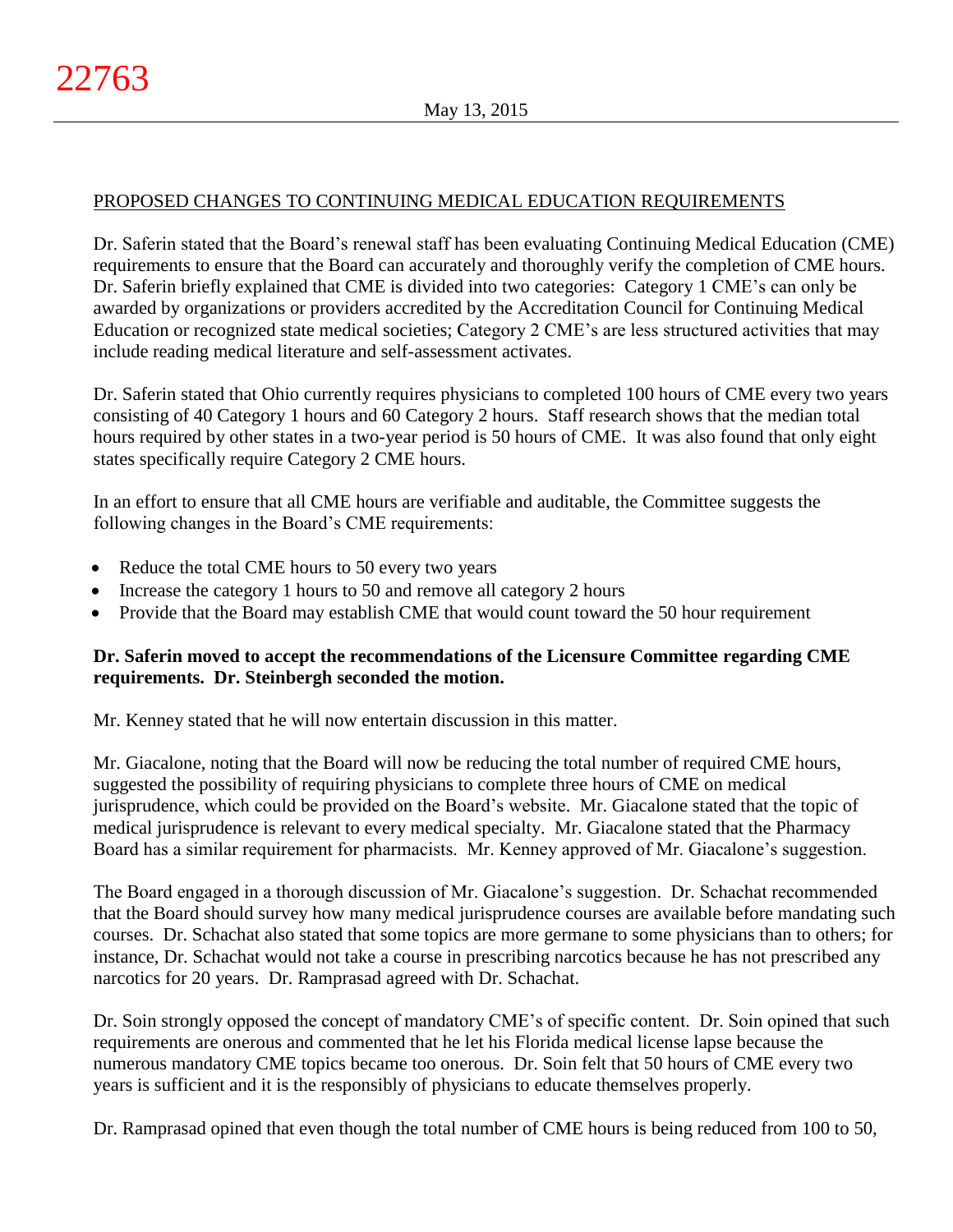# PROPOSED CHANGES TO CONTINUING MEDICAL EDUCATION REQUIREMENTS

Dr. Saferin stated that the Board's renewal staff has been evaluating Continuing Medical Education (CME) requirements to ensure that the Board can accurately and thoroughly verify the completion of CME hours. Dr. Saferin briefly explained that CME is divided into two categories: Category 1 CME's can only be awarded by organizations or providers accredited by the Accreditation Council for Continuing Medical Education or recognized state medical societies; Category 2 CME's are less structured activities that may include reading medical literature and self-assessment activates.

Dr. Saferin stated that Ohio currently requires physicians to completed 100 hours of CME every two years consisting of 40 Category 1 hours and 60 Category 2 hours. Staff research shows that the median total hours required by other states in a two-year period is 50 hours of CME. It was also found that only eight states specifically require Category 2 CME hours.

In an effort to ensure that all CME hours are verifiable and auditable, the Committee suggests the following changes in the Board's CME requirements:

- Reduce the total CME hours to 50 every two years
- Increase the category 1 hours to 50 and remove all category 2 hours
- Provide that the Board may establish CME that would count toward the 50 hour requirement

# **Dr. Saferin moved to accept the recommendations of the Licensure Committee regarding CME requirements. Dr. Steinbergh seconded the motion.**

Mr. Kenney stated that he will now entertain discussion in this matter.

Mr. Giacalone, noting that the Board will now be reducing the total number of required CME hours, suggested the possibility of requiring physicians to complete three hours of CME on medical jurisprudence, which could be provided on the Board's website. Mr. Giacalone stated that the topic of medical jurisprudence is relevant to every medical specialty. Mr. Giacalone stated that the Pharmacy Board has a similar requirement for pharmacists. Mr. Kenney approved of Mr. Giacalone's suggestion.

The Board engaged in a thorough discussion of Mr. Giacalone's suggestion. Dr. Schachat recommended that the Board should survey how many medical jurisprudence courses are available before mandating such courses. Dr. Schachat also stated that some topics are more germane to some physicians than to others; for instance, Dr. Schachat would not take a course in prescribing narcotics because he has not prescribed any narcotics for 20 years. Dr. Ramprasad agreed with Dr. Schachat.

Dr. Soin strongly opposed the concept of mandatory CME's of specific content. Dr. Soin opined that such requirements are onerous and commented that he let his Florida medical license lapse because the numerous mandatory CME topics became too onerous. Dr. Soin felt that 50 hours of CME every two years is sufficient and it is the responsibly of physicians to educate themselves properly.

Dr. Ramprasad opined that even though the total number of CME hours is being reduced from 100 to 50,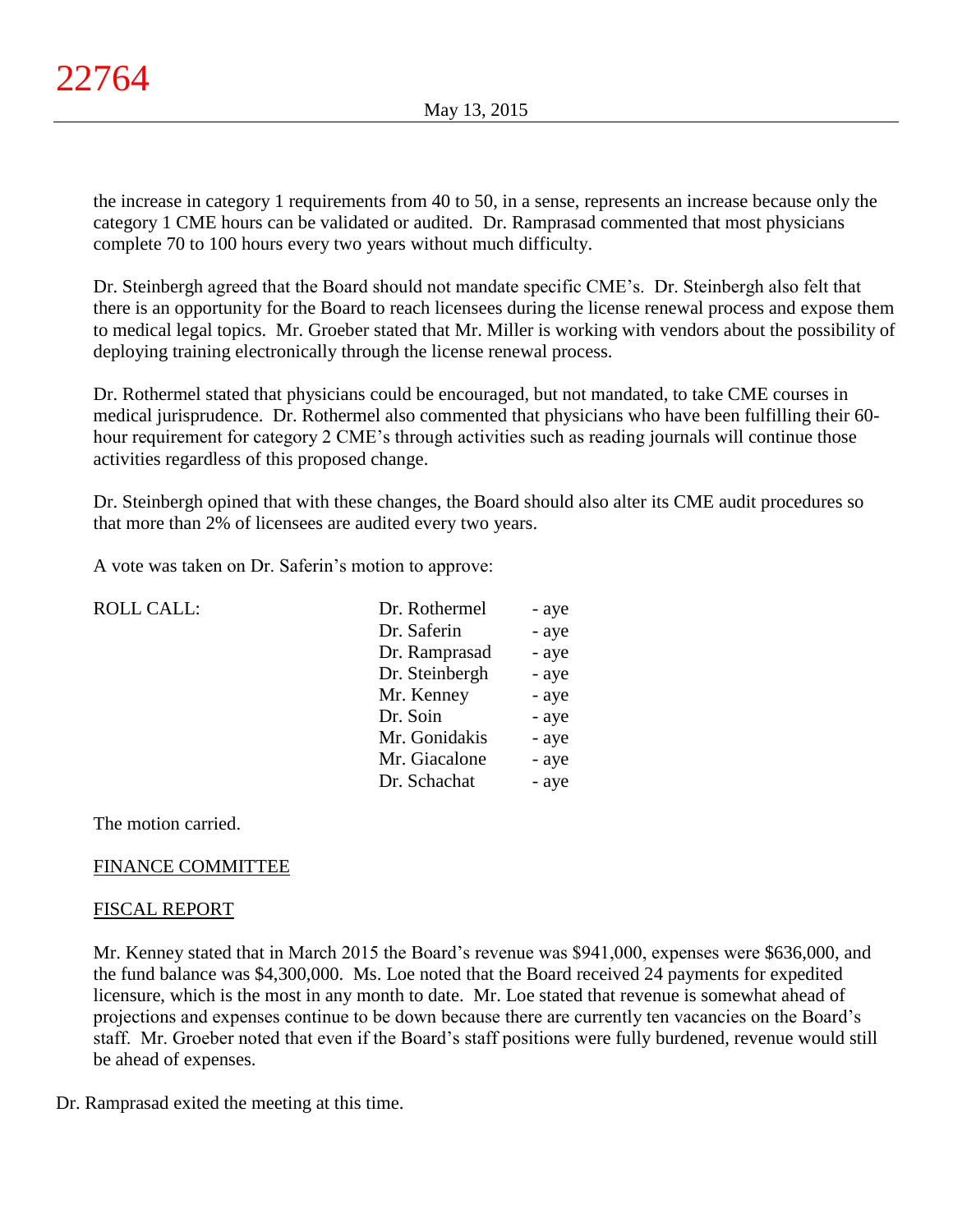the increase in category 1 requirements from 40 to 50, in a sense, represents an increase because only the category 1 CME hours can be validated or audited. Dr. Ramprasad commented that most physicians complete 70 to 100 hours every two years without much difficulty.

Dr. Steinbergh agreed that the Board should not mandate specific CME's. Dr. Steinbergh also felt that there is an opportunity for the Board to reach licensees during the license renewal process and expose them to medical legal topics. Mr. Groeber stated that Mr. Miller is working with vendors about the possibility of deploying training electronically through the license renewal process.

Dr. Rothermel stated that physicians could be encouraged, but not mandated, to take CME courses in medical jurisprudence. Dr. Rothermel also commented that physicians who have been fulfilling their 60 hour requirement for category 2 CME's through activities such as reading journals will continue those activities regardless of this proposed change.

Dr. Steinbergh opined that with these changes, the Board should also alter its CME audit procedures so that more than 2% of licensees are audited every two years.

A vote was taken on Dr. Saferin's motion to approve:

| <b>ROLL CALL:</b> | Dr. Rothermel  | - aye |
|-------------------|----------------|-------|
|                   | Dr. Saferin    | - aye |
|                   | Dr. Ramprasad  | - aye |
|                   | Dr. Steinbergh | - aye |
|                   | Mr. Kenney     | - aye |
|                   | Dr. Soin       | - aye |
|                   | Mr. Gonidakis  | - aye |
|                   | Mr. Giacalone  | - aye |
|                   | Dr. Schachat   | - aye |
|                   |                |       |

# The motion carried.

# FINANCE COMMITTEE

# FISCAL REPORT

Mr. Kenney stated that in March 2015 the Board's revenue was \$941,000, expenses were \$636,000, and the fund balance was \$4,300,000. Ms. Loe noted that the Board received 24 payments for expedited licensure, which is the most in any month to date. Mr. Loe stated that revenue is somewhat ahead of projections and expenses continue to be down because there are currently ten vacancies on the Board's staff. Mr. Groeber noted that even if the Board's staff positions were fully burdened, revenue would still be ahead of expenses.

Dr. Ramprasad exited the meeting at this time.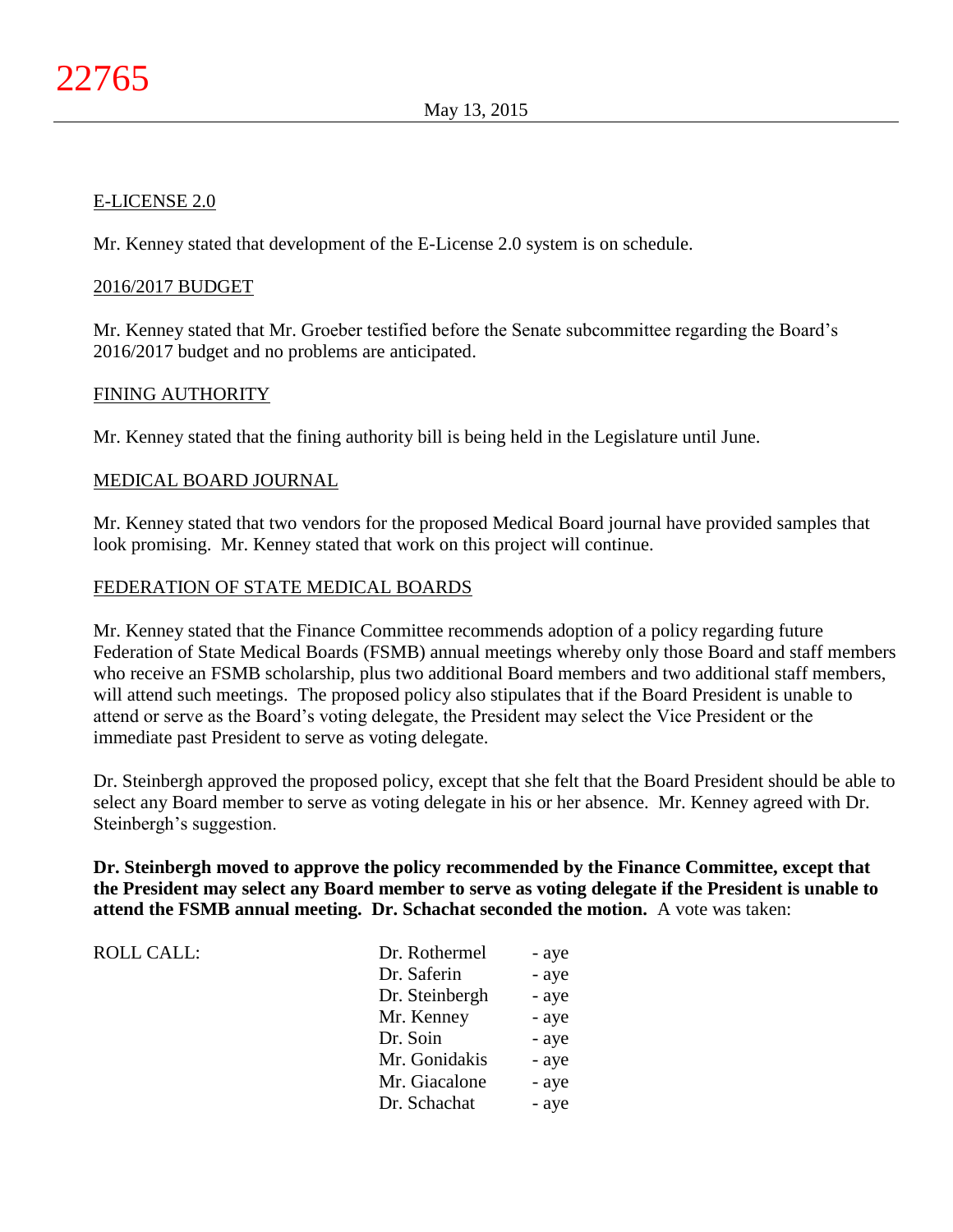## E-LICENSE 2.0

Mr. Kenney stated that development of the E-License 2.0 system is on schedule.

## 2016/2017 BUDGET

Mr. Kenney stated that Mr. Groeber testified before the Senate subcommittee regarding the Board's 2016/2017 budget and no problems are anticipated.

## FINING AUTHORITY

Mr. Kenney stated that the fining authority bill is being held in the Legislature until June.

## MEDICAL BOARD JOURNAL

Mr. Kenney stated that two vendors for the proposed Medical Board journal have provided samples that look promising. Mr. Kenney stated that work on this project will continue.

## FEDERATION OF STATE MEDICAL BOARDS

Mr. Kenney stated that the Finance Committee recommends adoption of a policy regarding future Federation of State Medical Boards (FSMB) annual meetings whereby only those Board and staff members who receive an FSMB scholarship, plus two additional Board members and two additional staff members, will attend such meetings. The proposed policy also stipulates that if the Board President is unable to attend or serve as the Board's voting delegate, the President may select the Vice President or the immediate past President to serve as voting delegate.

Dr. Steinbergh approved the proposed policy, except that she felt that the Board President should be able to select any Board member to serve as voting delegate in his or her absence. Mr. Kenney agreed with Dr. Steinbergh's suggestion.

**Dr. Steinbergh moved to approve the policy recommended by the Finance Committee, except that the President may select any Board member to serve as voting delegate if the President is unable to attend the FSMB annual meeting. Dr. Schachat seconded the motion.** A vote was taken:

ROLL CALL:

| Dr. Rothermel  | - aye |
|----------------|-------|
| Dr. Saferin    | - aye |
| Dr. Steinbergh | - aye |
| Mr. Kenney     | - aye |
| Dr. Soin       | - aye |
| Mr. Gonidakis  | - aye |
| Mr. Giacalone  | - aye |
| Dr. Schachat   | - aye |
|                |       |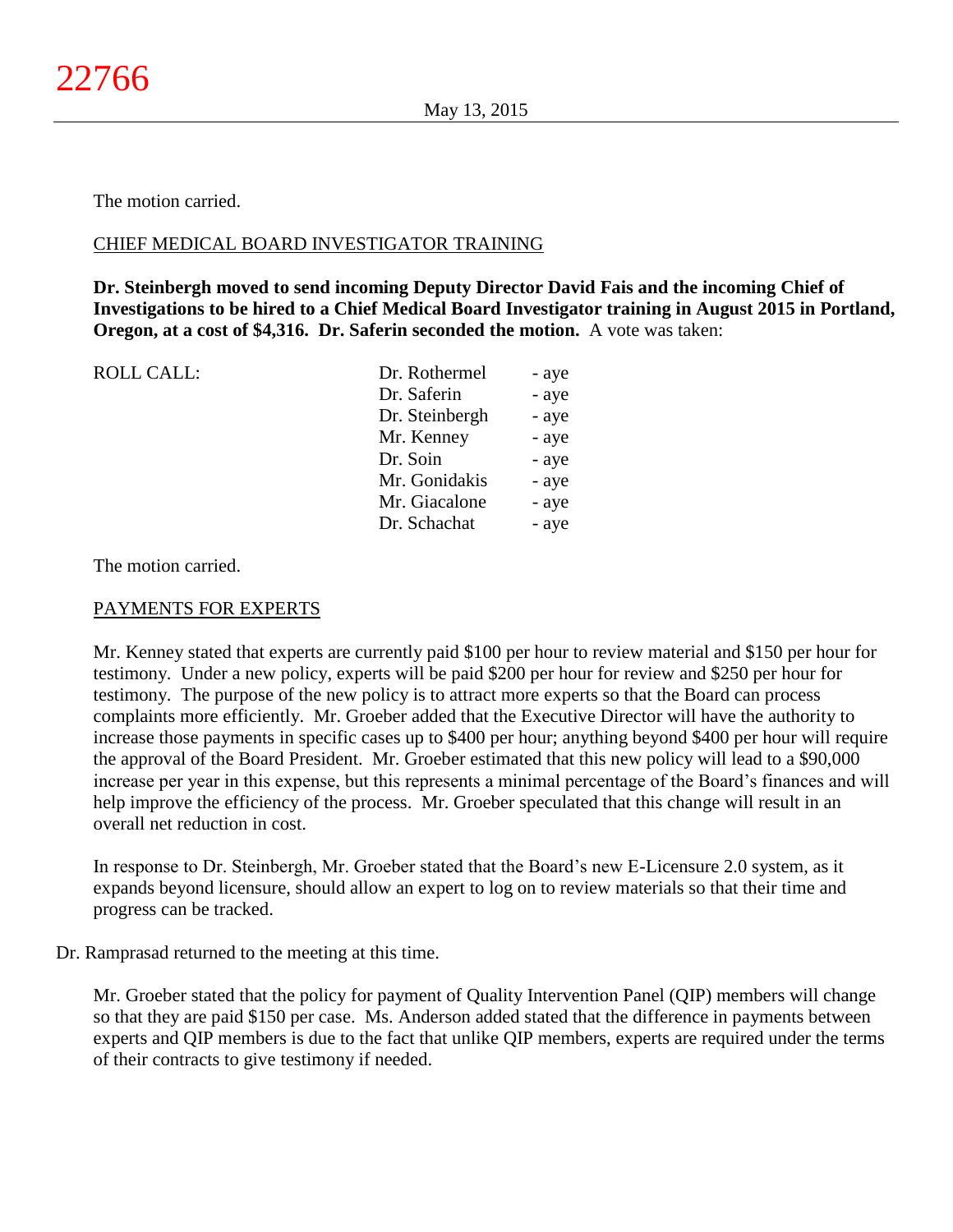The motion carried.

# CHIEF MEDICAL BOARD INVESTIGATOR TRAINING

**Dr. Steinbergh moved to send incoming Deputy Director David Fais and the incoming Chief of Investigations to be hired to a Chief Medical Board Investigator training in August 2015 in Portland, Oregon, at a cost of \$4,316. Dr. Saferin seconded the motion.** A vote was taken:

| <b>ROLL CALL:</b> | Dr. Rothermel  | - aye |
|-------------------|----------------|-------|
|                   | Dr. Saferin    | - aye |
|                   | Dr. Steinbergh | - aye |
|                   | Mr. Kenney     | - aye |
|                   | Dr. Soin       | - aye |
|                   | Mr. Gonidakis  | - aye |
|                   | Mr. Giacalone  | - aye |
|                   | Dr. Schachat   | - aye |
|                   |                |       |

The motion carried.

# PAYMENTS FOR EXPERTS

Mr. Kenney stated that experts are currently paid \$100 per hour to review material and \$150 per hour for testimony. Under a new policy, experts will be paid \$200 per hour for review and \$250 per hour for testimony. The purpose of the new policy is to attract more experts so that the Board can process complaints more efficiently. Mr. Groeber added that the Executive Director will have the authority to increase those payments in specific cases up to \$400 per hour; anything beyond \$400 per hour will require the approval of the Board President. Mr. Groeber estimated that this new policy will lead to a \$90,000 increase per year in this expense, but this represents a minimal percentage of the Board's finances and will help improve the efficiency of the process. Mr. Groeber speculated that this change will result in an overall net reduction in cost.

In response to Dr. Steinbergh, Mr. Groeber stated that the Board's new E-Licensure 2.0 system, as it expands beyond licensure, should allow an expert to log on to review materials so that their time and progress can be tracked.

# Dr. Ramprasad returned to the meeting at this time.

Mr. Groeber stated that the policy for payment of Quality Intervention Panel (QIP) members will change so that they are paid \$150 per case. Ms. Anderson added stated that the difference in payments between experts and QIP members is due to the fact that unlike QIP members, experts are required under the terms of their contracts to give testimony if needed.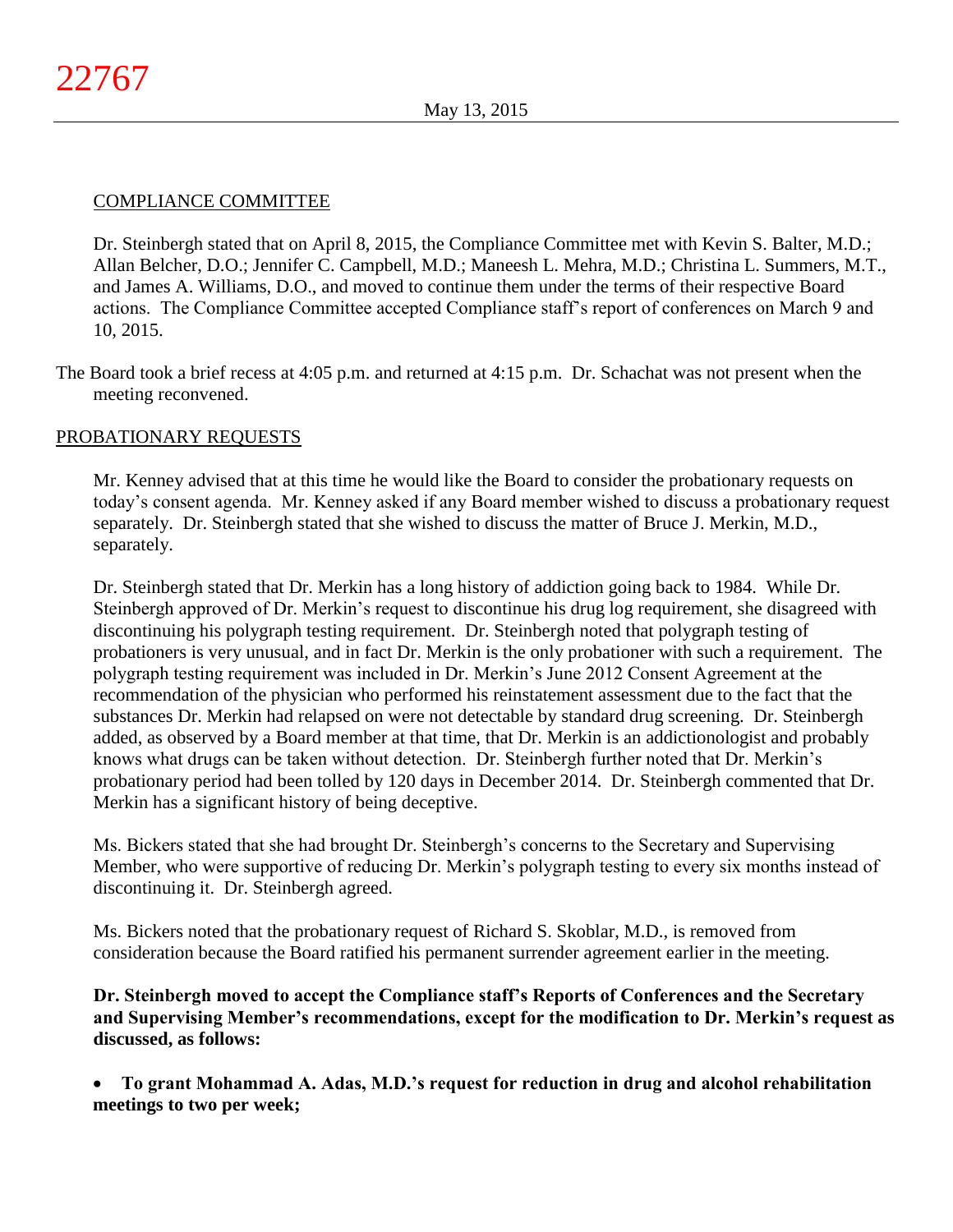# COMPLIANCE COMMITTEE

Dr. Steinbergh stated that on April 8, 2015, the Compliance Committee met with Kevin S. Balter, M.D.; Allan Belcher, D.O.; Jennifer C. Campbell, M.D.; Maneesh L. Mehra, M.D.; Christina L. Summers, M.T., and James A. Williams, D.O., and moved to continue them under the terms of their respective Board actions. The Compliance Committee accepted Compliance staff's report of conferences on March 9 and 10, 2015.

The Board took a brief recess at 4:05 p.m. and returned at 4:15 p.m. Dr. Schachat was not present when the meeting reconvened.

# PROBATIONARY REQUESTS

Mr. Kenney advised that at this time he would like the Board to consider the probationary requests on today's consent agenda. Mr. Kenney asked if any Board member wished to discuss a probationary request separately. Dr. Steinbergh stated that she wished to discuss the matter of Bruce J. Merkin, M.D., separately.

Dr. Steinbergh stated that Dr. Merkin has a long history of addiction going back to 1984. While Dr. Steinbergh approved of Dr. Merkin's request to discontinue his drug log requirement, she disagreed with discontinuing his polygraph testing requirement. Dr. Steinbergh noted that polygraph testing of probationers is very unusual, and in fact Dr. Merkin is the only probationer with such a requirement. The polygraph testing requirement was included in Dr. Merkin's June 2012 Consent Agreement at the recommendation of the physician who performed his reinstatement assessment due to the fact that the substances Dr. Merkin had relapsed on were not detectable by standard drug screening. Dr. Steinbergh added, as observed by a Board member at that time, that Dr. Merkin is an addictionologist and probably knows what drugs can be taken without detection. Dr. Steinbergh further noted that Dr. Merkin's probationary period had been tolled by 120 days in December 2014. Dr. Steinbergh commented that Dr. Merkin has a significant history of being deceptive.

Ms. Bickers stated that she had brought Dr. Steinbergh's concerns to the Secretary and Supervising Member, who were supportive of reducing Dr. Merkin's polygraph testing to every six months instead of discontinuing it. Dr. Steinbergh agreed.

Ms. Bickers noted that the probationary request of Richard S. Skoblar, M.D., is removed from consideration because the Board ratified his permanent surrender agreement earlier in the meeting.

**Dr. Steinbergh moved to accept the Compliance staff's Reports of Conferences and the Secretary and Supervising Member's recommendations, except for the modification to Dr. Merkin's request as discussed, as follows:**

 **To grant Mohammad A. Adas, M.D.'s request for reduction in drug and alcohol rehabilitation meetings to two per week;**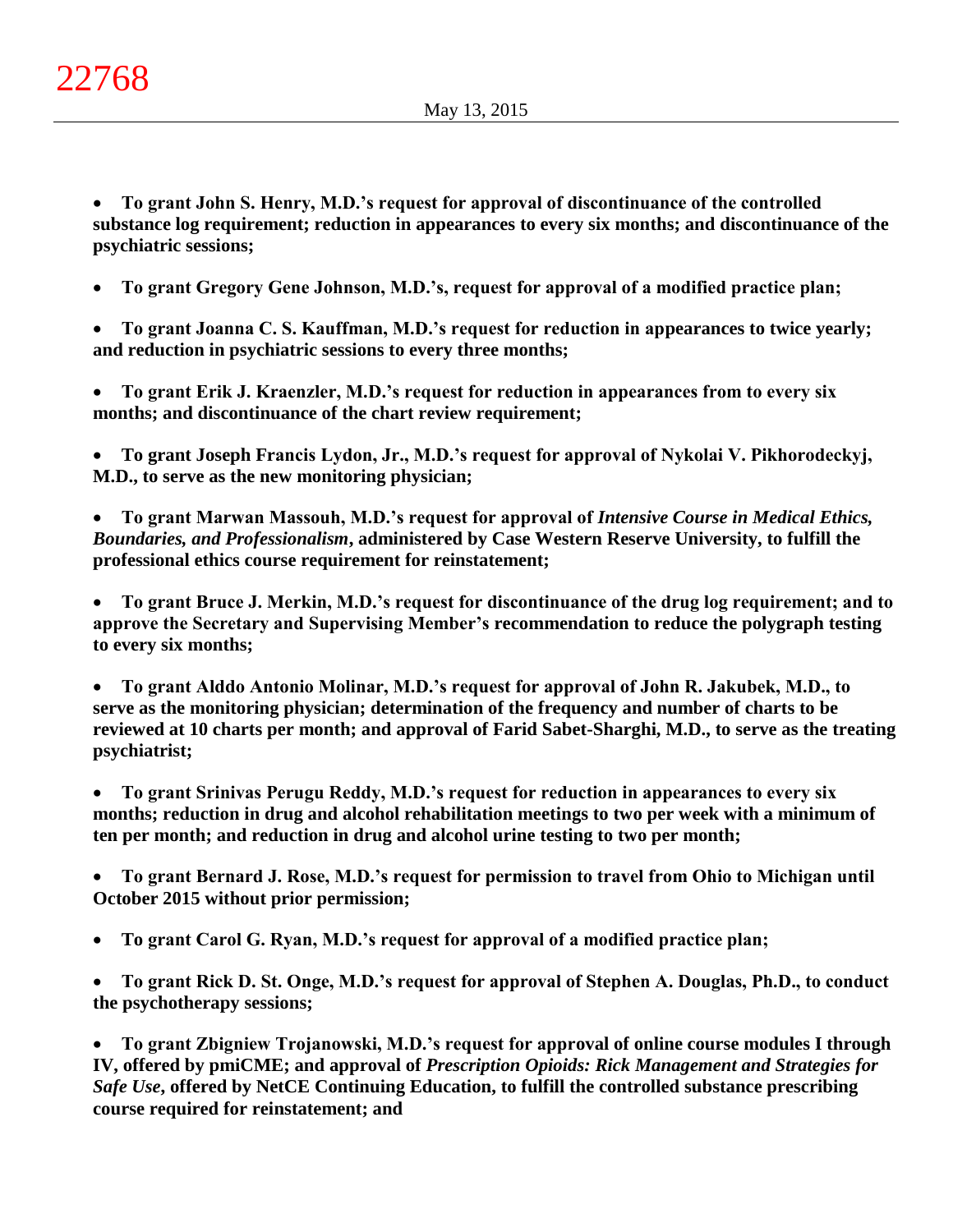**To grant John S. Henry, M.D.'s request for approval of discontinuance of the controlled substance log requirement; reduction in appearances to every six months; and discontinuance of the psychiatric sessions;**

**To grant Gregory Gene Johnson, M.D.'s, request for approval of a modified practice plan;**

 **To grant Joanna C. S. Kauffman, M.D.'s request for reduction in appearances to twice yearly; and reduction in psychiatric sessions to every three months;**

 **To grant Erik J. Kraenzler, M.D.'s request for reduction in appearances from to every six months; and discontinuance of the chart review requirement;**

 **To grant Joseph Francis Lydon, Jr., M.D.'s request for approval of Nykolai V. Pikhorodeckyj, M.D., to serve as the new monitoring physician;**

 **To grant Marwan Massouh, M.D.'s request for approval of** *Intensive Course in Medical Ethics, Boundaries, and Professionalism***, administered by Case Western Reserve University, to fulfill the professional ethics course requirement for reinstatement;**

 **To grant Bruce J. Merkin, M.D.'s request for discontinuance of the drug log requirement; and to approve the Secretary and Supervising Member's recommendation to reduce the polygraph testing to every six months;**

 **To grant Alddo Antonio Molinar, M.D.'s request for approval of John R. Jakubek, M.D., to serve as the monitoring physician; determination of the frequency and number of charts to be reviewed at 10 charts per month; and approval of Farid Sabet-Sharghi, M.D., to serve as the treating psychiatrist;**

 **To grant Srinivas Perugu Reddy, M.D.'s request for reduction in appearances to every six months; reduction in drug and alcohol rehabilitation meetings to two per week with a minimum of ten per month; and reduction in drug and alcohol urine testing to two per month;**

 **To grant Bernard J. Rose, M.D.'s request for permission to travel from Ohio to Michigan until October 2015 without prior permission;**

**To grant Carol G. Ryan, M.D.'s request for approval of a modified practice plan;**

 **To grant Rick D. St. Onge, M.D.'s request for approval of Stephen A. Douglas, Ph.D., to conduct the psychotherapy sessions;**

 **To grant Zbigniew Trojanowski, M.D.'s request for approval of online course modules I through IV, offered by pmiCME; and approval of** *Prescription Opioids: Rick Management and Strategies for Safe Use***, offered by NetCE Continuing Education, to fulfill the controlled substance prescribing course required for reinstatement; and**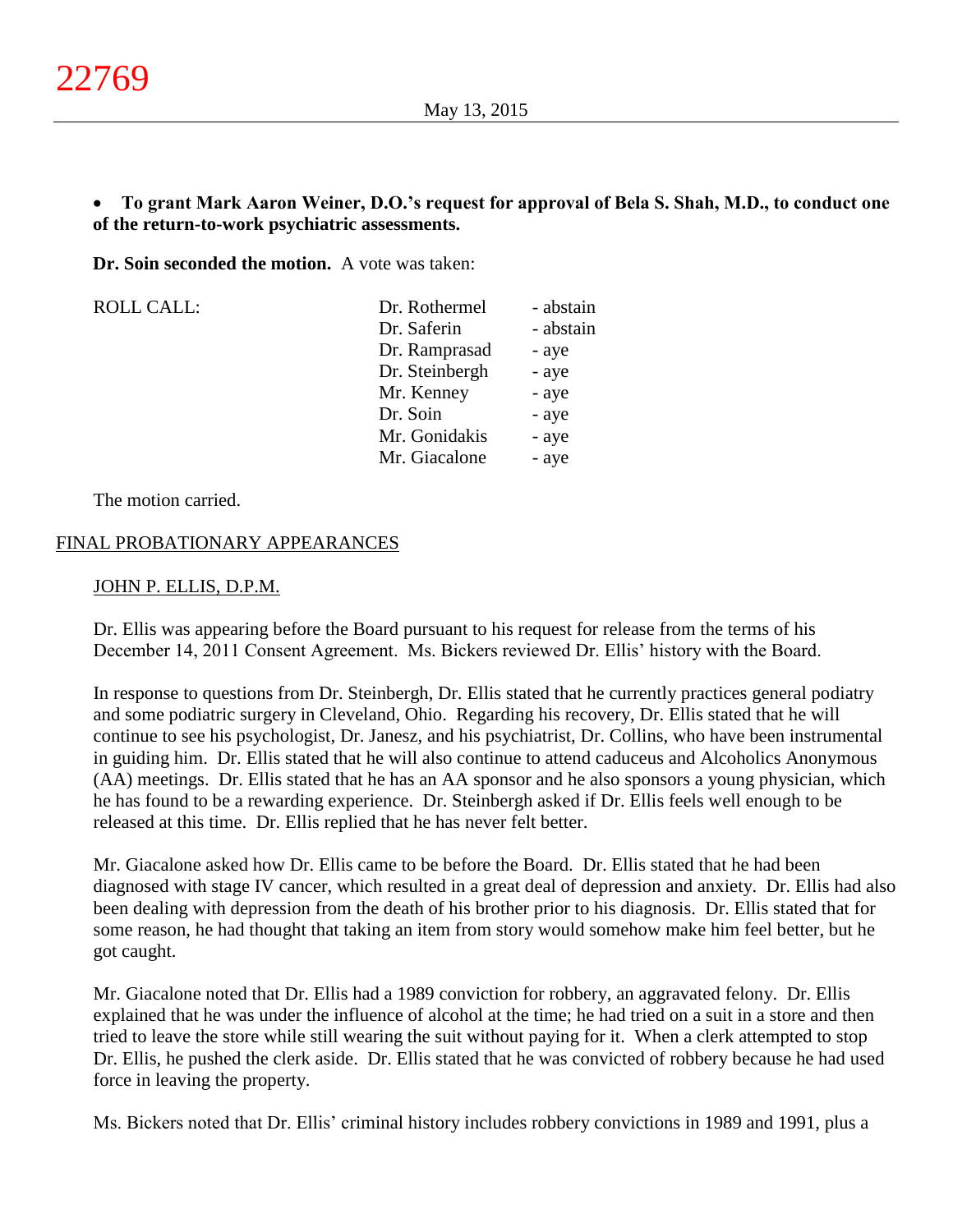# **To grant Mark Aaron Weiner, D.O.'s request for approval of Bela S. Shah, M.D., to conduct one of the return-to-work psychiatric assessments.**

**Dr. Soin seconded the motion.** A vote was taken:

| <b>ROLL CALL:</b> | Dr. Rothermel  | - abstain |
|-------------------|----------------|-----------|
|                   | Dr. Saferin    | - abstain |
|                   | Dr. Ramprasad  | - aye     |
|                   | Dr. Steinbergh | - aye     |
|                   | Mr. Kenney     | - aye     |
|                   | Dr. Soin       | - aye     |
|                   | Mr. Gonidakis  | - aye     |
|                   | Mr. Giacalone  | - aye     |
|                   |                |           |

The motion carried.

# FINAL PROBATIONARY APPEARANCES

## JOHN P. ELLIS, D.P.M.

Dr. Ellis was appearing before the Board pursuant to his request for release from the terms of his December 14, 2011 Consent Agreement. Ms. Bickers reviewed Dr. Ellis' history with the Board.

In response to questions from Dr. Steinbergh, Dr. Ellis stated that he currently practices general podiatry and some podiatric surgery in Cleveland, Ohio. Regarding his recovery, Dr. Ellis stated that he will continue to see his psychologist, Dr. Janesz, and his psychiatrist, Dr. Collins, who have been instrumental in guiding him. Dr. Ellis stated that he will also continue to attend caduceus and Alcoholics Anonymous (AA) meetings. Dr. Ellis stated that he has an AA sponsor and he also sponsors a young physician, which he has found to be a rewarding experience. Dr. Steinbergh asked if Dr. Ellis feels well enough to be released at this time. Dr. Ellis replied that he has never felt better.

Mr. Giacalone asked how Dr. Ellis came to be before the Board. Dr. Ellis stated that he had been diagnosed with stage IV cancer, which resulted in a great deal of depression and anxiety. Dr. Ellis had also been dealing with depression from the death of his brother prior to his diagnosis. Dr. Ellis stated that for some reason, he had thought that taking an item from story would somehow make him feel better, but he got caught.

Mr. Giacalone noted that Dr. Ellis had a 1989 conviction for robbery, an aggravated felony. Dr. Ellis explained that he was under the influence of alcohol at the time; he had tried on a suit in a store and then tried to leave the store while still wearing the suit without paying for it. When a clerk attempted to stop Dr. Ellis, he pushed the clerk aside. Dr. Ellis stated that he was convicted of robbery because he had used force in leaving the property.

Ms. Bickers noted that Dr. Ellis' criminal history includes robbery convictions in 1989 and 1991, plus a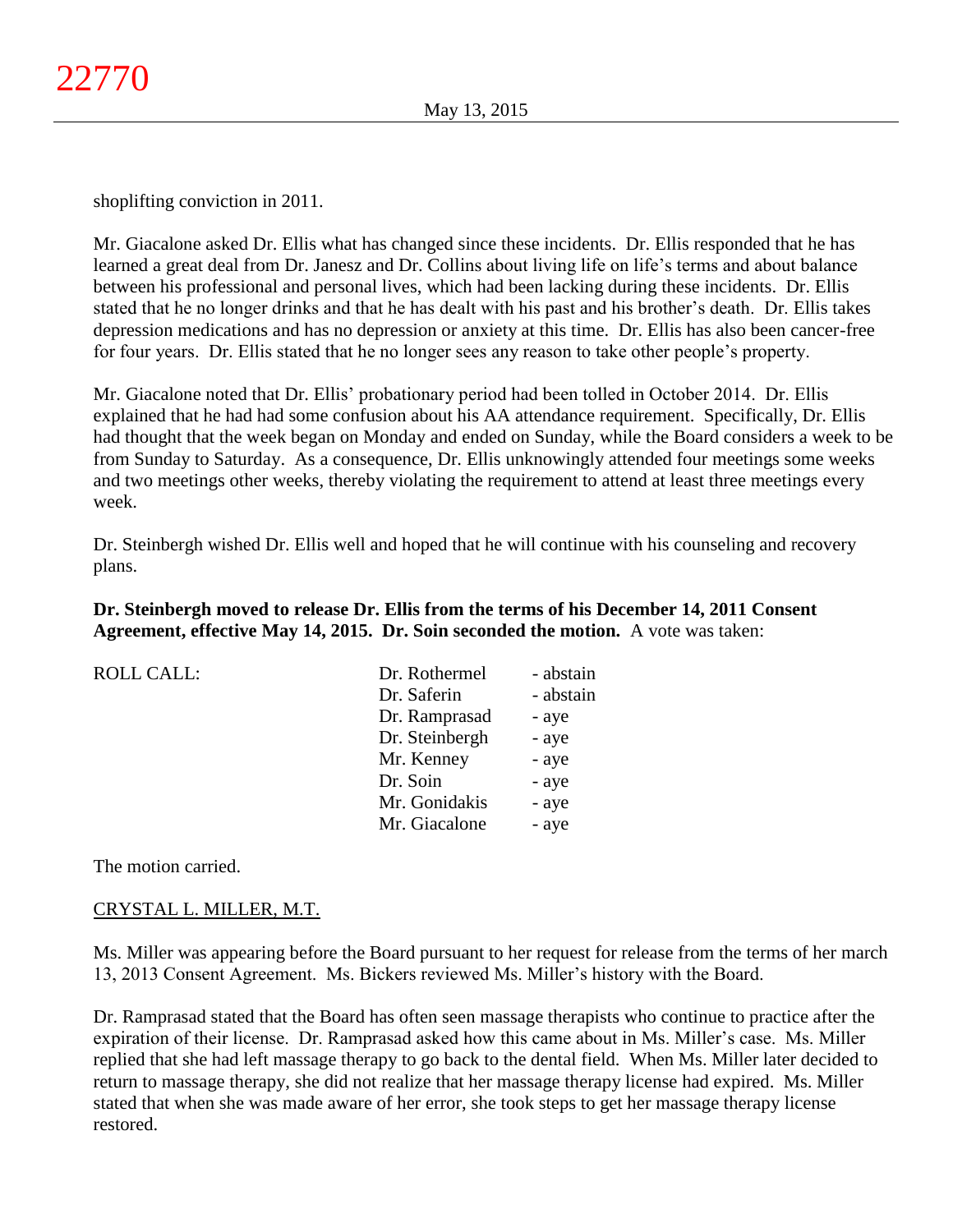shoplifting conviction in 2011.

Mr. Giacalone asked Dr. Ellis what has changed since these incidents. Dr. Ellis responded that he has learned a great deal from Dr. Janesz and Dr. Collins about living life on life's terms and about balance between his professional and personal lives, which had been lacking during these incidents. Dr. Ellis stated that he no longer drinks and that he has dealt with his past and his brother's death. Dr. Ellis takes depression medications and has no depression or anxiety at this time. Dr. Ellis has also been cancer-free for four years. Dr. Ellis stated that he no longer sees any reason to take other people's property.

Mr. Giacalone noted that Dr. Ellis' probationary period had been tolled in October 2014. Dr. Ellis explained that he had had some confusion about his AA attendance requirement. Specifically, Dr. Ellis had thought that the week began on Monday and ended on Sunday, while the Board considers a week to be from Sunday to Saturday. As a consequence, Dr. Ellis unknowingly attended four meetings some weeks and two meetings other weeks, thereby violating the requirement to attend at least three meetings every week.

Dr. Steinbergh wished Dr. Ellis well and hoped that he will continue with his counseling and recovery plans.

**Dr. Steinbergh moved to release Dr. Ellis from the terms of his December 14, 2011 Consent Agreement, effective May 14, 2015. Dr. Soin seconded the motion.** A vote was taken:

|  | <b>ROLL CALL:</b> |
|--|-------------------|

|                | - abstain     |
|----------------|---------------|
| Dr. Saferin    | - abstain     |
| Dr. Ramprasad  | - aye         |
| Dr. Steinbergh | - aye         |
| Mr. Kenney     | - aye         |
| Dr. Soin       | - aye         |
| Mr. Gonidakis  | - aye         |
| Mr. Giacalone  | - aye         |
|                | Dr. Rothermel |

The motion carried.

# CRYSTAL L. MILLER, M.T.

Ms. Miller was appearing before the Board pursuant to her request for release from the terms of her march 13, 2013 Consent Agreement. Ms. Bickers reviewed Ms. Miller's history with the Board.

Dr. Ramprasad stated that the Board has often seen massage therapists who continue to practice after the expiration of their license. Dr. Ramprasad asked how this came about in Ms. Miller's case. Ms. Miller replied that she had left massage therapy to go back to the dental field. When Ms. Miller later decided to return to massage therapy, she did not realize that her massage therapy license had expired. Ms. Miller stated that when she was made aware of her error, she took steps to get her massage therapy license restored.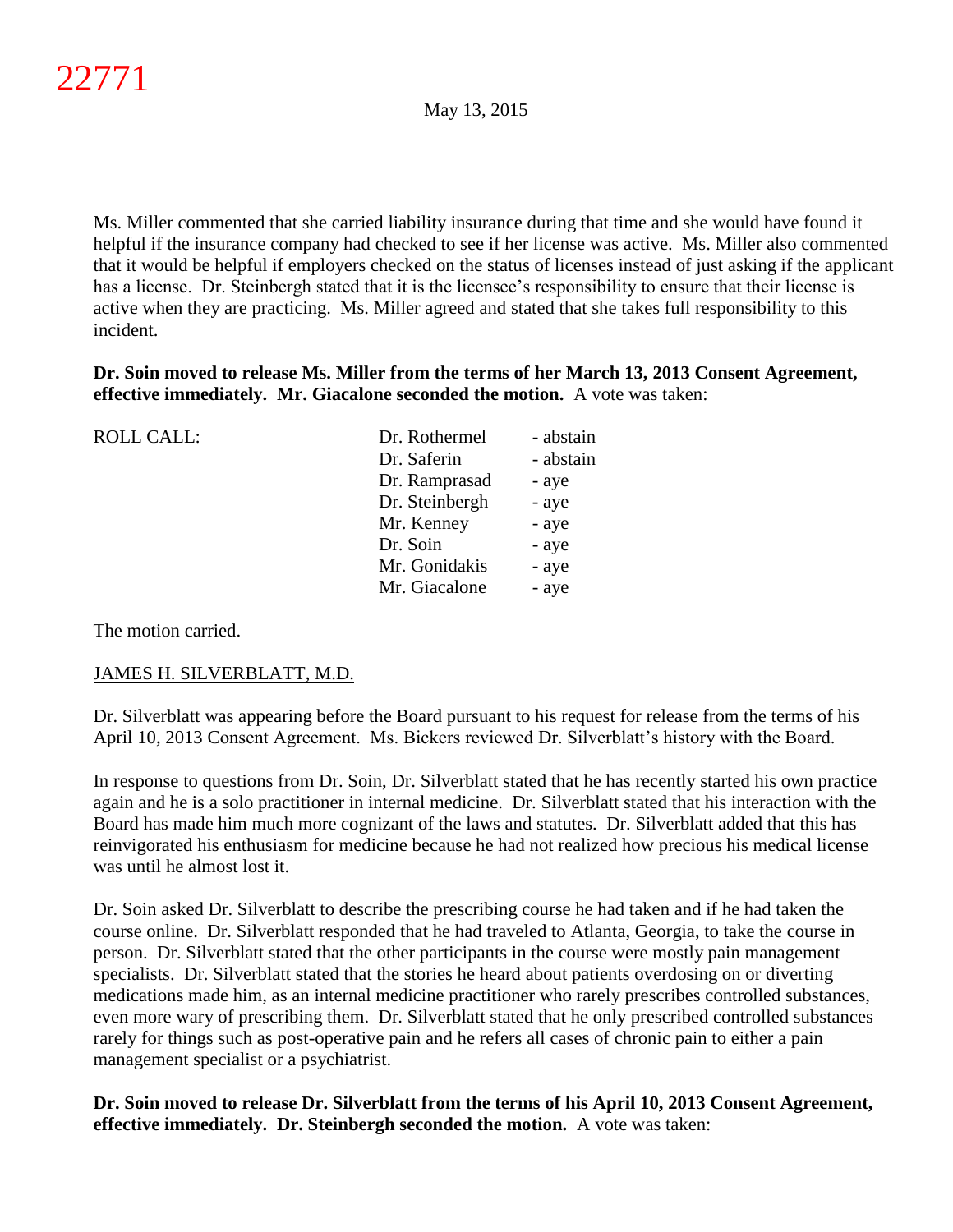Ms. Miller commented that she carried liability insurance during that time and she would have found it helpful if the insurance company had checked to see if her license was active. Ms. Miller also commented that it would be helpful if employers checked on the status of licenses instead of just asking if the applicant has a license. Dr. Steinbergh stated that it is the licensee's responsibility to ensure that their license is active when they are practicing. Ms. Miller agreed and stated that she takes full responsibility to this incident.

**Dr. Soin moved to release Ms. Miller from the terms of her March 13, 2013 Consent Agreement, effective immediately. Mr. Giacalone seconded the motion.** A vote was taken:

| <b>ROLL CALL:</b> | Dr. Rothermel  | - abstain |
|-------------------|----------------|-----------|
|                   | Dr. Saferin    | - abstain |
|                   | Dr. Ramprasad  | - aye     |
|                   | Dr. Steinbergh | - aye     |
|                   | Mr. Kenney     | - aye     |
|                   | Dr. Soin       | - aye     |
|                   | Mr. Gonidakis  | - aye     |
|                   | Mr. Giacalone  | - aye     |
|                   |                |           |

The motion carried.

# JAMES H. SILVERBLATT, M.D.

Dr. Silverblatt was appearing before the Board pursuant to his request for release from the terms of his April 10, 2013 Consent Agreement. Ms. Bickers reviewed Dr. Silverblatt's history with the Board.

In response to questions from Dr. Soin, Dr. Silverblatt stated that he has recently started his own practice again and he is a solo practitioner in internal medicine. Dr. Silverblatt stated that his interaction with the Board has made him much more cognizant of the laws and statutes. Dr. Silverblatt added that this has reinvigorated his enthusiasm for medicine because he had not realized how precious his medical license was until he almost lost it.

Dr. Soin asked Dr. Silverblatt to describe the prescribing course he had taken and if he had taken the course online. Dr. Silverblatt responded that he had traveled to Atlanta, Georgia, to take the course in person. Dr. Silverblatt stated that the other participants in the course were mostly pain management specialists. Dr. Silverblatt stated that the stories he heard about patients overdosing on or diverting medications made him, as an internal medicine practitioner who rarely prescribes controlled substances, even more wary of prescribing them. Dr. Silverblatt stated that he only prescribed controlled substances rarely for things such as post-operative pain and he refers all cases of chronic pain to either a pain management specialist or a psychiatrist.

**Dr. Soin moved to release Dr. Silverblatt from the terms of his April 10, 2013 Consent Agreement, effective immediately. Dr. Steinbergh seconded the motion.** A vote was taken: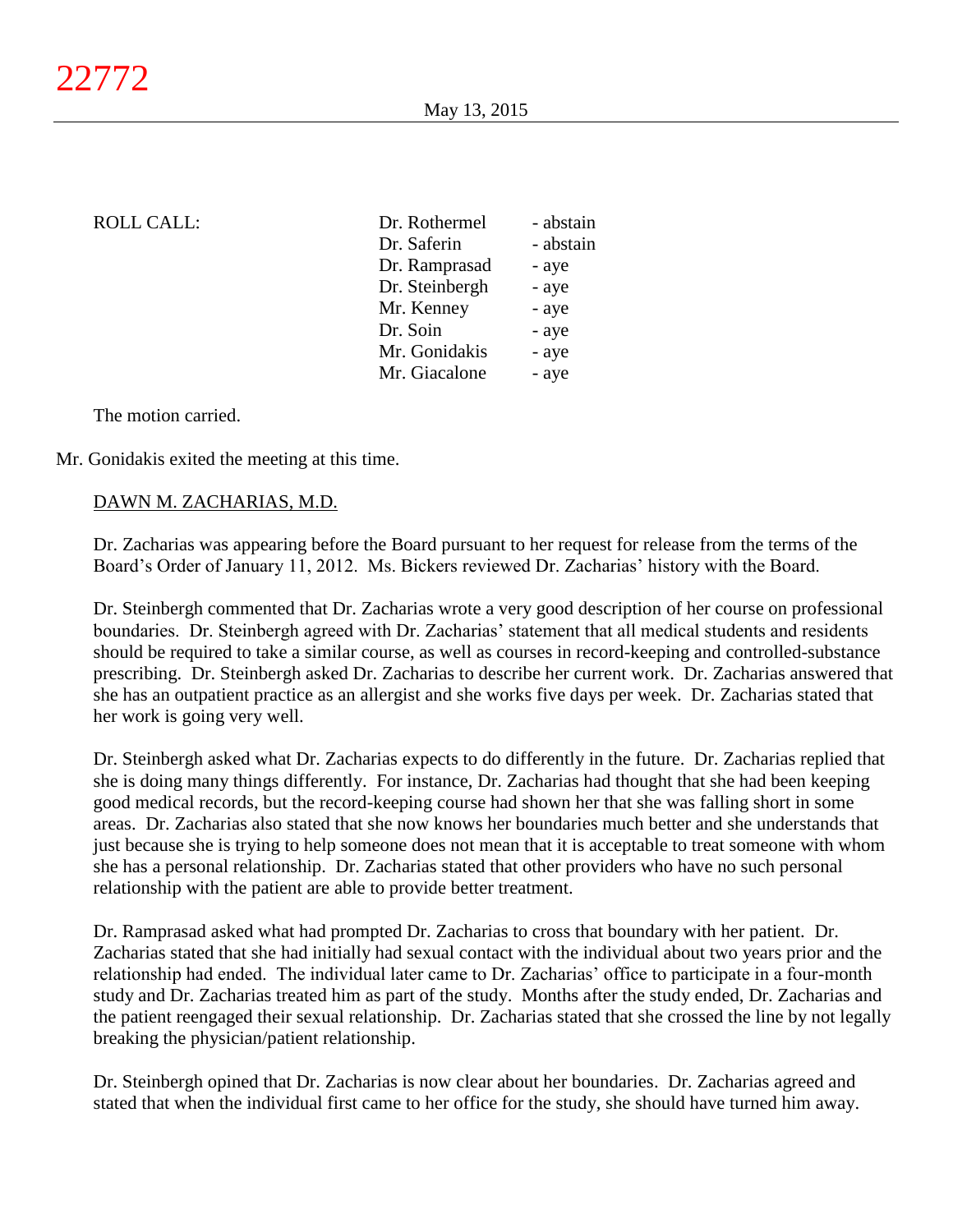| <b>ROLL CALL:</b> | Dr. Rothermel  | - abstain |
|-------------------|----------------|-----------|
|                   | Dr. Saferin    | - abstain |
|                   | Dr. Ramprasad  | - aye     |
|                   | Dr. Steinbergh | - aye     |
|                   | Mr. Kenney     | - aye     |
|                   | Dr. Soin       | - aye     |
|                   | Mr. Gonidakis  | - aye     |
|                   | Mr. Giacalone  | - aye     |
|                   |                |           |

The motion carried.

Mr. Gonidakis exited the meeting at this time.

# DAWN M. ZACHARIAS, M.D.

Dr. Zacharias was appearing before the Board pursuant to her request for release from the terms of the Board's Order of January 11, 2012. Ms. Bickers reviewed Dr. Zacharias' history with the Board.

Dr. Steinbergh commented that Dr. Zacharias wrote a very good description of her course on professional boundaries. Dr. Steinbergh agreed with Dr. Zacharias' statement that all medical students and residents should be required to take a similar course, as well as courses in record-keeping and controlled-substance prescribing. Dr. Steinbergh asked Dr. Zacharias to describe her current work. Dr. Zacharias answered that she has an outpatient practice as an allergist and she works five days per week. Dr. Zacharias stated that her work is going very well.

Dr. Steinbergh asked what Dr. Zacharias expects to do differently in the future. Dr. Zacharias replied that she is doing many things differently. For instance, Dr. Zacharias had thought that she had been keeping good medical records, but the record-keeping course had shown her that she was falling short in some areas. Dr. Zacharias also stated that she now knows her boundaries much better and she understands that just because she is trying to help someone does not mean that it is acceptable to treat someone with whom she has a personal relationship. Dr. Zacharias stated that other providers who have no such personal relationship with the patient are able to provide better treatment.

Dr. Ramprasad asked what had prompted Dr. Zacharias to cross that boundary with her patient. Dr. Zacharias stated that she had initially had sexual contact with the individual about two years prior and the relationship had ended. The individual later came to Dr. Zacharias' office to participate in a four-month study and Dr. Zacharias treated him as part of the study. Months after the study ended, Dr. Zacharias and the patient reengaged their sexual relationship. Dr. Zacharias stated that she crossed the line by not legally breaking the physician/patient relationship.

Dr. Steinbergh opined that Dr. Zacharias is now clear about her boundaries. Dr. Zacharias agreed and stated that when the individual first came to her office for the study, she should have turned him away.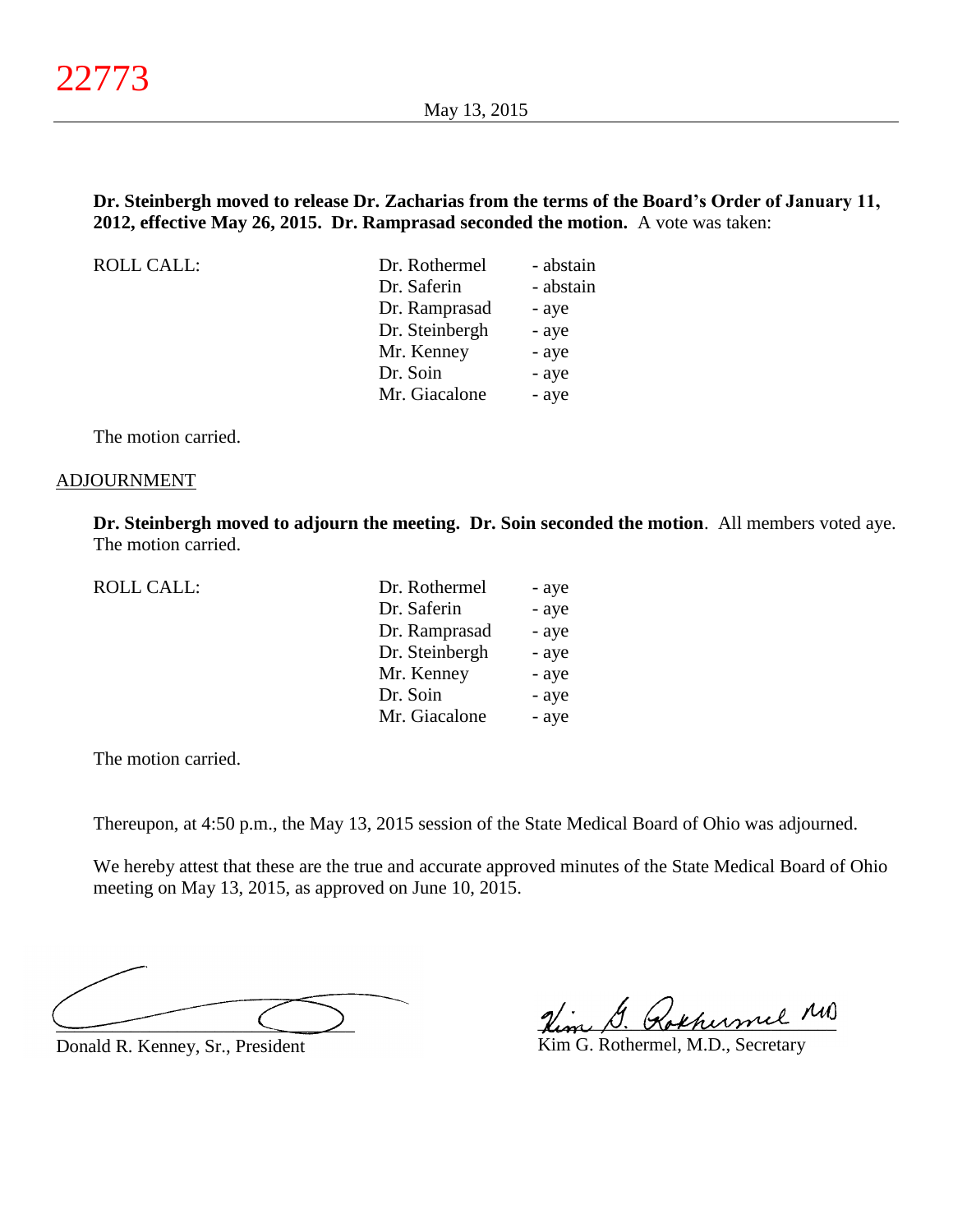# **Dr. Steinbergh moved to release Dr. Zacharias from the terms of the Board's Order of January 11, 2012, effective May 26, 2015. Dr. Ramprasad seconded the motion.** A vote was taken:

ROLL CALL:

| Dr. Rothermel  | - abstain |
|----------------|-----------|
| Dr. Saferin    | - abstain |
| Dr. Ramprasad  | - aye     |
| Dr. Steinbergh | - aye     |
| Mr. Kenney     | - aye     |
| Dr. Soin       | - aye     |
| Mr. Giacalone  | - aye     |
|                |           |

The motion carried.

#### ADJOURNMENT

**Dr. Steinbergh moved to adjourn the meeting. Dr. Soin seconded the motion**. All members voted aye. The motion carried.

| <b>ROLL CALL:</b> | Dr. Rothermel  | - aye |
|-------------------|----------------|-------|
|                   | Dr. Saferin    | - aye |
|                   | Dr. Ramprasad  | - aye |
|                   | Dr. Steinbergh | - aye |
|                   | Mr. Kenney     | - aye |
|                   | Dr. Soin       | - aye |
|                   | Mr. Giacalone  | - aye |
|                   |                |       |

The motion carried.

Thereupon, at 4:50 p.m., the May 13, 2015 session of the State Medical Board of Ohio was adjourned.

We hereby attest that these are the true and accurate approved minutes of the State Medical Board of Ohio meeting on May 13, 2015, as approved on June 10, 2015.

\_\_\_\_\_\_\_\_\_\_\_\_\_\_\_\_\_\_\_\_\_\_\_\_\_\_\_\_\_\_\_\_

Donald R. Kenney, Sr., President

Him G. Rokhumel MD

Kim G. Rothermel, M.D., Secretary